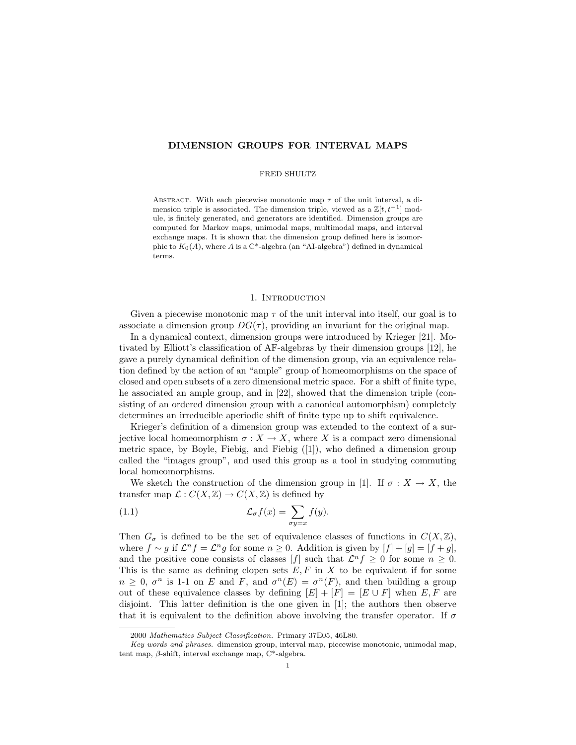# DIMENSION GROUPS FOR INTERVAL MAPS

### FRED SHULTZ

ABSTRACT. With each piecewise monotonic map  $\tau$  of the unit interval, a dimension triple is associated. The dimension triple, viewed as a  $\mathbb{Z}[t, t^{-1}]$  module, is finitely generated, and generators are identified. Dimension groups are computed for Markov maps, unimodal maps, multimodal maps, and interval exchange maps. It is shown that the dimension group defined here is isomorphic to  $K_0(A)$ , where A is a C<sup>\*</sup>-algebra (an "AI-algebra") defined in dynamical terms.

### 1. Introduction

Given a piecewise monotonic map  $\tau$  of the unit interval into itself, our goal is to associate a dimension group  $DG(\tau)$ , providing an invariant for the original map.

In a dynamical context, dimension groups were introduced by Krieger [21]. Motivated by Elliott's classification of AF-algebras by their dimension groups [12], he gave a purely dynamical definition of the dimension group, via an equivalence relation defined by the action of an "ample" group of homeomorphisms on the space of closed and open subsets of a zero dimensional metric space. For a shift of finite type, he associated an ample group, and in [22], showed that the dimension triple (consisting of an ordered dimension group with a canonical automorphism) completely determines an irreducible aperiodic shift of finite type up to shift equivalence.

Krieger's definition of a dimension group was extended to the context of a surjective local homeomorphism  $\sigma : X \to X$ , where X is a compact zero dimensional metric space, by Boyle, Fiebig, and Fiebig ([1]), who defined a dimension group called the "images group", and used this group as a tool in studying commuting local homeomorphisms.

We sketch the construction of the dimension group in [1]. If  $\sigma : X \to X$ , the transfer map  $\mathcal{L}: C(X,\mathbb{Z}) \to C(X,\mathbb{Z})$  is defined by

(1.1) 
$$
\mathcal{L}_{\sigma}f(x) = \sum_{\sigma y = x} f(y).
$$

Then  $G_{\sigma}$  is defined to be the set of equivalence classes of functions in  $C(X,\mathbb{Z}),$ where  $f \sim g$  if  $\mathcal{L}^n f = \mathcal{L}^n g$  for some  $n \geq 0$ . Addition is given by  $[f] + [g] = [f + g]$ , and the positive cone consists of classes [f] such that  $\mathcal{L}^n f \geq 0$  for some  $n \geq 0$ . This is the same as defining clopen sets  $E, F$  in  $X$  to be equivalent if for some  $n \geq 0$ ,  $\sigma^n$  is 1-1 on E and F, and  $\sigma^n(E) = \sigma^n(F)$ , and then building a group out of these equivalence classes by defining  $|E| + |F| = |E \cup F|$  when  $E, F$  are disjoint. This latter definition is the one given in [1]; the authors then observe that it is equivalent to the definition above involving the transfer operator. If  $\sigma$ 

<sup>2000</sup> Mathematics Subject Classification. Primary 37E05, 46L80.

Key words and phrases. dimension group, interval map, piecewise monotonic, unimodal map, tent map, β-shift, interval exchange map, C\*-algebra.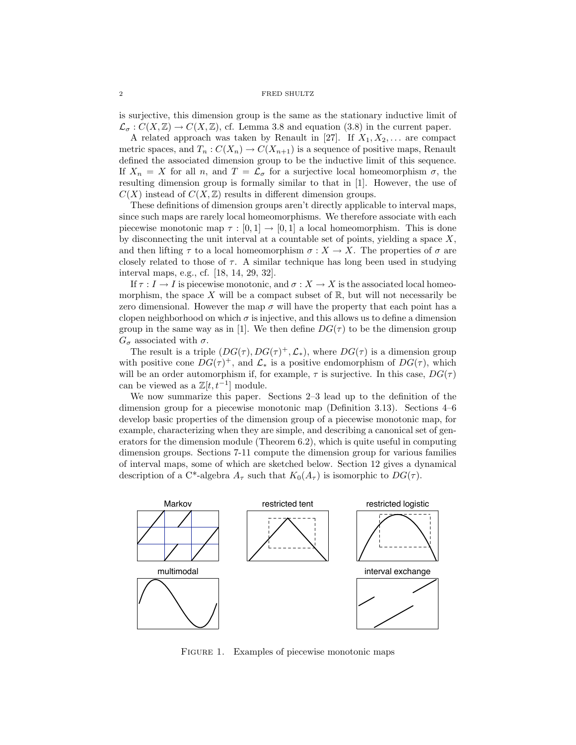is surjective, this dimension group is the same as the stationary inductive limit of  $\mathcal{L}_{\sigma}: C(X,\mathbb{Z}) \to C(X,\mathbb{Z})$ , cf. Lemma 3.8 and equation (3.8) in the current paper.

A related approach was taken by Renault in [27]. If  $X_1, X_2, \ldots$  are compact metric spaces, and  $T_n: C(X_n) \to C(X_{n+1})$  is a sequence of positive maps, Renault defined the associated dimension group to be the inductive limit of this sequence. If  $X_n = X$  for all n, and  $T = \mathcal{L}_{\sigma}$  for a surjective local homeomorphism  $\sigma$ , the resulting dimension group is formally similar to that in [1]. However, the use of  $C(X)$  instead of  $C(X, \mathbb{Z})$  results in different dimension groups.

These definitions of dimension groups aren't directly applicable to interval maps, since such maps are rarely local homeomorphisms. We therefore associate with each piecewise monotonic map  $\tau : [0, 1] \to [0, 1]$  a local homeomorphism. This is done by disconnecting the unit interval at a countable set of points, yielding a space  $X$ , and then lifting  $\tau$  to a local homeomorphism  $\sigma: X \to X$ . The properties of  $\sigma$  are closely related to those of  $\tau$ . A similar technique has long been used in studying interval maps, e.g., cf. [18, 14, 29, 32].

If  $\tau : I \to I$  is piecewise monotonic, and  $\sigma : X \to X$  is the associated local homeomorphism, the space  $X$  will be a compact subset of  $\mathbb{R}$ , but will not necessarily be zero dimensional. However the map  $\sigma$  will have the property that each point has a clopen neighborhood on which  $\sigma$  is injective, and this allows us to define a dimension group in the same way as in [1]. We then define  $DG(\tau)$  to be the dimension group  $G_{\sigma}$  associated with  $\sigma$ .

The result is a triple  $(DG(\tau), DG(\tau)^+, \mathcal{L}_*)$ , where  $DG(\tau)$  is a dimension group with positive cone  $DG(\tau)^+$ , and  $\mathcal{L}_*$  is a positive endomorphism of  $DG(\tau)$ , which will be an order automorphism if, for example,  $\tau$  is surjective. In this case,  $DG(\tau)$ can be viewed as a  $\mathbb{Z}[t, t^{-1}]$  module.

We now summarize this paper. Sections 2–3 lead up to the definition of the dimension group for a piecewise monotonic map (Definition 3.13). Sections 4–6 develop basic properties of the dimension group of a piecewise monotonic map, for example, characterizing when they are simple, and describing a canonical set of generators for the dimension module (Theorem 6.2), which is quite useful in computing dimension groups. Sections 7-11 compute the dimension group for various families of interval maps, some of which are sketched below. Section 12 gives a dynamical description of a C<sup>\*</sup>-algebra  $A_{\tau}$  such that  $K_0(A_{\tau})$  is isomorphic to  $DG(\tau)$ .



FIGURE 1. Examples of piecewise monotonic maps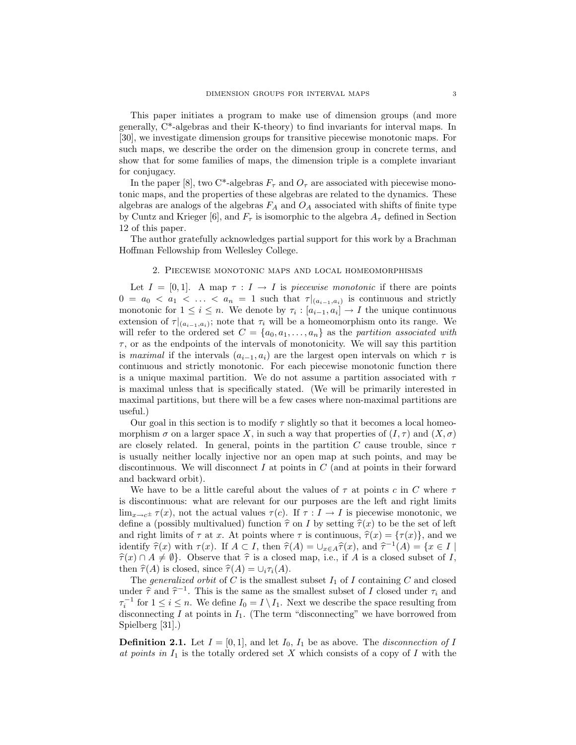This paper initiates a program to make use of dimension groups (and more generally, C\*-algebras and their K-theory) to find invariants for interval maps. In [30], we investigate dimension groups for transitive piecewise monotonic maps. For such maps, we describe the order on the dimension group in concrete terms, and show that for some families of maps, the dimension triple is a complete invariant for conjugacy.

In the paper [8], two C<sup>\*</sup>-algebras  $F_{\tau}$  and  $O_{\tau}$  are associated with piecewise monotonic maps, and the properties of these algebras are related to the dynamics. These algebras are analogs of the algebras  $F_A$  and  $O_A$  associated with shifts of finite type by Cuntz and Krieger [6], and  $F_{\tau}$  is isomorphic to the algebra  $A_{\tau}$  defined in Section 12 of this paper.

The author gratefully acknowledges partial support for this work by a Brachman Hoffman Fellowship from Wellesley College.

## 2. Piecewise monotonic maps and local homeomorphisms

Let  $I = [0, 1]$ . A map  $\tau : I \to I$  is piecewise monotonic if there are points  $0 = a_0 < a_1 < \ldots < a_n = 1$  such that  $\tau|_{(a_{i-1},a_i)}$  is continuous and strictly monotonic for  $1 \leq i \leq n$ . We denote by  $\tau_i : [a_{i-1}, a_i] \to I$  the unique continuous extension of  $\tau|_{(a_{i-1},a_i)}$ ; note that  $\tau_i$  will be a homeomorphism onto its range. We will refer to the ordered set  $C = \{a_0, a_1, \ldots, a_n\}$  as the partition associated with  $\tau$ , or as the endpoints of the intervals of monotonicity. We will say this partition is maximal if the intervals  $(a_{i-1}, a_i)$  are the largest open intervals on which  $\tau$  is continuous and strictly monotonic. For each piecewise monotonic function there is a unique maximal partition. We do not assume a partition associated with  $\tau$ is maximal unless that is specifically stated. (We will be primarily interested in maximal partitions, but there will be a few cases where non-maximal partitions are useful.)

Our goal in this section is to modify  $\tau$  slightly so that it becomes a local homeomorphism  $\sigma$  on a larger space X, in such a way that properties of  $(I, \tau)$  and  $(X, \sigma)$ are closely related. In general, points in the partition C cause trouble, since  $\tau$ is usually neither locally injective nor an open map at such points, and may be discontinuous. We will disconnect  $I$  at points in  $C$  (and at points in their forward and backward orbit).

We have to be a little careful about the values of  $\tau$  at points c in C where  $\tau$ is discontinuous: what are relevant for our purposes are the left and right limits  $\lim_{x\to c^{\pm}} \tau(x)$ , not the actual values  $\tau(c)$ . If  $\tau: I \to I$  is piecewise monotonic, we define a (possibly multivalued) function  $\hat{\tau}$  on I by setting  $\hat{\tau}(x)$  to be the set of left and right limits of  $\tau$  at x. At points where  $\tau$  is continuous,  $\hat{\tau}(x) = {\tau(x)}$ , and we identify  $\hat{\tau}(x)$  with  $\tau(x)$ . If  $A \subset I$ , then  $\hat{\tau}(A) = \bigcup_{x \in A} \hat{\tau}(x)$ , and  $\hat{\tau}^{-1}(A) = \{x \in I \mid \hat{\tau}(x) \cap A \neq \emptyset\}$ . Observe that  $\hat{\tau}$  is a closed map i.e. if A is a closed subset of L  $\hat{\tau}(x) \cap A \neq \emptyset$ . Observe that  $\hat{\tau}$  is a closed map, i.e., if A is a closed subset of I, then  $\widehat{\tau}(A)$  is closed, since  $\widehat{\tau}(A) = \cup_i \tau_i(A)$ .

The generalized orbit of C is the smallest subset  $I_1$  of I containing C and closed under  $\hat{\tau}$  and  $\hat{\tau}^{-1}$ . This is the same as the smallest subset of I closed under  $\tau_i$  and  $\tau^{-1}$  for  $1 \le i \le n$ . We define  $L = I \setminus L$ . Next we describe the space resulting from  $\tau_i^{-1}$  for  $1 \leq i \leq n$ . We define  $I_0 = I \setminus I_1$ . Next we describe the space resulting from disconnecting  $I$  at points in  $I_1$ . (The term "disconnecting" we have borrowed from Spielberg [31].)

**Definition 2.1.** Let  $I = [0, 1]$ , and let  $I_0$ ,  $I_1$  be as above. The *disconnection of* I at points in  $I_1$  is the totally ordered set X which consists of a copy of I with the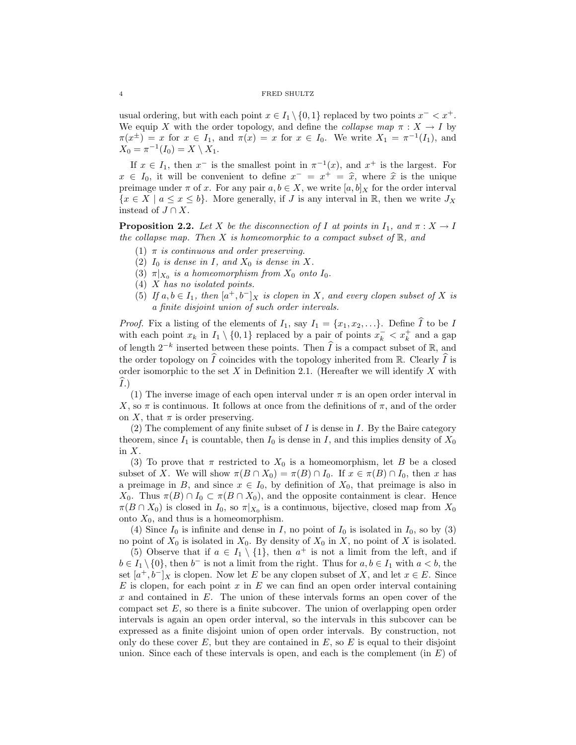usual ordering, but with each point  $x \in I_1 \setminus \{0,1\}$  replaced by two points  $x^- < x^+$ . We equip X with the order topology, and define the collapse map  $\pi : X \to I$  by  $\pi(x^{\pm}) = x$  for  $x \in I_1$ , and  $\pi(x) = x$  for  $x \in I_0$ . We write  $X_1 = \pi^{-1}(I_1)$ , and  $X_0 = \pi^{-1}(I_0) = X \setminus X_1.$ 

If  $x \in I_1$ , then  $x^-$  is the smallest point in  $\pi^{-1}(x)$ , and  $x^+$  is the largest. For  $x \in I_0$ , it will be convenient to define  $x^- = x^+ = \hat{x}$ , where  $\hat{x}$  is the unique preimage under  $\pi$  of x. For any pair  $a, b \in X$ , we write  $[a, b]_X$  for the order interval  ${x \in X \mid a \leq x \leq b}$ . More generally, if J is any interval in R, then we write  $J_X$ instead of  $J \cap X$ .

**Proposition 2.2.** Let X be the disconnection of I at points in  $I_1$ , and  $\pi: X \to I$ the collapse map. Then X is homeomorphic to a compact subset of  $\mathbb{R}$ , and

- (1)  $\pi$  is continuous and order preserving.
- (2)  $I_0$  is dense in  $I$ , and  $X_0$  is dense in  $X$ .
- (3)  $\pi|_{X_0}$  is a homeomorphism from  $X_0$  onto  $I_0$ .
- (4) X has no isolated points.
- (5) If  $a, b \in I_1$ , then  $[a^+, b^-]_X$  is clopen in X, and every clopen subset of X is a finite disjoint union of such order intervals.

*Proof.* Fix a listing of the elements of  $I_1$ , say  $I_1 = \{x_1, x_2, ...\}$ . Define  $\widehat{I}$  to be I with each point  $x_k$  in  $I_1 \setminus \{0,1\}$  replaced by a pair of points  $x_k^- < x_k^+$  and a gap of length  $2^{-k}$  inserted between these points. Then  $\widehat{I}$  is a compact subset of  $\mathbb{R}$ , and the order topology on  $\widehat{I}$  coincides with the topology inherited from R. Clearly  $\widehat{I}$  is order isomorphic to the set  $X$  in Definition 2.1. (Hereafter we will identify  $X$  with  $\widehat{I}$ .)

(1) The inverse image of each open interval under  $\pi$  is an open order interval in X, so  $\pi$  is continuous. It follows at once from the definitions of  $\pi$ , and of the order on X, that  $\pi$  is order preserving.

(2) The complement of any finite subset of  $I$  is dense in  $I$ . By the Baire category theorem, since  $I_1$  is countable, then  $I_0$  is dense in I, and this implies density of  $X_0$ in  $X$ .

(3) To prove that  $\pi$  restricted to  $X_0$  is a homeomorphism, let B be a closed subset of X. We will show  $\pi(B \cap X_0) = \pi(B) \cap I_0$ . If  $x \in \pi(B) \cap I_0$ , then x has a preimage in B, and since  $x \in I_0$ , by definition of  $X_0$ , that preimage is also in X<sub>0</sub>. Thus  $\pi(B) \cap I_0 \subset \pi(B \cap X_0)$ , and the opposite containment is clear. Hence  $\pi(B \cap X_0)$  is closed in  $I_0$ , so  $\pi|_{X_0}$  is a continuous, bijective, closed map from  $X_0$ onto  $X_0$ , and thus is a homeomorphism.

(4) Since  $I_0$  is infinite and dense in I, no point of  $I_0$  is isolated in  $I_0$ , so by (3) no point of  $X_0$  is isolated in  $X_0$ . By density of  $X_0$  in  $X$ , no point of  $X$  is isolated.

(5) Observe that if  $a \in I_1 \setminus \{1\}$ , then  $a^+$  is not a limit from the left, and if  $b \in I_1 \setminus \{0\}$ , then  $b^-$  is not a limit from the right. Thus for  $a, b \in I_1$  with  $a < b$ , the set  $[a^+, b^-]_X$  is clopen. Now let E be any clopen subset of X, and let  $x \in E$ . Since  $E$  is clopen, for each point x in  $E$  we can find an open order interval containing x and contained in  $E$ . The union of these intervals forms an open cover of the compact set  $E$ , so there is a finite subcover. The union of overlapping open order intervals is again an open order interval, so the intervals in this subcover can be expressed as a finite disjoint union of open order intervals. By construction, not only do these cover  $E$ , but they are contained in  $E$ , so  $E$  is equal to their disjoint union. Since each of these intervals is open, and each is the complement (in  $E$ ) of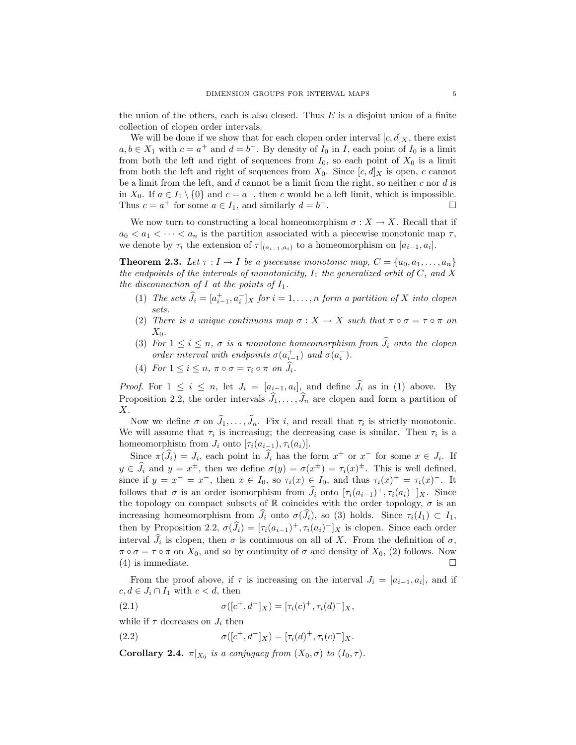the union of the others, each is also closed. Thus  $E$  is a disjoint union of a finite collection of clopen order intervals.

We will be done if we show that for each clopen order interval  $[c, d]_X$ , there exist  $a, b \in X_1$  with  $c = a^+$  and  $d = b^-$ . By density of  $I_0$  in I, each point of  $I_0$  is a limit from both the left and right of sequences from  $I_0$ , so each point of  $X_0$  is a limit from both the left and right of sequences from  $X_0$ . Since  $[c, d]_X$  is open, c cannot be a limit from the left, and d cannot be a limit from the right, so neither c nor d is in  $X_0$ . If  $a \in I_1 \setminus \{0\}$  and  $c = a^-$ , then c would be a left limit, which is impossible. Thus  $c = a^+$  for some  $a \in I_1$ , and similarly  $d = b$ −. □

We now turn to constructing a local homeomorphism  $\sigma : X \to X$ . Recall that if  $a_0 < a_1 < \cdots < a_n$  is the partition associated with a piecewise monotonic map  $\tau$ , we denote by  $\tau_i$  the extension of  $\tau|_{(a_{i-1},a_i)}$  to a homeomorphism on  $[a_{i-1},a_i]$ .

**Theorem 2.3.** Let  $\tau : I \to I$  be a piecewise monotonic map,  $C = \{a_0, a_1, \ldots, a_n\}$ the endpoints of the intervals of monotonicity,  $I_1$  the generalized orbit of C, and X the disconnection of  $I$  at the points of  $I_1$ .

- (1) The sets  $\widehat{J}_i = [a_{i-1}^+, a_i^-]_X$  for  $i = 1, ..., n$  form a partition of X into clopen sets.
- (2) There is a unique continuous map  $\sigma : X \to X$  such that  $\pi \circ \sigma = \tau \circ \pi$  on  $X_0$ .
- (3) For  $1 \leq i \leq n$ ,  $\sigma$  is a monotone homeomorphism from  $\widehat{J}_i$  onto the clopen order interval with endpoints  $\sigma(a_{i-1}^+)$  and  $\sigma(a_i^-)$ .
- (4) For  $1 \leq i \leq n$ ,  $\pi \circ \sigma = \tau_i \circ \pi$  on  $\widehat{J}_i$ .

*Proof.* For  $1 \leq i \leq n$ , let  $J_i = [a_{i-1}, a_i]$ , and define  $J_i$  as in (1) above. By Proposition 2.2, the order intervals  $J_1, \ldots, J_n$  are clopen and form a partition of X.

Now we define  $\sigma$  on  $J_1, \ldots, J_n$ . Fix i, and recall that  $\tau_i$  is strictly monotonic. We will assume that  $\tau_i$  is increasing; the decreasing case is similar. Then  $\tau_i$  is a homeomorphism from  $J_i$  onto  $[\tau_i(a_{i-1}), \tau_i(a_i)].$ 

Since  $\pi(\tilde{J}_i) = J_i$ , each point in  $\tilde{J}_i$  has the form  $x^+$  or  $x^-$  for some  $x \in J_i$ . If  $y \in \widehat{J}_i$  and  $y = x^{\pm}$ , then we define  $\sigma(y) = \sigma(x^{\pm}) = \tau_i(x)^{\pm}$ . This is well defined, since if  $y = x^+ = x^-$ , then  $x \in I_0$ , so  $\tau_i(x) \in I_0$ , and thus  $\tau_i(x)^+ = \tau_i(x)^-$ . It follows that  $\sigma$  is an order isomorphism from  $\hat{J}_i$  onto  $[\tau_i(a_{i-1})^+, \tau_i(a_i)^-]_X$ . Since the topology on compact subsets of R coincides with the order topology,  $\sigma$  is an increasing homeomorphism from  $\tilde{J}_i$  onto  $\sigma(\tilde{J}_i)$ , so (3) holds. Since  $\tau_i(I_1) \subset I_1$ , then by Proposition 2.2,  $\sigma(\widehat{J}_i) = [\tau_i(a_{i-1})^+, \tau_i(a_i)^-]_X$  is clopen. Since each order interval  $J_i$  is clopen, then  $\sigma$  is continuous on all of X. From the definition of  $\sigma$ ,  $\pi \circ \sigma = \tau \circ \pi$  on  $X_0$ , and so by continuity of  $\sigma$  and density of  $X_0$ , (2) follows. Now  $(4)$  is immediate.

From the proof above, if  $\tau$  is increasing on the interval  $J_i = [a_{i-1}, a_i]$ , and if  $c, d \in J_i \cap I_1$  with  $c < d$ , then

(2.1) 
$$
\sigma([c^+, d^-]_X) = [\tau_i(c)^+, \tau_i(d)^-]_X,
$$

while if  $\tau$  decreases on  $J_i$  then

(2.2) 
$$
\sigma([c^+, d^-]_X) = [\tau_i(d)^+, \tau_i(c)^-]_X.
$$

**Corollary 2.4.**  $\pi|_{X_0}$  is a conjugacy from  $(X_0, \sigma)$  to  $(I_0, \tau)$ .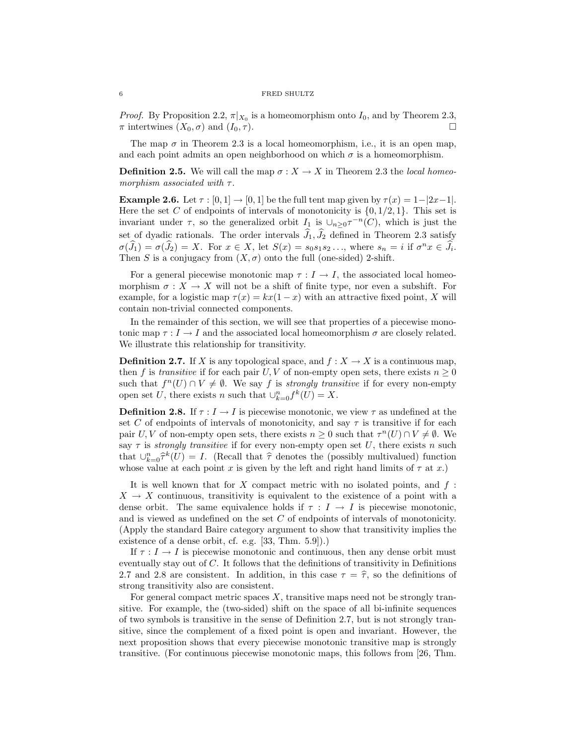*Proof.* By Proposition 2.2,  $\pi|_{X_0}$  is a homeomorphism onto  $I_0$ , and by Theorem 2.3,  $\pi$  intertwines  $(X_0, \sigma)$  and  $(I_0, \tau)$ .

The map  $\sigma$  in Theorem 2.3 is a local homeomorphism, i.e., it is an open map, and each point admits an open neighborhood on which  $\sigma$  is a homeomorphism.

**Definition 2.5.** We will call the map  $\sigma: X \to X$  in Theorem 2.3 the local homeomorphism associated with  $\tau$ .

**Example 2.6.** Let  $\tau$  : [0,1]  $\rightarrow$  [0,1] be the full tent map given by  $\tau(x) = 1-|2x-1|$ . Here the set C of endpoints of intervals of monotonicity is  $\{0, 1/2, 1\}$ . This set is invariant under  $\tau$ , so the generalized orbit  $I_1$  is  $\cup_{n\geq 0} \tau^{-n}(C)$ , which is just the set of dyadic rationals. The order intervals  $\hat{J}_1, \hat{J}_2$  defined in Theorem 2.3 satisfy  $\sigma(\widehat{J}_1) = \sigma(\widehat{J}_2) = X$ . For  $x \in X$ , let  $S(x) = s_0 s_1 s_2 \dots$ , where  $s_n = i$  if  $\sigma^n x \in \widehat{J}_i$ . Then S is a conjugacy from  $(X, \sigma)$  onto the full (one-sided) 2-shift.

For a general piecewise monotonic map  $\tau : I \to I$ , the associated local homeomorphism  $\sigma: X \to X$  will not be a shift of finite type, nor even a subshift. For example, for a logistic map  $\tau(x) = kx(1-x)$  with an attractive fixed point, X will contain non-trivial connected components.

In the remainder of this section, we will see that properties of a piecewise monotonic map  $\tau : I \to I$  and the associated local homeomorphism  $\sigma$  are closely related. We illustrate this relationship for transitivity.

**Definition 2.7.** If X is any topological space, and  $f : X \to X$  is a continuous map, then f is transitive if for each pair U, V of non-empty open sets, there exists  $n \geq 0$ such that  $f^{n}(U) \cap V \neq \emptyset$ . We say f is *strongly transitive* if for every non-empty open set U, there exists n such that  $\bigcup_{k=0}^{n} f^{k}(U) = X$ .

**Definition 2.8.** If  $\tau : I \to I$  is piecewise monotonic, we view  $\tau$  as undefined at the set C of endpoints of intervals of monotonicity, and say  $\tau$  is transitive if for each pair U, V of non-empty open sets, there exists  $n \geq 0$  such that  $\tau^{n}(U) \cap V \neq \emptyset$ . We say  $\tau$  is *strongly transitive* if for every non-empty open set U, there exists n such that  $\bigcup_{k=0}^{n} \hat{\tau}^k(U) = I$ . (Recall that  $\hat{\tau}$  denotes the (possibly multivalued) function<br>whose value at each point x is given by the left and right hand limits of  $\tau$  at x) whose value at each point x is given by the left and right hand limits of  $\tau$  at x.)

It is well known that for  $X$  compact metric with no isolated points, and  $f$ :  $X \to X$  continuous, transitivity is equivalent to the existence of a point with a dense orbit. The same equivalence holds if  $\tau : I \to I$  is piecewise monotonic, and is viewed as undefined on the set C of endpoints of intervals of monotonicity. (Apply the standard Baire category argument to show that transitivity implies the existence of a dense orbit, cf. e.g. [33, Thm. 5.9]).)

If  $\tau : I \to I$  is piecewise monotonic and continuous, then any dense orbit must eventually stay out of  $C$ . It follows that the definitions of transitivity in Definitions 2.7 and 2.8 are consistent. In addition, in this case  $\tau = \hat{\tau}$ , so the definitions of strong transitivity also are consistent.

For general compact metric spaces  $X$ , transitive maps need not be strongly transitive. For example, the (two-sided) shift on the space of all bi-infinite sequences of two symbols is transitive in the sense of Definition 2.7, but is not strongly transitive, since the complement of a fixed point is open and invariant. However, the next proposition shows that every piecewise monotonic transitive map is strongly transitive. (For continuous piecewise monotonic maps, this follows from [26, Thm.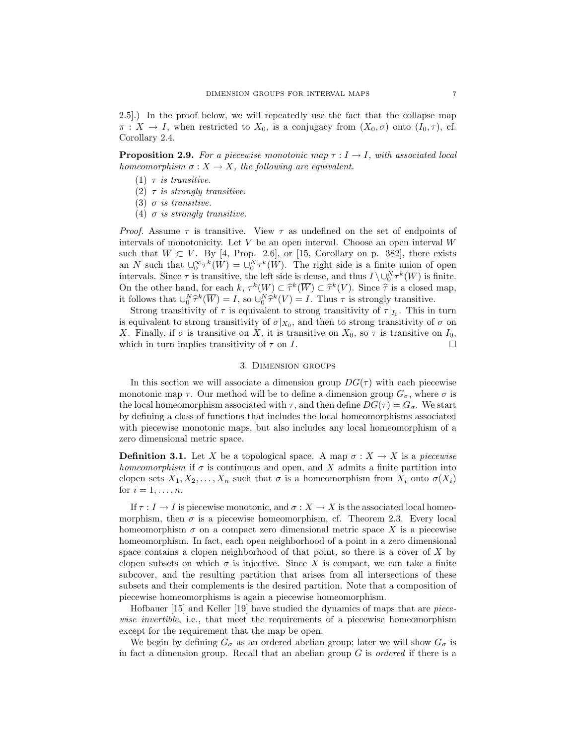2.5].) In the proof below, we will repeatedly use the fact that the collapse map  $\pi: X \to I$ , when restricted to  $X_0$ , is a conjugacy from  $(X_0, \sigma)$  onto  $(I_0, \tau)$ , cf. Corollary 2.4.

**Proposition 2.9.** For a piecewise monotonic map  $\tau : I \to I$ , with associated local homeomorphism  $\sigma : X \to X$ , the following are equivalent.

- (1)  $\tau$  is transitive.
- (2)  $\tau$  is strongly transitive.
- (3)  $\sigma$  is transitive.
- (4)  $\sigma$  is strongly transitive.

*Proof.* Assume  $\tau$  is transitive. View  $\tau$  as undefined on the set of endpoints of intervals of monotonicity. Let  $V$  be an open interval. Choose an open interval  $W$ such that  $\overline{W} \subset V$ . By [4, Prop. 2.6], or [15, Corollary on p. 382], there exists an N such that  $\bigcup_{0}^{\infty} \tau^{k}(W) = \bigcup_{0}^{N} \tau^{k}(W)$ . The right side is a finite union of open intervals. Since  $\tau$  is transitive, the left side is dense, and thus  $I \setminus \cup_0^N \tau^k(W)$  is finite. On the other hand, for each  $k, \tau^k(W) \subset \hat{\tau}^k(\overline{W}) \subset \hat{\tau}^k(V)$ . Since  $\hat{\tau}$  is a closed map,<br>it follows that  $\cup^N \hat{\tau}^k(\overline{W}) = L$  so  $\cup^N \hat{\tau}^k(V) = L$ . Thus  $\tau$  is strongly transitive it follows that  $\bigcup_{0}^{N} \widehat{\tau}^{k}(\overline{W}) = I$ , so  $\bigcup_{0}^{N} \widehat{\tau}^{k}(V) = I$ . Thus  $\tau$  is strongly transitive.

Strong transitivity of  $\tau$  is equivalent to strong transitivity of  $\tau|_{I_0}$ . This in turn is equivalent to strong transitivity of  $\sigma|_{X_0}$ , and then to strong transitivity of  $\sigma$  on X. Finally, if  $\sigma$  is transitive on X, it is transitive on  $X_0$ , so  $\tau$  is transitive on  $I_0$ , which in turn implies transitivity of  $\tau$  on I.

### 3. Dimension groups

In this section we will associate a dimension group  $DG(\tau)$  with each piecewise monotonic map  $\tau$ . Our method will be to define a dimension group  $G_{\sigma}$ , where  $\sigma$  is the local homeomorphism associated with  $\tau$ , and then define  $DG(\tau) = G_{\sigma}$ . We start by defining a class of functions that includes the local homeomorphisms associated with piecewise monotonic maps, but also includes any local homeomorphism of a zero dimensional metric space.

**Definition 3.1.** Let X be a topological space. A map  $\sigma: X \to X$  is a piecewise homeomorphism if  $\sigma$  is continuous and open, and X admits a finite partition into clopen sets  $X_1, X_2, \ldots, X_n$  such that  $\sigma$  is a homeomorphism from  $X_i$  onto  $\sigma(X_i)$ for  $i = 1, \ldots, n$ .

If  $\tau : I \to I$  is piecewise monotonic, and  $\sigma : X \to X$  is the associated local homeomorphism, then  $\sigma$  is a piecewise homeomorphism, cf. Theorem 2.3. Every local homeomorphism  $\sigma$  on a compact zero dimensional metric space X is a piecewise homeomorphism. In fact, each open neighborhood of a point in a zero dimensional space contains a clopen neighborhood of that point, so there is a cover of X by clopen subsets on which  $\sigma$  is injective. Since X is compact, we can take a finite subcover, and the resulting partition that arises from all intersections of these subsets and their complements is the desired partition. Note that a composition of piecewise homeomorphisms is again a piecewise homeomorphism.

Hofbauer [15] and Keller [19] have studied the dynamics of maps that are *piece*wise invertible, i.e., that meet the requirements of a piecewise homeomorphism except for the requirement that the map be open.

We begin by defining  $G_{\sigma}$  as an ordered abelian group; later we will show  $G_{\sigma}$  is in fact a dimension group. Recall that an abelian group  $G$  is *ordered* if there is a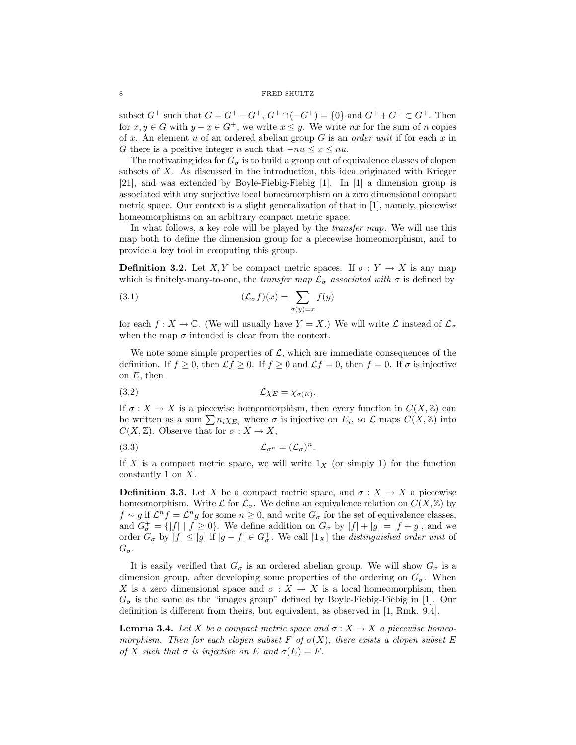subset  $G^+$  such that  $G = G^+ - G^+$ ,  $G^+ \cap (-G^+) = \{0\}$  and  $G^+ + G^+ \subset G^+$ . Then for  $x, y \in G$  with  $y - x \in G^+$ , we write  $x \leq y$ . We write  $nx$  for the sum of n copies of x. An element u of an ordered abelian group  $G$  is an order unit if for each x in G there is a positive integer n such that  $-nu \leq x \leq nu$ .

The motivating idea for  $G_{\sigma}$  is to build a group out of equivalence classes of clopen subsets of  $X$ . As discussed in the introduction, this idea originated with Krieger [21], and was extended by Boyle-Fiebig-Fiebig [1]. In [1] a dimension group is associated with any surjective local homeomorphism on a zero dimensional compact metric space. Our context is a slight generalization of that in [1], namely, piecewise homeomorphisms on an arbitrary compact metric space.

In what follows, a key role will be played by the *transfer map*. We will use this map both to define the dimension group for a piecewise homeomorphism, and to provide a key tool in computing this group.

**Definition 3.2.** Let X, Y be compact metric spaces. If  $\sigma: Y \to X$  is any map which is finitely-many-to-one, the *transfer map*  $\mathcal{L}_{\sigma}$  associated with  $\sigma$  is defined by

(3.1) 
$$
(\mathcal{L}_{\sigma}f)(x) = \sum_{\sigma(y)=x} f(y)
$$

for each  $f: X \to \mathbb{C}$ . (We will usually have  $Y = X$ .) We will write  $\mathcal{L}$  instead of  $\mathcal{L}_{\sigma}$ when the map  $\sigma$  intended is clear from the context.

We note some simple properties of  $\mathcal{L}$ , which are immediate consequences of the definition. If  $f \geq 0$ , then  $\mathcal{L}f \geq 0$ . If  $f \geq 0$  and  $\mathcal{L}f = 0$ , then  $f = 0$ . If  $\sigma$  is injective on  $E$ , then

$$
(3.2) \t\t\t\t \mathcal{L}\chi_E = \chi_{\sigma(E)}.
$$

If  $\sigma: X \to X$  is a piecewise homeomorphism, then every function in  $C(X, \mathbb{Z})$  can be written as a sum  $\sum n_i \chi_{E_i}$  where  $\sigma$  is injective on  $E_i$ , so  $\mathcal L$  maps  $C(X,\mathbb Z)$  into  $C(X, \mathbb{Z})$ . Observe that for  $\sigma : X \to X$ ,

$$
(3.3) \t\t \t\t \mathcal{L}_{\sigma^n} = (\mathcal{L}_{\sigma})^n.
$$

If X is a compact metric space, we will write  $1<sub>X</sub>$  (or simply 1) for the function constantly 1 on X.

**Definition 3.3.** Let X be a compact metric space, and  $\sigma : X \to X$  a piecewise homeomorphism. Write  $\mathcal L$  for  $\mathcal L_{\sigma}$ . We define an equivalence relation on  $C(X,\mathbb Z)$  by  $f \sim g$  if  $\mathcal{L}^n f = \mathcal{L}^n g$  for some  $n \geq 0$ , and write  $G_{\sigma}$  for the set of equivalence classes, and  $G_{\sigma}^{+} = \{ [f] \mid f \ge 0 \}$ . We define addition on  $G_{\sigma}$  by  $[f] + [g] = [f + g]$ , and we order  $G_{\sigma}$  by  $[f] \leq [g]$  if  $[g - f] \in G_{\sigma}^+$ . We call  $[1_X]$  the *distinguished order unit* of  $G_{\sigma}$ .

It is easily verified that  $G_{\sigma}$  is an ordered abelian group. We will show  $G_{\sigma}$  is a dimension group, after developing some properties of the ordering on  $G_{\sigma}$ . When X is a zero dimensional space and  $\sigma: X \to X$  is a local homeomorphism, then  $G_{\sigma}$  is the same as the "images group" defined by Boyle-Fiebig-Fiebig in [1]. Our definition is different from theirs, but equivalent, as observed in [1, Rmk. 9.4].

**Lemma 3.4.** Let X be a compact metric space and  $\sigma: X \to X$  a piecewise homeomorphism. Then for each clopen subset F of  $\sigma(X)$ , there exists a clopen subset E of X such that  $\sigma$  is injective on E and  $\sigma(E) = F$ .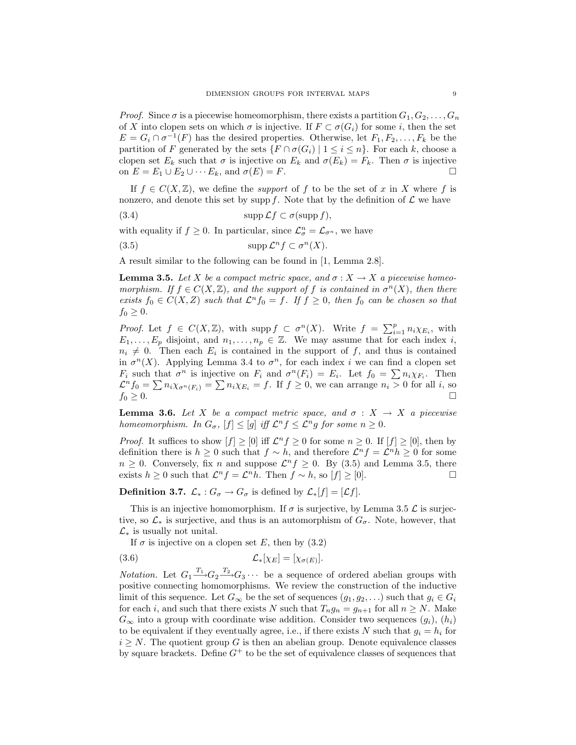*Proof.* Since  $\sigma$  is a piecewise homeomorphism, there exists a partition  $G_1, G_2, \ldots, G_n$ of X into clopen sets on which  $\sigma$  is injective. If  $F \subset \sigma(G_i)$  for some i, then the set  $E = G_i \cap \sigma^{-1}(F)$  has the desired properties. Otherwise, let  $F_1, F_2, \ldots, F_k$  be the partition of F generated by the sets  $\{F \cap \sigma(G_i) \mid 1 \leq i \leq n\}$ . For each k, choose a clopen set  $E_k$  such that  $\sigma$  is injective on  $E_k$  and  $\sigma(E_k) = F_k$ . Then  $\sigma$  is injective on  $E = E_1 \cup E_2 \cup \cdots E_k$ , and  $\sigma(E) = F$ .

If  $f \in C(X,\mathbb{Z})$ , we define the *support* of f to be the set of x in X where f is nonzero, and denote this set by supp f. Note that by the definition of  $\mathcal L$  we have

(3.4) 
$$
\mathrm{supp}\,\mathcal{L}f\subset\sigma(\mathrm{supp}\,f),
$$

with equality if  $f \geq 0$ . In particular, since  $\mathcal{L}_{\sigma}^{n} = \mathcal{L}_{\sigma^{n}}$ , we have

(3.5) 
$$
\operatorname{supp} \mathcal{L}^n f \subset \sigma^n(X).
$$

A result similar to the following can be found in [1, Lemma 2.8].

**Lemma 3.5.** Let X be a compact metric space, and  $\sigma: X \to X$  a piecewise homeomorphism. If  $f \in C(X,\mathbb{Z})$ , and the support of f is contained in  $\sigma^n(X)$ , then there exists  $f_0 \in C(X,Z)$  such that  $\mathcal{L}^n f_0 = f$ . If  $f \geq 0$ , then  $f_0$  can be chosen so that  $f_0 \geq 0$ .

*Proof.* Let  $f \in C(X, \mathbb{Z})$ , with supp  $f \subset \sigma^n(X)$ . Write  $f = \sum_{i=1}^p n_i \chi_{E_i}$ , with  $E_1, \ldots, E_p$  disjoint, and  $n_1, \ldots, n_p \in \mathbb{Z}$ . We may assume that for each index i,  $n_i \neq 0$ . Then each  $E_i$  is contained in the support of f, and thus is contained in  $\sigma^{n}(X)$ . Applying Lemma 3.4 to  $\sigma^{n}$ , for each index i we can find a clopen set  $F_i$  such that  $\sigma^n$  is injective on  $F_i$  and  $\sigma^n(F_i) = E_i$ . Let  $f_0 = \sum n_i \chi_{F_i}$ . Then  $\mathcal{L}^n f_0 = \sum n_i \chi_{\sigma^n(F_i)} = \sum n_i \chi_{E_i} = f.$  If  $f \geq 0$ , we can arrange  $n_i > 0$  for all i, so  $f_0 \geq 0.$ 

**Lemma 3.6.** Let X be a compact metric space, and  $\sigma : X \to X$  a piecewise homeomorphism. In  $G_{\sigma}$ ,  $[f] \leq [g]$  iff  $\mathcal{L}^n f \leq \mathcal{L}^n g$  for some  $n \geq 0$ .

*Proof.* It suffices to show  $[f] \geq [0]$  iff  $\mathcal{L}^n f \geq 0$  for some  $n \geq 0$ . If  $[f] \geq [0]$ , then by definition there is  $h \geq 0$  such that  $f \sim h$ , and therefore  $\mathcal{L}^n f = \mathcal{L}^n h \geq 0$  for some  $n \geq 0$ . Conversely, fix n and suppose  $\mathcal{L}^n f \geq 0$ . By (3.5) and Lemma 3.5, there exists  $h \geq 0$  such that  $\mathcal{L}^n f = \mathcal{L}^n h$ . Then  $f \sim h$ , so  $[f] \geq [0]$ . □

**Definition 3.7.**  $\mathcal{L}_*: G_{\sigma} \to G_{\sigma}$  is defined by  $\mathcal{L}_*[f] = [\mathcal{L}f]$ .

This is an injective homomorphism. If  $\sigma$  is surjective, by Lemma 3.5  $\mathcal L$  is surjective, so  $\mathcal{L}_{*}$  is surjective, and thus is an automorphism of  $G_{\sigma}$ . Note, however, that  $\mathcal{L}_*$  is usually not unital.

If  $\sigma$  is injective on a clopen set E, then by (3.2)

$$
(3.6) \t\t \t\t \mathcal{L}_*[\chi_E] = [\chi_{\sigma(E)}].
$$

*Notation.* Let  $G_1 \xrightarrow{T_1} G_2 \xrightarrow{T_2} G_3 \cdots$  be a sequence of ordered abelian groups with positive connecting homomorphisms. We review the construction of the inductive limit of this sequence. Let  $G_{\infty}$  be the set of sequences  $(g_1, g_2, \ldots)$  such that  $g_i \in G_i$ for each *i*, and such that there exists N such that  $T_n g_n = g_{n+1}$  for all  $n \geq N$ . Make  $G_{\infty}$  into a group with coordinate wise addition. Consider two sequences  $(g_i)$ ,  $(h_i)$ to be equivalent if they eventually agree, i.e., if there exists N such that  $g_i = h_i$  for  $i \geq N$ . The quotient group G is then an abelian group. Denote equivalence classes by square brackets. Define  $G^+$  to be the set of equivalence classes of sequences that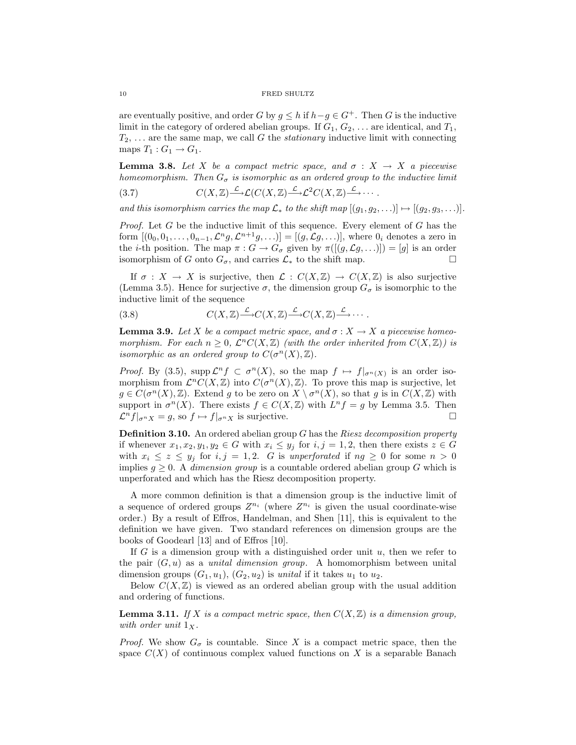are eventually positive, and order G by  $g \leq h$  if  $h-g \in G^+$ . Then G is the inductive limit in the category of ordered abelian groups. If  $G_1, G_2, \ldots$  are identical, and  $T_1$ ,  $T_2, \ldots$  are the same map, we call G the *stationary* inductive limit with connecting maps  $T_1:G_1\to G_1.$ 

**Lemma 3.8.** Let X be a compact metric space, and  $\sigma : X \to X$  a piecewise homeomorphism. Then  $G_{\sigma}$  is isomorphic as an ordered group to the inductive limit

(3.7) 
$$
C(X,\mathbb{Z}) \xrightarrow{\mathcal{L}} C(X,\mathbb{Z}) \xrightarrow{\mathcal{L}} C^2 C(X,\mathbb{Z}) \xrightarrow{\mathcal{L}} \cdots
$$

and this isomorphism carries the map  $\mathcal{L}_*$  to the shift map  $[(g_1, g_2, \ldots)] \mapsto [(g_2, g_3, \ldots)].$ 

*Proof.* Let G be the inductive limit of this sequence. Every element of G has the form  $[(0_0, 0_1, \ldots, 0_{n-1}, \mathcal{L}^n g, \mathcal{L}^{n+1} g, \ldots)] = [(g, \mathcal{L}g, \ldots)],$  where  $0_i$  denotes a zero in the *i*-th position. The map  $\pi: G \to G_{\sigma}$  given by  $\pi([(g,\mathcal{L}g,\ldots)]) = [g]$  is an order isomorphism of G onto  $G_{\sigma}$ , and carries  $\mathcal{L}_{*}$  to the shift map.

If  $\sigma : X \to X$  is surjective, then  $\mathcal{L} : C(X,\mathbb{Z}) \to C(X,\mathbb{Z})$  is also surjective (Lemma 3.5). Hence for surjective  $\sigma$ , the dimension group  $G_{\sigma}$  is isomorphic to the inductive limit of the sequence

$$
(3.8) \tC(X,\mathbb{Z}) \xrightarrow{\mathcal{L}} C(X,\mathbb{Z}) \xrightarrow{\mathcal{L}} C(X,\mathbb{Z}) \xrightarrow{\mathcal{L}} \cdots.
$$

**Lemma 3.9.** Let X be a compact metric space, and  $\sigma : X \to X$  a piecewise homeomorphism. For each  $n \geq 0$ ,  $\mathcal{L}^n C(X,\mathbb{Z})$  (with the order inherited from  $C(X,\mathbb{Z})$ ) is isomorphic as an ordered group to  $C(\sigma^n(X), \mathbb{Z})$ .

*Proof.* By (3.5), supp  $\mathcal{L}^nf \subset \sigma^n(X)$ , so the map  $f \mapsto f|_{\sigma^n(X)}$  is an order isomorphism from  $\mathcal{L}^nC(X,\mathbb{Z})$  into  $C(\sigma^n(X),\mathbb{Z})$ . To prove this map is surjective, let  $g \in C(\sigma^n(X), \mathbb{Z})$ . Extend g to be zero on  $X \setminus \sigma^n(X)$ , so that g is in  $C(X, \mathbb{Z})$  with support in  $\sigma^{n}(X)$ . There exists  $f \in C(X, \mathbb{Z})$  with  $L^{n} f = g$  by Lemma 3.5. Then  $\mathcal{L}^n f|_{\sigma^n X} = g$ , so  $f \mapsto f|_{\sigma^n X}$  is surjective.

**Definition 3.10.** An ordered abelian group  $G$  has the Riesz decomposition property if whenever  $x_1, x_2, y_1, y_2 \in G$  with  $x_i \leq y_j$  for  $i, j = 1, 2$ , then there exists  $z \in G$ with  $x_i \leq z \leq y_j$  for  $i, j = 1, 2$ . G is unperforated if  $ng \geq 0$  for some  $n > 0$ implies  $g \geq 0$ . A dimension group is a countable ordered abelian group G which is unperforated and which has the Riesz decomposition property.

A more common definition is that a dimension group is the inductive limit of a sequence of ordered groups  $Z^{n_i}$  (where  $Z^{n_i}$  is given the usual coordinate-wise order.) By a result of Effros, Handelman, and Shen [11], this is equivalent to the definition we have given. Two standard references on dimension groups are the books of Goodearl [13] and of Effros [10].

If G is a dimension group with a distinguished order unit  $u$ , then we refer to the pair  $(G, u)$  as a *unital dimension group*. A homomorphism between unital dimension groups  $(G_1, u_1), (G_2, u_2)$  is unital if it takes  $u_1$  to  $u_2$ .

Below  $C(X, \mathbb{Z})$  is viewed as an ordered abelian group with the usual addition and ordering of functions.

**Lemma 3.11.** If X is a compact metric space, then  $C(X, \mathbb{Z})$  is a dimension group, with order unit  $1_X$ .

*Proof.* We show  $G_{\sigma}$  is countable. Since X is a compact metric space, then the space  $C(X)$  of continuous complex valued functions on X is a separable Banach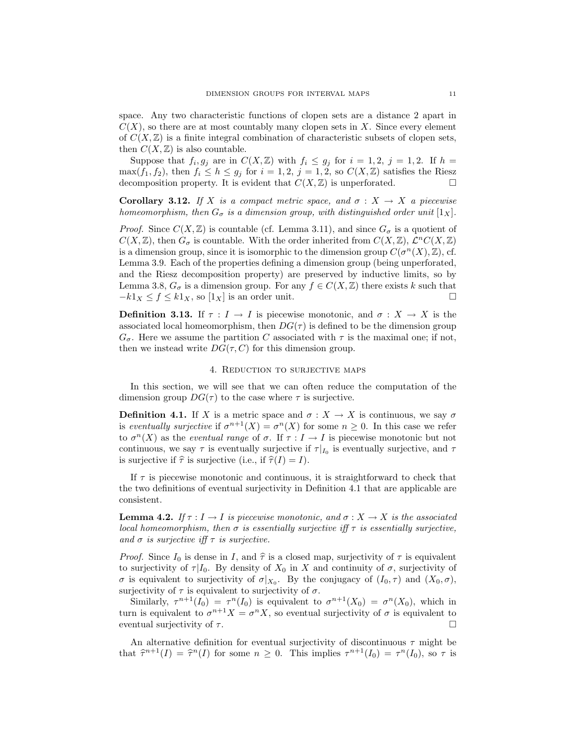space. Any two characteristic functions of clopen sets are a distance 2 apart in  $C(X)$ , so there are at most countably many clopen sets in X. Since every element of  $C(X, \mathbb{Z})$  is a finite integral combination of characteristic subsets of clopen sets, then  $C(X, \mathbb{Z})$  is also countable.

Suppose that  $f_i, g_j$  are in  $C(X, \mathbb{Z})$  with  $f_i \leq g_j$  for  $i = 1, 2, j = 1, 2$ . If  $h =$  $\max(f_1, f_2)$ , then  $f_i \leq h \leq g_j$  for  $i = 1, 2, j = 1, 2$ , so  $C(X, \mathbb{Z})$  satisfies the Riesz decomposition property. It is evident that  $C(X, \mathbb{Z})$  is unperforated.

**Corollary 3.12.** If X is a compact metric space, and  $\sigma : X \to X$  a piecewise homeomorphism, then  $G_{\sigma}$  is a dimension group, with distinguished order unit  $[1_X]$ .

*Proof.* Since  $C(X, \mathbb{Z})$  is countable (cf. Lemma 3.11), and since  $G_{\sigma}$  is a quotient of  $C(X, \mathbb{Z})$ , then  $G_{\sigma}$  is countable. With the order inherited from  $C(X, \mathbb{Z})$ ,  $\mathcal{L}^n C(X, \mathbb{Z})$ is a dimension group, since it is isomorphic to the dimension group  $C(\sigma^n(X), \mathbb{Z})$ , cf. Lemma 3.9. Each of the properties defining a dimension group (being unperforated, and the Riesz decomposition property) are preserved by inductive limits, so by Lemma 3.8,  $G_{\sigma}$  is a dimension group. For any  $f \in C(X,\mathbb{Z})$  there exists k such that  $-k1_X \le f \le k1_X$ , so  $\lfloor 1_X \rfloor$  is an order unit.

**Definition 3.13.** If  $\tau : I \to I$  is piecewise monotonic, and  $\sigma : X \to X$  is the associated local homeomorphism, then  $DG(\tau)$  is defined to be the dimension group  $G_{\sigma}$ . Here we assume the partition C associated with  $\tau$  is the maximal one; if not, then we instead write  $DG(\tau, C)$  for this dimension group.

### 4. Reduction to surjective maps

In this section, we will see that we can often reduce the computation of the dimension group  $DG(\tau)$  to the case where  $\tau$  is surjective.

**Definition 4.1.** If X is a metric space and  $\sigma : X \to X$  is continuous, we say  $\sigma$ is eventually surjective if  $\sigma^{n+1}(X) = \sigma^n(X)$  for some  $n \geq 0$ . In this case we refer to  $\sigma^{n}(X)$  as the *eventual range* of  $\sigma$ . If  $\tau: I \to I$  is piecewise monotonic but not continuous, we say  $\tau$  is eventually surjective if  $\tau|_{I_0}$  is eventually surjective, and  $\tau$ is surjective if  $\hat{\tau}$  is surjective (i.e., if  $\hat{\tau}(I) = I$ ).

If  $\tau$  is piecewise monotonic and continuous, it is straightforward to check that the two definitions of eventual surjectivity in Definition 4.1 that are applicable are consistent.

**Lemma 4.2.** If  $\tau : I \to I$  is piecewise monotonic, and  $\sigma : X \to X$  is the associated local homeomorphism, then  $\sigma$  is essentially surjective iff  $\tau$  is essentially surjective, and  $\sigma$  is surjective iff  $\tau$  is surjective.

*Proof.* Since  $I_0$  is dense in I, and  $\hat{\tau}$  is a closed map, surjectivity of  $\tau$  is equivalent to surjectivity of  $\tau | I_0$ . By density of  $X_0$  in X and continuity of  $\sigma$ , surjectivity of σ is equivalent to surjectivity of  $\sigma|_{X_0}$ . By the conjugacy of  $(I_0, \tau)$  and  $(X_0, \sigma)$ , surjectivity of  $\tau$  is equivalent to surjectivity of  $\sigma$ .

Similarly,  $\tau^{n+1}(I_0) = \tau^n(I_0)$  is equivalent to  $\sigma^{n+1}(X_0) = \sigma^n(X_0)$ , which in turn is equivalent to  $\sigma^{n+1}X = \sigma^n X$ , so eventual surjectivity of  $\sigma$  is equivalent to eventual surjectivity of  $\tau$ .

An alternative definition for eventual surjectivity of discontinuous  $\tau$  might be that  $\hat{\tau}^{n+1}(I) = \hat{\tau}^n(I)$  for some  $n \geq 0$ . This implies  $\tau^{n+1}(I_0) = \tau^n(I_0)$ , so  $\tau$  is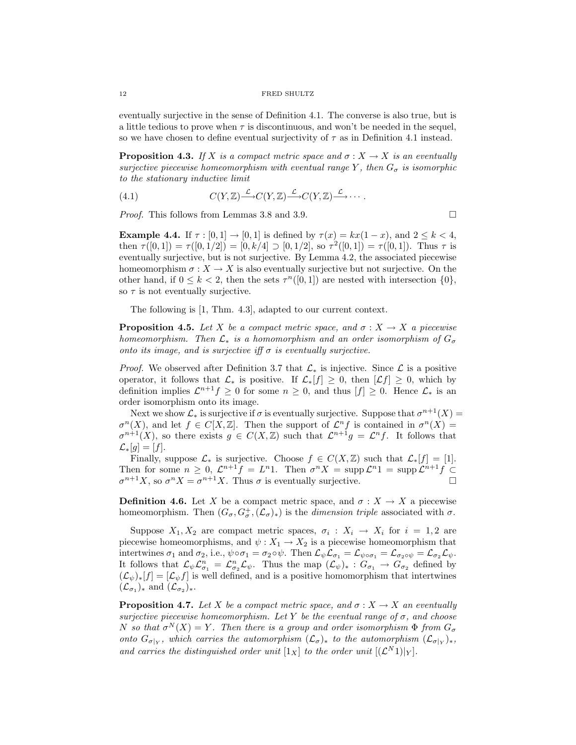eventually surjective in the sense of Definition 4.1. The converse is also true, but is a little tedious to prove when  $\tau$  is discontinuous, and won't be needed in the sequel, so we have chosen to define eventual surjectivity of  $\tau$  as in Definition 4.1 instead.

**Proposition 4.3.** If X is a compact metric space and  $\sigma : X \to X$  is an eventually surjective piecewise homeomorphism with eventual range Y, then  $G_{\sigma}$  is isomorphic to the stationary inductive limit

(4.1) 
$$
C(Y,\mathbb{Z}) \stackrel{\mathcal{L}}{\longrightarrow} C(Y,\mathbb{Z}) \stackrel{\mathcal{L}}{\longrightarrow} C(Y,\mathbb{Z}) \stackrel{\mathcal{L}}{\longrightarrow} \cdots
$$

*Proof.* This follows from Lemmas 3.8 and 3.9.

Example 4.4. If  $\tau : [0, 1] \rightarrow [0, 1]$  is defined by  $\tau(x) = kx(1-x)$ , and  $2 \leq k < 4$ , then  $\tau([0,1]) = \tau([0,1/2]) = [0,k/4] \supset [0,1/2]$ , so  $\tau^2([0,1]) = \tau([0,1])$ . Thus  $\tau$  is eventually surjective, but is not surjective. By Lemma 4.2, the associated piecewise homeomorphism  $\sigma: X \to X$  is also eventually surjective but not surjective. On the other hand, if  $0 \leq k < 2$ , then the sets  $\tau^{n}([0, 1])$  are nested with intersection  $\{0\}$ , so  $\tau$  is not eventually surjective.

The following is [1, Thm. 4.3], adapted to our current context.

**Proposition 4.5.** Let X be a compact metric space, and  $\sigma : X \to X$  a piecewise homeomorphism. Then  $\mathcal{L}_*$  is a homomorphism and an order isomorphism of  $G_{\sigma}$ onto its image, and is surjective iff  $\sigma$  is eventually surjective.

*Proof.* We observed after Definition 3.7 that  $\mathcal{L}_*$  is injective. Since  $\mathcal{L}$  is a positive operator, it follows that  $\mathcal{L}_*$  is positive. If  $\mathcal{L}_*[f] \geq 0$ , then  $|\mathcal{L}f| \geq 0$ , which by definition implies  $\mathcal{L}^{n+1}f \geq 0$  for some  $n \geq 0$ , and thus  $[f] \geq 0$ . Hence  $\mathcal{L}_{*}$  is an order isomorphism onto its image.

Next we show  $\mathcal{L}_*$  is surjective if  $\sigma$  is eventually surjective. Suppose that  $\sigma^{n+1}(X) =$  $\sigma^{n}(X)$ , and let  $f \in C[X,\mathbb{Z}]$ . Then the support of  $\mathcal{L}^{n}f$  is contained in  $\sigma^{n}(X) =$  $\sigma^{n+1}(X)$ , so there exists  $g \in C(X,\mathbb{Z})$  such that  $\mathcal{L}^{n+1}g = \mathcal{L}^nf$ . It follows that  $\mathcal{L}_*[g] = [f].$ 

Finally, suppose  $\mathcal{L}_*$  is surjective. Choose  $f \in C(X,\mathbb{Z})$  such that  $\mathcal{L}_*[f] = [1]$ . Then for some  $n \geq 0$ ,  $\mathcal{L}^{n+1}f = L^n1$ . Then  $\sigma^n X = \text{supp }\mathcal{L}^{n+1} = \text{supp }\mathcal{L}^{n+1}f \subset$  $\sigma^{n+1}X$ , so  $\sigma^n X = \sigma^{n+1}X$ . Thus  $\sigma$  is eventually surjective.

**Definition 4.6.** Let X be a compact metric space, and  $\sigma : X \to X$  a piecewise homeomorphism. Then  $(G_{\sigma}, G_{\sigma}^+, (\mathcal{L}_{\sigma})_*)$  is the *dimension triple* associated with  $\sigma$ .

Suppose  $X_1, X_2$  are compact metric spaces,  $\sigma_i : X_i \to X_i$  for  $i = 1, 2$  are piecewise homeomorphisms, and  $\psi: X_1 \to X_2$  is a piecewise homeomorphism that intertwines  $\sigma_1$  and  $\sigma_2$ , i.e.,  $\psi \circ \sigma_1 = \sigma_2 \circ \psi$ . Then  $\mathcal{L}_{\psi} \mathcal{L}_{\sigma_1} = \mathcal{L}_{\psi \circ \sigma_1} = \mathcal{L}_{\sigma_2 \circ \psi} = \mathcal{L}_{\sigma_2} \mathcal{L}_{\psi}$ . It follows that  $\mathcal{L}_{\psi}\mathcal{L}_{\sigma_1}^n = \mathcal{L}_{\sigma_2}^n\mathcal{L}_{\psi}$ . Thus the map  $(\mathcal{L}_{\psi})_* : G_{\sigma_1} \to G_{\sigma_2}$  defined by  $(\mathcal{L}_{\psi})_*[f] = [\mathcal{L}_{\psi}f]$  is well defined, and is a positive homomorphism that intertwines  $(\mathcal{L}_{\sigma_1})_*$  and  $(\mathcal{L}_{\sigma_2})_*$ .

**Proposition 4.7.** Let X be a compact metric space, and  $\sigma : X \to X$  an eventually surjective piecewise homeomorphism. Let Y be the eventual range of  $\sigma$ , and choose N so that  $\sigma^N(X) = Y$ . Then there is a group and order isomorphism  $\Phi$  from  $G_{\sigma}$ onto  $G_{\sigma|Y}$ , which carries the automorphism  $(\mathcal{L}_{\sigma})_*$  to the automorphism  $(\mathcal{L}_{\sigma|Y})_*$ , and carries the distinguished order unit  $[1_X]$  to the order unit  $[(\mathcal{L}^N1)|_Y]$ .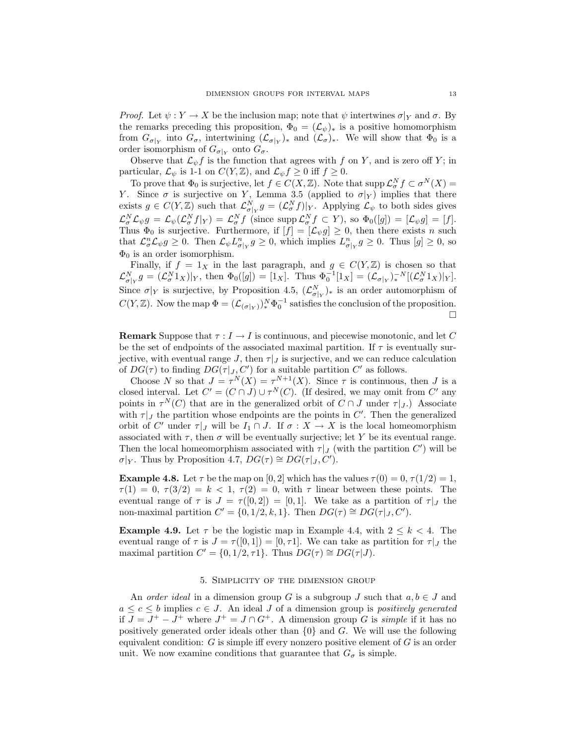*Proof.* Let  $\psi: Y \to X$  be the inclusion map; note that  $\psi$  intertwines  $\sigma|_Y$  and  $\sigma$ . By the remarks preceding this proposition,  $\Phi_0 = (\mathcal{L}_{\psi})_*$  is a positive homomorphism from  $G_{\sigma}|_Y$  into  $G_{\sigma}$ , intertwining  $(\mathcal{L}_{\sigma}|_Y)_*$  and  $(\mathcal{L}_{\sigma})_*$ . We will show that  $\Phi_0$  is a order isomorphism of  $G_{\sigma}|_Y$  onto  $G_{\sigma}$ .

Observe that  $\mathcal{L}_{\psi}f$  is the function that agrees with f on Y, and is zero off Y; in particular,  $\mathcal{L}_{\psi}$  is 1-1 on  $C(Y,\mathbb{Z})$ , and  $\mathcal{L}_{\psi} f \geq 0$  iff  $f \geq 0$ .

To prove that  $\Phi_0$  is surjective, let  $f \in C(X, \mathbb{Z})$ . Note that  $\text{supp }\mathcal{L}^N_\sigma f \subset \sigma^N(X)$ Y. Since  $\sigma$  is surjective on Y, Lemma 3.5 (applied to  $\sigma|_Y$ ) implies that there exists  $g \in C(Y,\mathbb{Z})$  such that  $\mathcal{L}^N_{\sigma|Y}g = (\mathcal{L}^N_{\sigma}f)|_Y$ . Applying  $\mathcal{L}_{\psi}$  to both sides gives  $\mathcal{L}_{\sigma}^{N}\mathcal{L}_{\psi}g = \mathcal{L}_{\psi}(\mathcal{L}_{\sigma}^{N}f|_{Y}) = \mathcal{L}_{\sigma}^{N}f$  (since  $\text{supp }\mathcal{L}_{\sigma}^{N}f \subset Y$ ), so  $\Phi_{0}([g]) = [\mathcal{L}_{\psi}g] = [f].$ Thus  $\Phi_0$  is surjective. Furthermore, if  $[f] = [\mathcal{L}_{\psi} g] \geq 0$ , then there exists n such that  $\mathcal{L}_{\sigma}^n \mathcal{L}_{\psi} g \geq 0$ . Then  $\mathcal{L}_{\psi} L_{\sigma|_{Y}}^n g \geq 0$ , which implies  $L_{\sigma|_{Y}}^n g \geq 0$ . Thus  $[g] \geq 0$ , so  $\Phi_0$  is an order isomorphism.

Finally, if  $f = 1_X$  in the last paragraph, and  $g \in C(Y, \mathbb{Z})$  is chosen so that  $\mathcal{L}_{\sigma|_Y}^N g = (\mathcal{L}_{\sigma}^N 1_X)|_Y$ , then  $\Phi_0([g]) = [1_X]$ . Thus  $\Phi_0^{-1}[1_X] = (\mathcal{L}_{\sigma|_Y})_*^{-N}[(\mathcal{L}_{\sigma}^N 1_X)|_Y]$ . Since  $\sigma|_Y$  is surjective, by Proposition 4.5,  $(\mathcal{L}^N_{\sigma|_Y})_*$  is an order automorphism of  $C(Y, \mathbb{Z})$ . Now the map  $\Phi = (\mathcal{L}_{(\sigma|_Y)})_*^N \Phi_0^{-1}$  satisfies the conclusion of the proposition.  $\Box$ 

**Remark** Suppose that  $\tau : I \to I$  is continuous, and piecewise monotonic, and let C be the set of endpoints of the associated maximal partition. If  $\tau$  is eventually surjective, with eventual range J, then  $\tau|_J$  is surjective, and we can reduce calculation of  $DG(\tau)$  to finding  $DG(\tau|_J, C')$  for a suitable partition  $C'$  as follows.

Choose N so that  $J = \tau^N(X) = \tau^{N+1}(X)$ . Since  $\tau$  is continuous, then J is a closed interval. Let  $C' = (C \cap J) \cup \tau^N(C)$ . (If desired, we may omit from C' any points in  $\tau^{N}(C)$  that are in the generalized orbit of  $C \cap J$  under  $\tau|_{J}$ .) Associate with  $\tau|_J$  the partition whose endpoints are the points in C'. Then the generalized orbit of C' under  $\tau|_J$  will be  $I_1 \cap J$ . If  $\sigma : X \to X$  is the local homeomorphism associated with  $\tau$ , then  $\sigma$  will be eventually surjective; let Y be its eventual range. Then the local homeomorphism associated with  $\tau|_J$  (with the partition C') will be  $\sigma|_Y$ . Thus by Proposition 4.7,  $DG(\tau) \cong DG(\tau|_J, C').$ 

**Example 4.8.** Let  $\tau$  be the map on [0, 2] which has the values  $\tau(0) = 0$ ,  $\tau(1/2) = 1$ ,  $\tau(1) = 0, \tau(3/2) = k < 1, \tau(2) = 0$ , with  $\tau$  linear between these points. The eventual range of  $\tau$  is  $J = \tau([0, 2]) = [0, 1]$ . We take as a partition of  $\tau|_J$  the non-maximal partition  $C' = \{0, 1/2, k, 1\}$ . Then  $DG(\tau) \cong DG(\tau|_J, C')$ .

**Example 4.9.** Let  $\tau$  be the logistic map in Example 4.4, with  $2 \leq k \leq 4$ . The eventual range of  $\tau$  is  $J = \tau([0, 1]) = [0, \tau]$ . We can take as partition for  $\tau|_J$  the maximal partition  $C' = \{0, 1/2, \tau\}$ . Thus  $DG(\tau) \cong DG(\tau|J)$ .

#### 5. Simplicity of the dimension group

An order ideal in a dimension group G is a subgroup J such that  $a, b \in J$  and  $a \leq c \leq b$  implies  $c \in J$ . An ideal J of a dimension group is positively generated if  $J = J^+ - J^+$  where  $J^+ = J \cap G^+$ . A dimension group G is *simple* if it has no positively generated order ideals other than  $\{0\}$  and G. We will use the following equivalent condition:  $G$  is simple iff every nonzero positive element of  $G$  is an order unit. We now examine conditions that guarantee that  $G_{\sigma}$  is simple.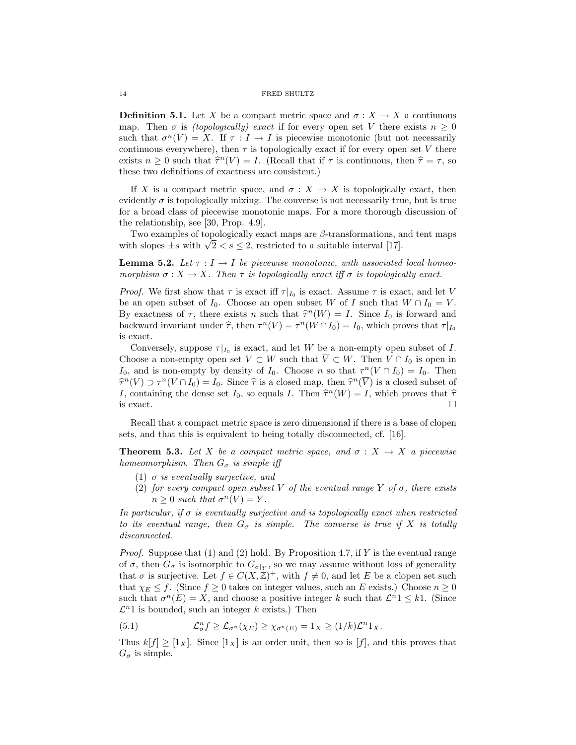**Definition 5.1.** Let X be a compact metric space and  $\sigma: X \to X$  a continuous map. Then  $\sigma$  is *(topologically) exact* if for every open set V there exists  $n \geq 0$ such that  $\sigma^{n}(V) = X$ . If  $\tau : I \to I$  is piecewise monotonic (but not necessarily continuous everywhere), then  $\tau$  is topologically exact if for every open set V there exists  $n \geq 0$  such that  $\hat{\tau}^n(V) = I$ . (Recall that if  $\tau$  is continuous, then  $\hat{\tau} = \tau$ , so these two definitions of exactness are consistent) these two definitions of exactness are consistent.)

If X is a compact metric space, and  $\sigma : X \to X$  is topologically exact, then evidently  $\sigma$  is topologically mixing. The converse is not necessarily true, but is true for a broad class of piecewise monotonic maps. For a more thorough discussion of the relationship, see [30, Prop. 4.9].

Two examples of topologically exact maps are  $\beta$ -transformations, and tent maps Two examples of topologically exact maps are  $\beta$ -transformations, a with slopes  $\pm s$  with  $\sqrt{2} < s \leq 2$ , restricted to a suitable interval [17].

**Lemma 5.2.** Let  $\tau : I \to I$  be piecewise monotonic, with associated local homeomorphism  $\sigma : X \to X$ . Then  $\tau$  is topologically exact iff  $\sigma$  is topologically exact.

*Proof.* We first show that  $\tau$  is exact iff  $\tau|_{I_0}$  is exact. Assume  $\tau$  is exact, and let V be an open subset of  $I_0$ . Choose an open subset W of I such that  $W \cap I_0 = V$ . By exactness of  $\tau$ , there exists n such that  $\hat{\tau}^n(W) = I$ . Since  $I_0$  is forward and hadronical interior  $\hat{\tau}$  than  $\tau^n(V) = \tau^n(W \cap I_1) - I_2$ , which proves that  $\tau|$ . backward invariant under  $\hat{\tau}$ , then  $\tau^{n}(V) = \tau^{n}(W \cap I_0) = I_0$ , which proves that  $\tau|_{I_0}$ is exact.

Conversely, suppose  $\tau|_{I_0}$  is exact, and let W be a non-empty open subset of I. Choose a non-empty open set  $V \subset W$  such that  $\overline{V} \subset W$ . Then  $V \cap I_0$  is open in I<sub>0</sub>, and is non-empty by density of I<sub>0</sub>. Choose n so that  $\tau^{n}(V \cap I_0) = I_0$ . Then  $\hat{\tau}^n(V) \supset \tau^n(V \cap I_0) = I_0$ . Since  $\hat{\tau}$  is a closed map, then  $\hat{\tau}^n(\overline{V})$  is a closed subset of  $I_0$  containing the dones set  $I_0$  so equals  $I_1$ . Then  $\hat{\tau}^n(W) = I_0$  which proves that  $\hat{\tau}$ I, containing the dense set  $I_0$ , so equals I. Then  $\hat{\tau}^n(W) = I$ , which proves that  $\hat{\tau}$ is exact.  $\Box$ 

Recall that a compact metric space is zero dimensional if there is a base of clopen sets, and that this is equivalent to being totally disconnected, cf. [16].

**Theorem 5.3.** Let X be a compact metric space, and  $\sigma : X \to X$  a piecewise homeomorphism. Then  $G_{\sigma}$  is simple iff

- (1)  $\sigma$  is eventually surjective, and
- (2) for every compact open subset V of the eventual range Y of  $\sigma$ , there exists  $n \geq 0$  such that  $\sigma^{n}(V) = Y$ .

In particular, if  $\sigma$  is eventually surjective and is topologically exact when restricted to its eventual range, then  $G_{\sigma}$  is simple. The converse is true if X is totally disconnected.

*Proof.* Suppose that (1) and (2) hold. By Proposition 4.7, if  $Y$  is the eventual range of  $\sigma$ , then  $G_{\sigma}$  is isomorphic to  $G_{\sigma|Y}$ , so we may assume without loss of generality that  $\sigma$  is surjective. Let  $f \in C(X, \mathbb{Z})^+$ , with  $f \neq 0$ , and let E be a clopen set such that  $\chi_E \leq f$ . (Since  $f \geq 0$  takes on integer values, such an E exists.) Choose  $n \geq 0$ such that  $\sigma^{n}(E) = X$ , and choose a positive integer k such that  $\mathcal{L}^{n}1 \leq k1$ . (Since  $\mathcal{L}^{n}$ 1 is bounded, such an integer k exists.) Then

(5.1) 
$$
\mathcal{L}_{\sigma}^n f \geq \mathcal{L}_{\sigma^n}(\chi_E) \geq \chi_{\sigma^n(E)} = 1_X \geq (1/k)\mathcal{L}^n 1_X.
$$

Thus  $k[f] \geq [1_X]$ . Since  $[1_X]$  is an order unit, then so is  $[f]$ , and this proves that  $G_{\sigma}$  is simple.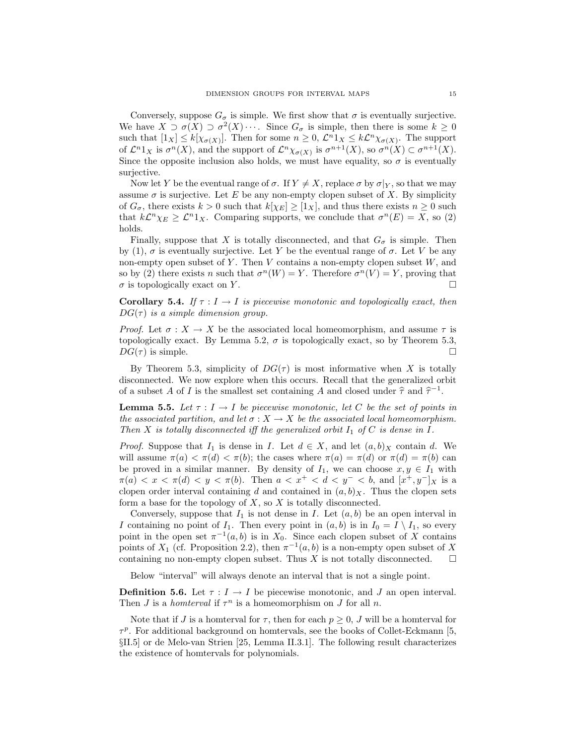Conversely, suppose  $G_{\sigma}$  is simple. We first show that  $\sigma$  is eventually surjective. We have  $X \supset \sigma(X) \supset \sigma^2(X) \cdots$ . Since  $G_{\sigma}$  is simple, then there is some  $k \geq 0$ such that  $[1_X] \leq k[\chi_{\sigma(X)}].$  Then for some  $n \geq 0$ ,  $\mathcal{L}^n 1_X \leq k\mathcal{L}^n \chi_{\sigma(X)}$ . The support of  $\mathcal{L}^n 1_X$  is  $\sigma^n(X)$ , and the support of  $\mathcal{L}^n \chi_{\sigma(X)}$  is  $\sigma^{n+1}(X)$ , so  $\sigma^n(X) \subset \sigma^{n+1}(X)$ . Since the opposite inclusion also holds, we must have equality, so  $\sigma$  is eventually surjective.

Now let Y be the eventual range of  $\sigma$ . If  $Y \neq X$ , replace  $\sigma$  by  $\sigma|_Y$ , so that we may assume  $\sigma$  is surjective. Let E be any non-empty clopen subset of X. By simplicity of  $G_{\sigma}$ , there exists  $k > 0$  such that  $k[\chi_E] \geq [1_X]$ , and thus there exists  $n \geq 0$  such that  $k\mathcal{L}^n\chi_E \geq \mathcal{L}^n\chi$ . Comparing supports, we conclude that  $\sigma^n(E) = X$ , so (2) holds.

Finally, suppose that X is totally disconnected, and that  $G_{\sigma}$  is simple. Then by (1),  $\sigma$  is eventually surjective. Let Y be the eventual range of  $\sigma$ . Let V be any non-empty open subset of  $Y$ . Then  $V$  contains a non-empty clopen subset  $W$ , and so by (2) there exists n such that  $\sigma^{n}(W) = Y$ . Therefore  $\sigma^{n}(V) = Y$ , proving that  $\sigma$  is topologically exact on Y.

**Corollary 5.4.** If  $\tau : I \to I$  is piecewise monotonic and topologically exact, then  $DG(\tau)$  is a simple dimension group.

*Proof.* Let  $\sigma: X \to X$  be the associated local homeomorphism, and assume  $\tau$  is topologically exact. By Lemma 5.2,  $\sigma$  is topologically exact, so by Theorem 5.3,  $DG(\tau)$  is simple.

By Theorem 5.3, simplicity of  $DG(\tau)$  is most informative when X is totally disconnected. We now explore when this occurs. Recall that the generalized orbit of a subset A of I is the smallest set containing A and closed under  $\hat{\tau}$  and  $\hat{\tau}^{-1}$ .

**Lemma 5.5.** Let  $\tau : I \to I$  be piecewise monotonic, let C be the set of points in the associated partition, and let  $\sigma : X \to X$  be the associated local homeomorphism. Then X is totally disconnected iff the generalized orbit  $I_1$  of C is dense in I.

*Proof.* Suppose that  $I_1$  is dense in I. Let  $d \in X$ , and let  $(a, b)_X$  contain d. We will assume  $\pi(a) < \pi(d) < \pi(b)$ ; the cases where  $\pi(a) = \pi(d)$  or  $\pi(d) = \pi(b)$  can be proved in a similar manner. By density of  $I_1$ , we can choose  $x, y \in I_1$  with  $\pi(a) < x < \pi(d) < y < \pi(b)$ . Then  $a < x^+ < d < y^- < b$ , and  $[x^+, y^-]_X$  is a clopen order interval containing d and contained in  $(a, b)_X$ . Thus the clopen sets form a base for the topology of  $X$ , so  $X$  is totally disconnected.

Conversely, suppose that  $I_1$  is not dense in  $I$ . Let  $(a, b)$  be an open interval in I containing no point of  $I_1$ . Then every point in  $(a, b)$  is in  $I_0 = I \setminus I_1$ , so every point in the open set  $\pi^{-1}(a, b)$  is in  $X_0$ . Since each clopen subset of X contains points of  $X_1$  (cf. Proposition 2.2), then  $\pi^{-1}(a, b)$  is a non-empty open subset of X containing no non-empty clopen subset. Thus X is not totally disconnected.  $\square$ 

Below "interval" will always denote an interval that is not a single point.

**Definition 5.6.** Let  $\tau: I \to I$  be piecewise monotonic, and J an open interval. Then *J* is a *homterval* if  $\tau^n$  is a homeomorphism on *J* for all *n*.

Note that if J is a hometryal for  $\tau$ , then for each  $p \geq 0$ , J will be a hometryal for  $\tau^p$ . For additional background on homtervals, see the books of Collet-Eckmann [5, §II.5] or de Melo-van Strien [25, Lemma II.3.1]. The following result characterizes the existence of homtervals for polynomials.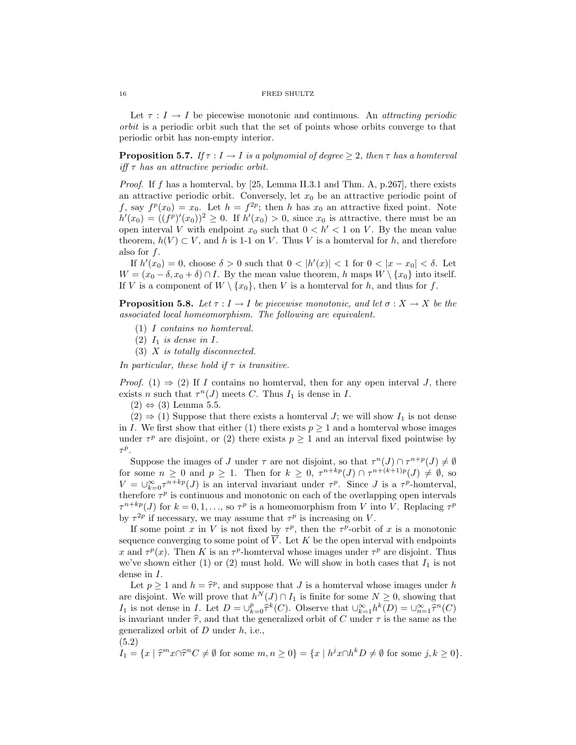Let  $\tau : I \to I$  be piecewise monotonic and continuous. An *attracting periodic* orbit is a periodic orbit such that the set of points whose orbits converge to that periodic orbit has non-empty interior.

**Proposition 5.7.** If  $\tau : I \to I$  is a polynomial of degree  $\geq 2$ , then  $\tau$  has a homterval iff  $\tau$  has an attractive periodic orbit.

*Proof.* If f has a homterval, by [25, Lemma II.3.1 and Thm. A, p.267], there exists an attractive periodic orbit. Conversely, let  $x_0$  be an attractive periodic point of f, say  $f^p(x_0) = x_0$ . Let  $h = f^{2p}$ ; then h has  $x_0$  an attractive fixed point. Note  $h'(x_0) = ((f^p)'(x_0))^2 \geq 0$ . If  $h'(x_0) > 0$ , since  $x_0$  is attractive, there must be an open interval V with endpoint  $x_0$  such that  $0 < h' < 1$  on V. By the mean value theorem,  $h(V) \subset V$ , and h is 1-1 on V. Thus V is a hometryal for h, and therefore also for  $f$ .

If  $h'(x_0) = 0$ , choose  $\delta > 0$  such that  $0 < |h'(x)| < 1$  for  $0 < |x - x_0| < \delta$ . Let  $W = (x_0 - \delta, x_0 + \delta) \cap I$ . By the mean value theorem, h maps  $W \setminus \{x_0\}$  into itself. If V is a component of  $W \setminus \{x_0\}$ , then V is a homterval for h, and thus for f.

**Proposition 5.8.** Let  $\tau : I \to I$  be piecewise monotonic, and let  $\sigma : X \to X$  be the associated local homeomorphism. The following are equivalent.

- (1) I contains no homterval.
- (2)  $I_1$  is dense in  $I$ .
- (3) X is totally disconnected.

In particular, these hold if  $\tau$  is transitive.

*Proof.* (1)  $\Rightarrow$  (2) If I contains no hometryal, then for any open interval J, there exists *n* such that  $\tau^{n}(J)$  meets *C*. Thus  $I_1$  is dense in *I*.

 $(2) \Leftrightarrow (3)$  Lemma 5.5.

 $(2) \Rightarrow (1)$  Suppose that there exists a hometryal J; we will show  $I_1$  is not dense in I. We first show that either (1) there exists  $p \geq 1$  and a homterval whose images under  $\tau^p$  are disjoint, or (2) there exists  $p \geq 1$  and an interval fixed pointwise by  $\tau^p$ .

Suppose the images of J under  $\tau$  are not disjoint, so that  $\tau^{n}(J) \cap \tau^{n+p}(J) \neq \emptyset$ for some  $n \geq 0$  and  $p \geq 1$ . Then for  $k \geq 0$ ,  $\tau^{n+kp}(J) \cap \tau^{n+(k+1)p}(J) \neq \emptyset$ , so  $V = \bigcup_{k=0}^{\infty} \tau^{n+kp}(J)$  is an interval invariant under  $\tau^p$ . Since J is a  $\tau^p$ -homterval, therefore  $\tau^p$  is continuous and monotonic on each of the overlapping open intervals  $\tau^{n+kp}(J)$  for  $k = 0, 1, \ldots$ , so  $\tau^p$  is a homeomorphism from V into V. Replacing  $\tau^p$ by  $\tau^{2p}$  if necessary, we may assume that  $\tau^p$  is increasing on V.

If some point x in V is not fixed by  $\tau^p$ , then the  $\tau^p$ -orbit of x is a monotonic sequence converging to some point of  $\overline{V}$ . Let K be the open interval with endpoints x and  $\tau^p(x)$ . Then K is an  $\tau^p$ -homterval whose images under  $\tau^p$  are disjoint. Thus we've shown either (1) or (2) must hold. We will show in both cases that  $I_1$  is not dense in I.

Let  $p \ge 1$  and  $h = \hat{\tau}^p$ , and suppose that J is a homterval whose images under h<br>politiciant. We will prove that  $h^N(I) \cap L$  is finite for some  $N \ge 0$ , showing that are disjoint. We will prove that  $h^N(J) \cap I_1$  is finite for some  $N \geq 0$ , showing that I<sub>1</sub> is not dense in I. Let  $D = \bigcup_{k=0}^{p} \hat{\tau}^k(C)$ . Observe that  $\bigcup_{k=1}^{\infty} h^k(D) = \bigcup_{n=1}^{\infty} \hat{\tau}^n(C)$ is invariant under  $\hat{\tau}$ , and that the generalized orbit of C under  $\tau$  is the same as the generalized orbit of  $D$  under  $h$ , i.e., (5.2)

$$
I_1 = \{x \mid \hat{\tau}^m x \cap \hat{\tau}^n C \neq \emptyset \text{ for some } m, n \ge 0\} = \{x \mid h^j x \cap h^k D \neq \emptyset \text{ for some } j, k \ge 0\}.
$$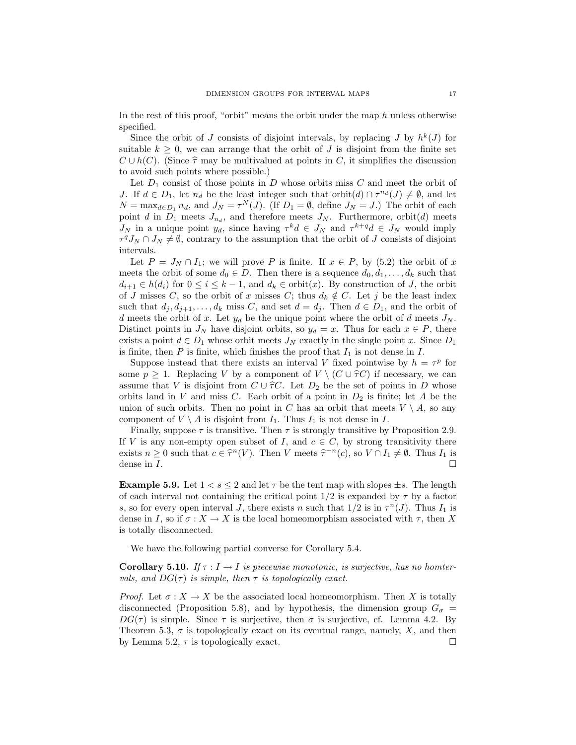In the rest of this proof, "orbit" means the orbit under the map h unless otherwise specified.

Since the orbit of J consists of disjoint intervals, by replacing J by  $h^k(J)$  for suitable  $k \geq 0$ , we can arrange that the orbit of J is disjoint from the finite set  $C \cup h(C)$ . (Since  $\hat{\tau}$  may be multivalued at points in C, it simplifies the discussion to avoid such points where possible.)

Let  $D_1$  consist of those points in D whose orbits miss C and meet the orbit of J. If  $d \in D_1$ , let  $n_d$  be the least integer such that  $\text{orbit}(d) \cap \tau^{n_d}(J) \neq \emptyset$ , and let  $N = \max_{d \in D_1} n_d$ , and  $J_N = \tau^N(J)$ . (If  $D_1 = \emptyset$ , define  $J_N = J$ .) The orbit of each point d in  $D_1$  meets  $J_{n_d}$ , and therefore meets  $J_N$ . Furthermore, orbit(d) meets  $J_N$  in a unique point  $y_d$ , since having  $\tau^k d \in J_N$  and  $\tau^{k+q} d \in J_N$  would imply  $\tau^q J_N \cap J_N \neq \emptyset$ , contrary to the assumption that the orbit of J consists of disjoint intervals.

Let  $P = J_N \cap I_1$ ; we will prove P is finite. If  $x \in P$ , by (5.2) the orbit of x meets the orbit of some  $d_0 \in D$ . Then there is a sequence  $d_0, d_1, \ldots, d_k$  such that  $d_{i+1} \in h(d_i)$  for  $0 \leq i \leq k-1$ , and  $d_k \in \text{orbit}(x)$ . By construction of J, the orbit of J misses C, so the orbit of x misses C; thus  $d_k \notin C$ . Let j be the least index such that  $d_j, d_{j+1}, \ldots, d_k$  miss C, and set  $d = d_j$ . Then  $d \in D_1$ , and the orbit of d meets the orbit of x. Let  $y_d$  be the unique point where the orbit of d meets  $J_N$ . Distinct points in  $J_N$  have disjoint orbits, so  $y_d = x$ . Thus for each  $x \in P$ , there exists a point  $d \in D_1$  whose orbit meets  $J_N$  exactly in the single point x. Since  $D_1$ is finite, then  $P$  is finite, which finishes the proof that  $I_1$  is not dense in  $I$ .

Suppose instead that there exists an interval V fixed pointwise by  $h = \tau^p$  for some  $p \geq 1$ . Replacing V by a component of  $V \setminus (C \cup \hat{\tau} C)$  if necessary, we can assume that V is disjoint from  $C \cup \hat{\tau}C$ . Let  $D_2$  be the set of points in D whose orbits land in V and miss C. Each orbit of a point in  $D_2$  is finite; let A be the union of such orbits. Then no point in C has an orbit that meets  $V \setminus A$ , so any component of  $V \setminus A$  is disjoint from  $I_1$ . Thus  $I_1$  is not dense in  $I$ .

Finally, suppose  $\tau$  is transitive. Then  $\tau$  is strongly transitive by Proposition 2.9. If V is any non-empty open subset of I, and  $c \in C$ , by strong transitivity there exists  $n \geq 0$  such that  $c \in \hat{\tau}^n(V)$ . Then V meets  $\hat{\tau}^{-n}(c)$ , so  $V \cap I_1 \neq \emptyset$ . Thus  $I_1$  is dense in  $I$ dense in  $I$ .

**Example 5.9.** Let  $1 < s \leq 2$  and let  $\tau$  be the tent map with slopes  $\pm s$ . The length of each interval not containing the critical point  $1/2$  is expanded by  $\tau$  by a factor s, so for every open interval J, there exists n such that  $1/2$  is in  $\tau^{n}(J)$ . Thus  $I_1$  is dense in I, so if  $\sigma: X \to X$  is the local homeomorphism associated with  $\tau$ , then X is totally disconnected.

We have the following partial converse for Corollary 5.4.

**Corollary 5.10.** If  $\tau : I \to I$  is piecewise monotonic, is surjective, has no homtervals, and  $DG(\tau)$  is simple, then  $\tau$  is topologically exact.

*Proof.* Let  $\sigma: X \to X$  be the associated local homeomorphism. Then X is totally disconnected (Proposition 5.8), and by hypothesis, the dimension group  $G_{\sigma}$  =  $DG(\tau)$  is simple. Since  $\tau$  is surjective, then  $\sigma$  is surjective, cf. Lemma 4.2. By Theorem 5.3,  $\sigma$  is topologically exact on its eventual range, namely, X, and then by Lemma 5.2,  $\tau$  is topologically exact.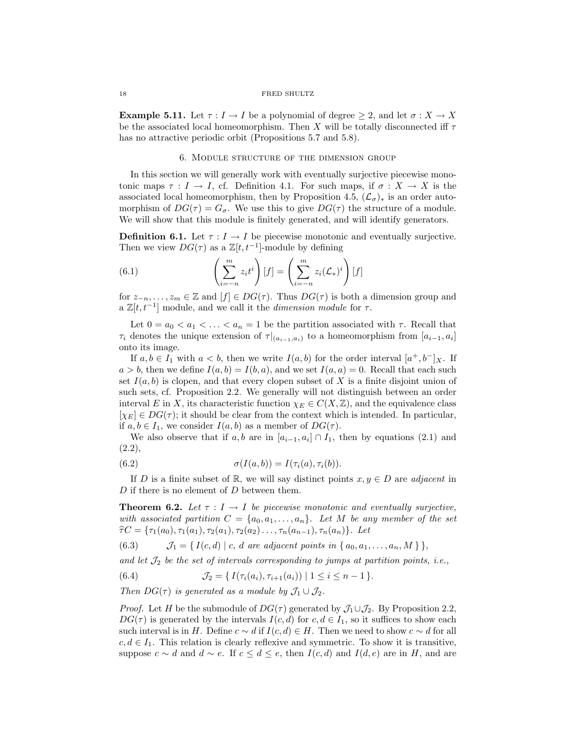**Example 5.11.** Let  $\tau : I \to I$  be a polynomial of degree  $\geq 2$ , and let  $\sigma : X \to X$ be the associated local homeomorphism. Then X will be totally disconnected iff  $\tau$ has no attractive periodic orbit (Propositions 5.7 and 5.8).

## 6. Module structure of the dimension group

In this section we will generally work with eventually surjective piecewise monotonic maps  $\tau : I \to I$ , cf. Definition 4.1. For such maps, if  $\sigma : X \to X$  is the associated local homeomorphism, then by Proposition 4.5,  $(\mathcal{L}_{\sigma})_*$  is an order automorphism of  $DG(\tau) = G_{\sigma}$ . We use this to give  $DG(\tau)$  the structure of a module. We will show that this module is finitely generated, and will identify generators.

**Definition 6.1.** Let  $\tau : I \to I$  be piecewise monotonic and eventually surjective. Then we view  $DG(\tau)$  as a  $\mathbb{Z}[t, t^{-1}]$ -module by defining

(6.1) 
$$
\left(\sum_{i=-n}^{m} z_i t^i\right) [f] = \left(\sum_{i=-n}^{m} z_i (\mathcal{L}_*)^i\right) [f]
$$

for  $z_{-n}, \ldots, z_m \in \mathbb{Z}$  and  $[f] \in DG(\tau)$ . Thus  $DG(\tau)$  is both a dimension group and a  $\mathbb{Z}[t, t^{-1}]$  module, and we call it the *dimension module* for  $\tau$ .

Let  $0 = a_0 < a_1 < \ldots < a_n = 1$  be the partition associated with  $\tau$ . Recall that  $\tau_i$  denotes the unique extension of  $\tau|_{(a_{i-1},a_i)}$  to a homeomorphism from  $[a_{i-1},a_i]$ onto its image.

If  $a, b \in I_1$  with  $a < b$ , then we write  $I(a, b)$  for the order interval  $[a^+, b^-]_X$ . If  $a > b$ , then we define  $I(a, b) = I(b, a)$ , and we set  $I(a, a) = 0$ . Recall that each such set  $I(a, b)$  is clopen, and that every clopen subset of X is a finite disjoint union of such sets, cf. Proposition 2.2. We generally will not distinguish between an order interval E in X, its characteristic function  $\chi_E \in C(X, \mathbb{Z})$ , and the equivalence class  $[\chi_E] \in DG(\tau)$ ; it should be clear from the context which is intended. In particular, if  $a, b \in I_1$ , we consider  $I(a, b)$  as a member of  $DG(\tau)$ .

We also observe that if  $a, b$  are in  $[a_{i-1}, a_i] \cap I_1$ , then by equations (2.1) and  $(2.2),$ 

(6.2) 
$$
\sigma(I(a,b)) = I(\tau_i(a), \tau_i(b)).
$$

If D is a finite subset of R, we will say distinct points  $x, y \in D$  are *adjacent* in  $D$  if there is no element of  $D$  between them.

**Theorem 6.2.** Let  $\tau : I \to I$  be piecewise monotonic and eventually surjective, with associated partition  $C = \{a_0, a_1, \ldots, a_n\}$ . Let M be any member of the set  $\hat{\tau}C = {\tau_1(a_0), \tau_1(a_1), \tau_2(a_1), \tau_2(a_2), \ldots, \tau_n(a_{n-1}), \tau_n(a_n)}$ . Let<br>
(6.3)  $\mathcal{J}_1 = {I(c, d) | c, d \text{ are adjacent points in } \{a_0, a_1, a_2\}}$ 

 $\mathcal{J}_1 = \{ I(c,d) | c, d \text{ are adjacent points in } \{ a_0, a_1, \ldots, a_n, M \} \},$ 

and let  $\mathcal{J}_2$  be the set of intervals corresponding to jumps at partition points, i.e.,

(6.4) 
$$
\mathcal{J}_2 = \{ I(\tau_i(a_i), \tau_{i+1}(a_i)) \mid 1 \leq i \leq n-1 \}.
$$

Then  $DG(\tau)$  is generated as a module by  $\mathcal{J}_1 \cup \mathcal{J}_2$ .

*Proof.* Let H be the submodule of  $DG(\tau)$  generated by  $\mathcal{J}_1 \cup \mathcal{J}_2$ . By Proposition 2.2,  $DG(\tau)$  is generated by the intervals  $I(c, d)$  for  $c, d \in I_1$ , so it suffices to show each such interval is in H. Define  $c \sim d$  if  $I(c, d) \in H$ . Then we need to show  $c \sim d$  for all  $c, d \in I_1$ . This relation is clearly reflexive and symmetric. To show it is transitive, suppose  $c \sim d$  and  $d \sim e$ . If  $c \leq d \leq e$ , then  $I(c,d)$  and  $I(d,e)$  are in H, and are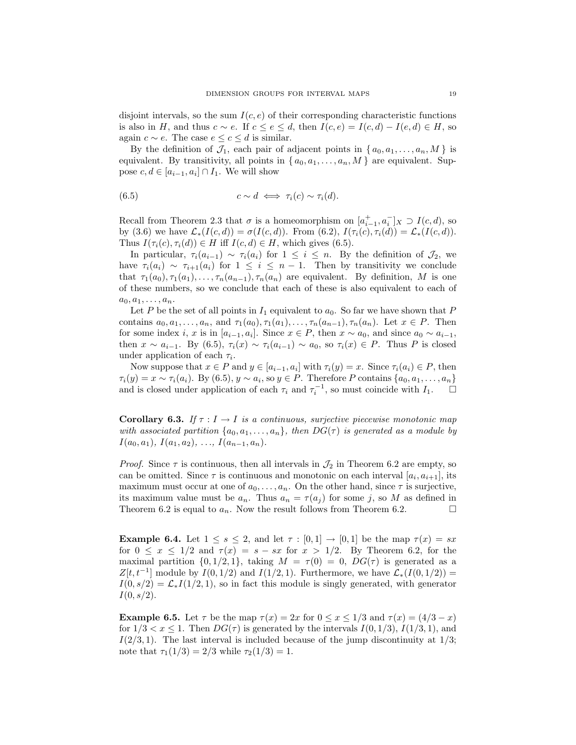disjoint intervals, so the sum  $I(c, e)$  of their corresponding characteristic functions is also in H, and thus  $c \sim e$ . If  $c \le e \le d$ , then  $I(c, e) = I(c, d) - I(e, d) \in H$ , so again  $c \sim e$ . The case  $e \leq c \leq d$  is similar.

By the definition of  $\mathcal{J}_1$ , each pair of adjacent points in  $\{a_0, a_1, \ldots, a_n, M\}$  is equivalent. By transitivity, all points in  $\{a_0, a_1, \ldots, a_n, M\}$  are equivalent. Suppose  $c, d \in [a_{i-1}, a_i] \cap I_1$ . We will show

(6.5) 
$$
c \sim d \iff \tau_i(c) \sim \tau_i(d).
$$

Recall from Theorem 2.3 that  $\sigma$  is a homeomorphism on  $[a_{i-1}^+, a_i^-]_X \supset I(c, d)$ , so by (3.6) we have  $\mathcal{L}_*(I(c,d)) = \sigma(I(c,d))$ . From (6.2),  $I(\tau_i(c), \tau_i(d)) = \mathcal{L}_*(I(c,d))$ . Thus  $I(\tau_i(c), \tau_i(d)) \in H$  iff  $I(c, d) \in H$ , which gives (6.5).

In particular,  $\tau_i(a_{i-1}) \sim \tau_i(a_i)$  for  $1 \leq i \leq n$ . By the definition of  $\mathcal{J}_2$ , we have  $\tau_i(a_i) \sim \tau_{i+1}(a_i)$  for  $1 \leq i \leq n-1$ . Then by transitivity we conclude that  $\tau_1(a_0), \tau_1(a_1), \ldots, \tau_n(a_{n-1}), \tau_n(a_n)$  are equivalent. By definition, M is one of these numbers, so we conclude that each of these is also equivalent to each of  $a_0, a_1, \ldots, a_n$ .

Let P be the set of all points in  $I_1$  equivalent to  $a_0$ . So far we have shown that P contains  $a_0, a_1, \ldots, a_n$ , and  $\tau_1(a_0), \tau_1(a_1), \ldots, \tau_n(a_{n-1}), \tau_n(a_n)$ . Let  $x \in P$ . Then for some index *i*, *x* is in  $[a_{i-1}, a_i]$ . Since  $x \in P$ , then  $x \sim a_0$ , and since  $a_0 \sim a_{i-1}$ , then  $x \sim a_{i-1}$ . By (6.5),  $\tau_i(x) \sim \tau_i(a_{i-1}) \sim a_0$ , so  $\tau_i(x) \in P$ . Thus P is closed under application of each  $\tau_i$ .

Now suppose that  $x \in P$  and  $y \in [a_{i-1}, a_i]$  with  $\tau_i(y) = x$ . Since  $\tau_i(a_i) \in P$ , then  $\tau_i(y) = x \sim \tau_i(a_i)$ . By  $(6.5)$ ,  $y \sim a_i$ , so  $y \in P$ . Therefore P contains  $\{a_0, a_1, \ldots, a_n\}$ and is closed under application of each  $\tau_i$  and  $\tau_i^{-1}$ , so must coincide with  $I_1$ .  $\Box$ 

**Corollary 6.3.** If  $\tau : I \to I$  is a continuous, surjective piecewise monotonic map with associated partition  $\{a_0, a_1, \ldots, a_n\}$ , then  $DG(\tau)$  is generated as a module by  $I(a_0, a_1), I(a_1, a_2), \ldots, I(a_{n-1}, a_n).$ 

*Proof.* Since  $\tau$  is continuous, then all intervals in  $\mathcal{J}_2$  in Theorem 6.2 are empty, so can be omitted. Since  $\tau$  is continuous and monotonic on each interval  $[a_i, a_{i+1}]$ , its maximum must occur at one of  $a_0, \ldots, a_n$ . On the other hand, since  $\tau$  is surjective, its maximum value must be  $a_n$ . Thus  $a_n = \tau(a_i)$  for some j, so M as defined in Theorem 6.2 is equal to  $a_n$ . Now the result follows from Theorem 6.2.

**Example 6.4.** Let  $1 \leq s \leq 2$ , and let  $\tau : [0,1] \rightarrow [0,1]$  be the map  $\tau(x) = sx$ for  $0 \leq x \leq 1/2$  and  $\tau(x) = s - sx$  for  $x > 1/2$ . By Theorem 6.2, for the maximal partition  $\{0, 1/2, 1\}$ , taking  $M = \tau(0) = 0$ ,  $DG(\tau)$  is generated as a  $Z[t, t^{-1}]$  module by  $I(0, 1/2)$  and  $I(1/2, 1)$ . Furthermore, we have  $\mathcal{L}_*(I(0, 1/2)) =$  $I(0, s/2) = \mathcal{L}_{*}I(1/2, 1)$ , so in fact this module is singly generated, with generator  $I(0, s/2)$ .

**Example 6.5.** Let  $\tau$  be the map  $\tau(x) = 2x$  for  $0 \le x \le 1/3$  and  $\tau(x) = (4/3 - x)$ for  $1/3 < x \leq 1$ . Then  $DG(\tau)$  is generated by the intervals  $I(0, 1/3)$ ,  $I(1/3, 1)$ , and  $I(2/3, 1)$ . The last interval is included because of the jump discontinuity at  $1/3$ ; note that  $\tau_1(1/3) = 2/3$  while  $\tau_2(1/3) = 1$ .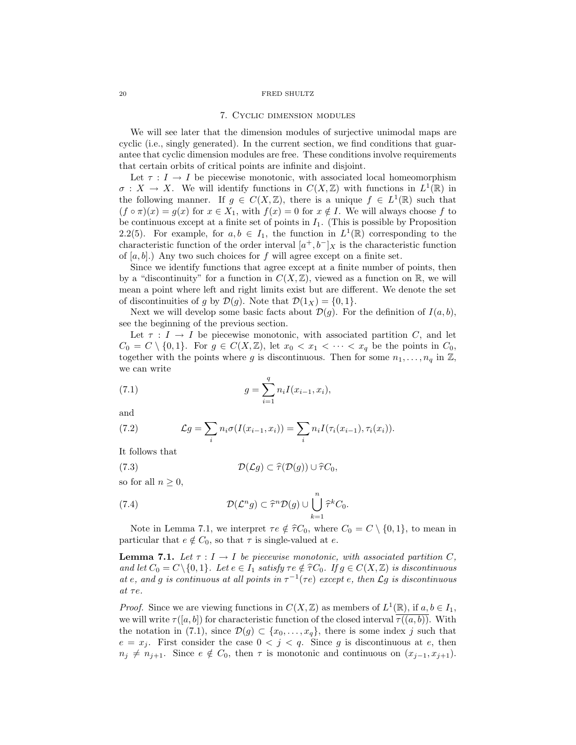#### 7. Cyclic dimension modules

We will see later that the dimension modules of surjective unimodal maps are cyclic (i.e., singly generated). In the current section, we find conditions that guarantee that cyclic dimension modules are free. These conditions involve requirements that certain orbits of critical points are infinite and disjoint.

Let  $\tau : I \to I$  be piecewise monotonic, with associated local homeomorphism  $\sigma: X \to X$ . We will identify functions in  $C(X, \mathbb{Z})$  with functions in  $L^1(\mathbb{R})$  in the following manner. If  $g \in C(X,\mathbb{Z})$ , there is a unique  $f \in L^1(\mathbb{R})$  such that  $(f \circ \pi)(x) = g(x)$  for  $x \in X_1$ , with  $f(x) = 0$  for  $x \notin I$ . We will always choose f to be continuous except at a finite set of points in  $I_1$ . (This is possible by Proposition 2.2(5). For example, for  $a, b \in I_1$ , the function in  $L^1(\mathbb{R})$  corresponding to the characteristic function of the order interval  $[a^+, b^-]_X$  is the characteristic function of  $[a, b]$ .) Any two such choices for f will agree except on a finite set.

Since we identify functions that agree except at a finite number of points, then by a "discontinuity" for a function in  $C(X, \mathbb{Z})$ , viewed as a function on  $\mathbb{R}$ , we will mean a point where left and right limits exist but are different. We denote the set of discontinuities of g by  $\mathcal{D}(g)$ . Note that  $\mathcal{D}(1_X) = \{0, 1\}.$ 

Next we will develop some basic facts about  $\mathcal{D}(q)$ . For the definition of  $I(a, b)$ , see the beginning of the previous section.

Let  $\tau : I \to I$  be piecewise monotonic, with associated partition C, and let  $C_0 = C \setminus \{0,1\}.$  For  $g \in C(X,\mathbb{Z})$ , let  $x_0 < x_1 < \cdots < x_q$  be the points in  $C_0$ , together with the points where g is discontinuous. Then for some  $n_1, \ldots, n_q$  in  $\mathbb{Z}$ , we can write

(7.1) 
$$
g = \sum_{i=1}^{q} n_i I(x_{i-1}, x_i),
$$

and

(7.2) 
$$
\mathcal{L}g = \sum_{i} n_i \sigma(I(x_{i-1}, x_i)) = \sum_{i} n_i I(\tau_i(x_{i-1}), \tau_i(x_i)).
$$

It follows that

(7.3) 
$$
\mathcal{D}(\mathcal{L}g) \subset \widehat{\tau}(\mathcal{D}(g)) \cup \widehat{\tau}C_0,
$$

so for all  $n \geq 0$ ,

(7.4) 
$$
\mathcal{D}(\mathcal{L}^n g) \subset \hat{\tau}^n \mathcal{D}(g) \cup \bigcup_{k=1}^n \hat{\tau}^k C_0.
$$

Note in Lemma 7.1, we interpret  $\tau e \notin \hat{\tau}C_0$ , where  $C_0 = C \setminus \{0, 1\}$ , to mean in particular that  $e \notin C_0$ , so that  $\tau$  is single-valued at e.

**Lemma 7.1.** Let  $\tau : I \to I$  be piecewise monotonic, with associated partition C, and let  $C_0 = C \setminus \{0, 1\}$ . Let  $e \in I_1$  satisfy  $\tau e \notin \hat{\tau} C_0$ . If  $g \in C(X, \mathbb{Z})$  is discontinuous at e, and g is continuous at all points in  $\tau^{-1}(\tau e)$  except e, then  $\mathcal{L}g$  is discontinuous at τe.

*Proof.* Since we are viewing functions in  $C(X, \mathbb{Z})$  as members of  $L^1(\mathbb{R})$ , if  $a, b \in I_1$ , we will write  $\tau([a, b])$  for characteristic function of the closed interval  $\overline{\tau((a, b))}$ . With the notation in (7.1), since  $\mathcal{D}(g) \subset \{x_0, \ldots, x_q\}$ , there is some index j such that  $e = x_i$ . First consider the case  $0 \lt j \lt q$ . Since g is discontinuous at e, then  $n_j \neq n_{j+1}$ . Since  $e \notin C_0$ , then  $\tau$  is monotonic and continuous on  $(x_{j-1}, x_{j+1})$ .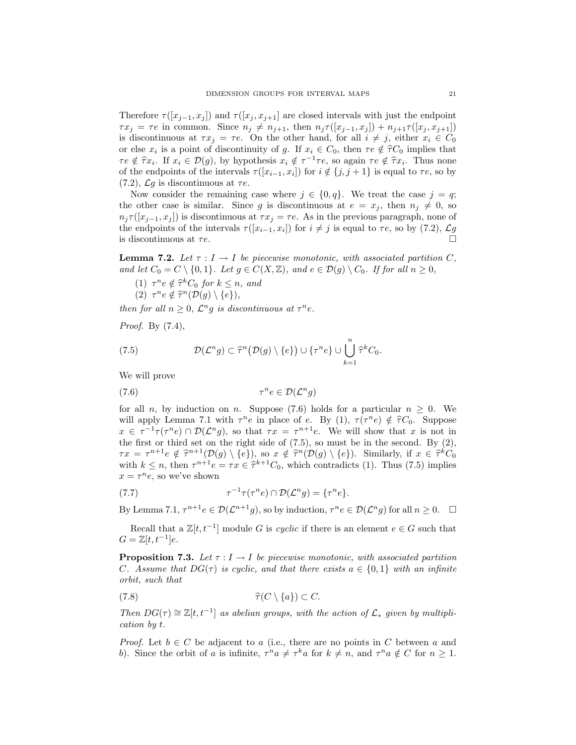Therefore  $\tau([x_{j-1}, x_j])$  and  $\tau([x_j, x_{j+1}]$  are closed intervals with just the endpoint  $\tau x_j = \tau e$  in common. Since  $n_j \neq n_{j+1}$ , then  $n_j \tau (\lbrack x_{j-1}, x_j \rbrack) + n_{j+1} \tau (\lbrack x_j, x_{j+1} \rbrack)$ is discontinuous at  $\tau x_j = \tau e$ . On the other hand, for all  $i \neq j$ , either  $x_i \in C_0$ or else  $x_i$  is a point of discontinuity of g. If  $x_i \in C_0$ , then  $\tau e \notin \hat{\tau}C_0$  implies that  $\tau e \notin \hat{\tau} x_i$ . If  $x_i \in \mathcal{D}(g)$ , by hypothesis  $x_i \notin \tau^{-1} \tau e$ , so again  $\tau e \notin \hat{\tau} x_i$ . Thus none<br>of the ordinaints of the intervals  $\tau([x_i, x_i])$  for  $i \notin [i, i+1]$  is quality  $\tau e$ , so by of the endpoints of the intervals  $\tau([x_{i-1}, x_i])$  for  $i \notin \{j, j+1\}$  is equal to  $\tau e$ , so by  $(7.2)$ ,  $\mathcal{L}g$  is discontinuous at  $\tau e$ .

Now consider the remaining case where  $j \in \{0, q\}$ . We treat the case  $j = q$ ; the other case is similar. Since g is discontinuous at  $e = x_j$ , then  $n_j \neq 0$ , so  $n_j \tau([x_{j-1}, x_j])$  is discontinuous at  $\tau x_j = \tau e$ . As in the previous paragraph, none of the endpoints of the intervals  $\tau([x_{i-1}, x_i])$  for  $i \neq j$  is equal to  $\tau e$ , so by (7.2),  $\mathcal{L}g$ is discontinuous at  $\tau e$ .

**Lemma 7.2.** Let  $\tau : I \to I$  be piecewise monotonic, with associated partition C, and let  $C_0 = C \setminus \{0, 1\}$ . Let  $g \in C(X, \mathbb{Z})$ , and  $e \in \mathcal{D}(g) \setminus C_0$ . If for all  $n \geq 0$ ,

- (1)  $\tau^n e \notin \hat{\tau}^k C_0$  for  $k \leq n$ , and  $\tau^n e \notin \hat{\tau}^n (\mathcal{D}(e) \setminus \{e\})$
- (2)  $\tau^n e \notin \hat{\tau}^n(\mathcal{D}(g) \setminus \{e\}),$

then for all  $n \geq 0$ ,  $\mathcal{L}^n g$  is discontinuous at  $\tau^n e$ .

Proof. By (7.4),

(7.5) 
$$
\mathcal{D}(\mathcal{L}^n g) \subset \hat{\tau}^n(\mathcal{D}(g) \setminus \{e\}) \cup \{\tau^n e\} \cup \bigcup_{k=1}^n \hat{\tau}^k C_0.
$$

We will prove

$$
(7.6) \t\t\t\t\tau^n e \in \mathcal{D}(\mathcal{L}^n g)
$$

for all n, by induction on n. Suppose (7.6) holds for a particular  $n \geq 0$ . We will apply Lemma 7.1 with  $\tau^n e$  in place of e. By (1),  $\tau(\tau^n e) \notin \hat{\tau}C_0$ . Suppose  $x \in \tau^{-1}\tau(\tau^n e) \cap \mathcal{D}(\mathcal{L}^n e)$  so that  $\tau x = \tau^{n+1} e$ . We will show that x is not in  $x \in \tau^{-1} \tau(\tau^n e) \cap \mathcal{D}(\mathcal{L}^n g)$ , so that  $\tau x = \tau^{n+1} e$ . We will show that x is not in the first or third set on the right side of (7.5), so must be in the second. By (2),  $\tau x = \tau^{n+1} e \notin \hat{\tau}^{n+1}(\mathcal{D}(g) \setminus \{e\}),$  so  $x \notin \hat{\tau}^n(\mathcal{D}(g) \setminus \{e\}).$  Similarly, if  $x \in \hat{\tau}^k C_0$ <br>with  $k \leq n$  then  $\tau^{n+1} e = \tau x \in \hat{\tau}^{k+1} C$ , which controllets (1). Thus (7.5) implies with  $k \leq n$ , then  $\tau^{n+1}e = \tau x \in \hat{\tau}^{k+1}C_0$ , which contradicts (1). Thus (7.5) implies  $x = \tau^n e$ , so we've shown  $x = \tau^n e$ , so we've shown

(7.7) 
$$
\tau^{-1}\tau(\tau^n e) \cap \mathcal{D}(\mathcal{L}^n g) = {\tau^n e}.
$$

By Lemma 7.1,  $\tau^{n+1}e \in \mathcal{D}(\mathcal{L}^{n+1}g)$ , so by induction,  $\tau^n e \in \mathcal{D}(\mathcal{L}^n g)$  for all  $n \geq 0$ .  $\Box$ 

Recall that a  $\mathbb{Z}[t, t^{-1}]$  module G is cyclic if there is an element  $e \in G$  such that  $G = \mathbb{Z}[t, t^{-1}]e$ .

**Proposition 7.3.** Let  $\tau: I \to I$  be piecewise monotonic, with associated partition C. Assume that  $DG(\tau)$  is cyclic, and that there exists  $a \in \{0,1\}$  with an infinite orbit, such that

$$
\widehat{\tau}(C \setminus \{a\}) \subset C.
$$

Then  $DG(\tau) \cong \mathbb{Z}[t, t^{-1}]$  as abelian groups, with the action of  $\mathcal{L}_*$  given by multiplication by t.

*Proof.* Let  $b \in C$  be adjacent to a (i.e., there are no points in C between a and b). Since the orbit of a is infinite,  $\tau^n a \neq \tau^k a$  for  $k \neq n$ , and  $\tau^n a \notin C$  for  $n \geq 1$ .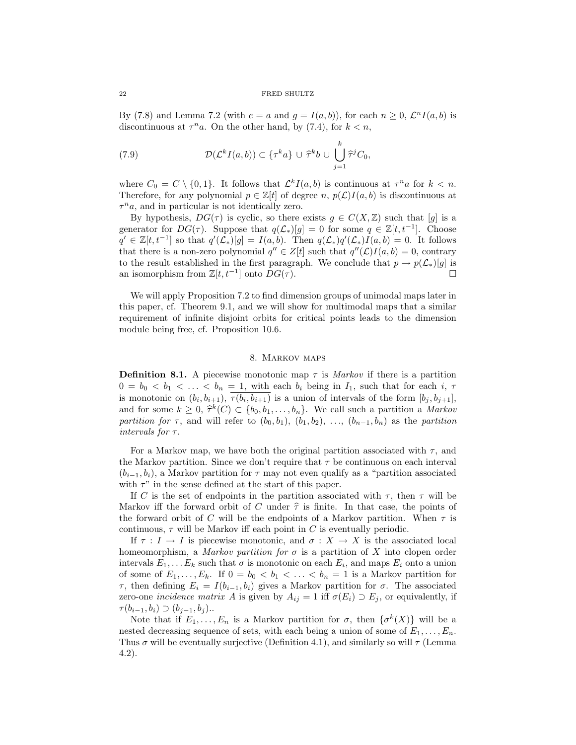By (7.8) and Lemma 7.2 (with  $e = a$  and  $g = I(a, b)$ ), for each  $n \geq 0$ ,  $\mathcal{L}^n I(a, b)$  is discontinuous at  $\tau^n a$ . On the other hand, by (7.4), for  $k < n$ ,

(7.9) 
$$
\mathcal{D}(\mathcal{L}^k I(a,b)) \subset \{\tau^k a\} \cup \hat{\tau}^k b \cup \bigcup_{j=1}^k \hat{\tau}^j C_0,
$$

where  $C_0 = C \setminus \{0,1\}$ . It follows that  $\mathcal{L}^k I(a,b)$  is continuous at  $\tau^n a$  for  $k < n$ . Therefore, for any polynomial  $p \in \mathbb{Z}[t]$  of degree n,  $p(\mathcal{L})I(a, b)$  is discontinuous at  $\tau^n a$ , and in particular is not identically zero.

By hypothesis,  $DG(\tau)$  is cyclic, so there exists  $g \in C(X,\mathbb{Z})$  such that [g] is a generator for  $DG(\tau)$ . Suppose that  $q(\mathcal{L}_*)[g] = 0$  for some  $q \in \mathbb{Z}[t, t^{-1}]$ . Choose  $q' \in \mathbb{Z}[t, t^{-1}]$  so that  $q'(\mathcal{L}_*)[g] = I(a, b)$ . Then  $q(\mathcal{L}_*)q'(\mathcal{L}_*)I(a, b) = 0$ . It follows that there is a non-zero polynomial  $q'' \in Z[t]$  such that  $q''(\mathcal{L})I(a,b) = 0$ , contrary to the result established in the first paragraph. We conclude that  $p \to p(\mathcal{L}_*)[g]$  is an isomorphism from  $\mathbb{Z}[t, t^{-1}]$  onto  $DG(\tau)$ .

We will apply Proposition 7.2 to find dimension groups of unimodal maps later in this paper, cf. Theorem 9.1, and we will show for multimodal maps that a similar requirement of infinite disjoint orbits for critical points leads to the dimension module being free, cf. Proposition 10.6.

## 8. Markov maps

**Definition 8.1.** A piecewise monotonic map  $\tau$  is *Markov* if there is a partition  $0 = b_0 < b_1 < \ldots < b_n = 1$ , with each  $b_i$  being in  $I_1$ , such that for each  $i, \tau$ is monotonic on  $(b_i, b_{i+1}), \tau(b_i, b_{i+1})$  is a union of intervals of the form  $[b_j, b_{j+1}],$ and for some  $k \geq 0$ ,  $\hat{\tau}^k(C) \subset \{b_0, b_1, \ldots, b_n\}$ . We call such a partition a *Markov*<br>*partition* for  $\tau$ , and will refer to  $(b_0, b_1)$ ,  $(b_1, b_2)$ ,  $(b_2, b_1)$  as the *partition* partition for  $\tau$ , and will refer to  $(b_0, b_1), (b_1, b_2), \ldots, (b_{n-1}, b_n)$  as the partition intervals for  $\tau$ .

For a Markov map, we have both the original partition associated with  $\tau$ , and the Markov partition. Since we don't require that  $\tau$  be continuous on each interval  $(b_{i-1}, b_i)$ , a Markov partition for  $\tau$  may not even qualify as a "partition associated" with  $\tau$ " in the sense defined at the start of this paper.

If C is the set of endpoints in the partition associated with  $\tau$ , then  $\tau$  will be Markov iff the forward orbit of C under  $\hat{\tau}$  is finite. In that case, the points of the forward orbit of C will be the endpoints of a Markov partition. When  $\tau$  is continuous,  $\tau$  will be Markov iff each point in C is eventually periodic.

If  $\tau : I \to I$  is piecewise monotonic, and  $\sigma : X \to X$  is the associated local homeomorphism, a Markov partition for  $\sigma$  is a partition of X into clopen order intervals  $E_1, \ldots E_k$  such that  $\sigma$  is monotonic on each  $E_i$ , and maps  $E_i$  onto a union of some of  $E_1, \ldots, E_k$ . If  $0 = b_0 < b_1 < \ldots < b_n = 1$  is a Markov partition for τ, then defining  $E_i = I(b_{i-1}, b_i)$  gives a Markov partition for σ. The associated zero-one incidence matrix A is given by  $A_{ij} = 1$  iff  $\sigma(E_i) \supset E_j$ , or equivalently, if  $\tau(b_{i-1}, b_i) \supset (b_{j-1}, b_j)$ ..

Note that if  $E_1, \ldots, E_n$  is a Markov partition for  $\sigma$ , then  $\{\sigma^k(X)\}\$  will be a nested decreasing sequence of sets, with each being a union of some of  $E_1, \ldots, E_n$ . Thus  $\sigma$  will be eventually surjective (Definition 4.1), and similarly so will  $\tau$  (Lemma 4.2).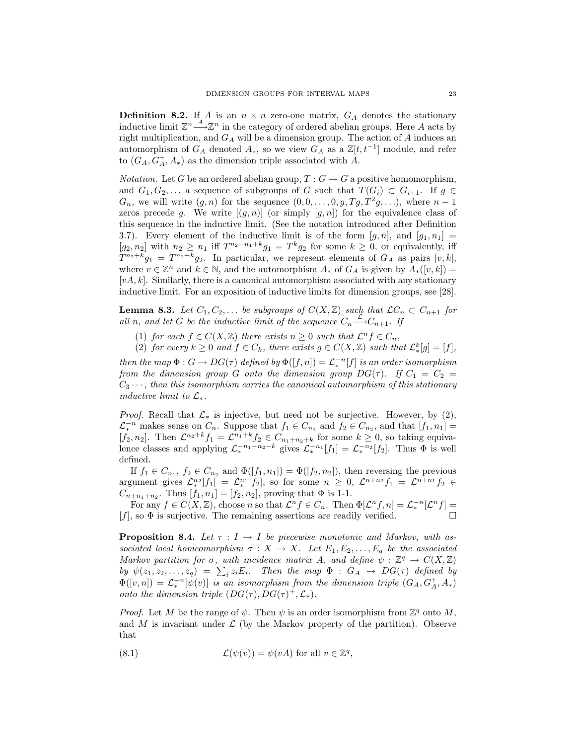**Definition 8.2.** If A is an  $n \times n$  zero-one matrix,  $G_A$  denotes the stationary inductive limit  $\mathbb{Z}^n \longrightarrow \mathbb{Z}^n$  in the category of ordered abelian groups. Here A acts by right multiplication, and  $G_A$  will be a dimension group. The action of  $A$  induces an automorphism of  $G_A$  denoted  $A_*$ , so we view  $G_A$  as a  $\mathbb{Z}[t, t^{-1}]$  module, and refer to  $(G_A, G_A^+, A_*)$  as the dimension triple associated with A.

*Notation.* Let G be an ordered abelian group,  $T: G \to G$  a positive homomorphism, and  $G_1, G_2, \ldots$  a sequence of subgroups of G such that  $T(G_i) \subset G_{i+1}$ . If  $g \in$  $G_n$ , we will write  $(g, n)$  for the sequence  $(0, 0, \ldots, 0, g, Tg, T^2g, \ldots)$ , where  $n-1$ zeros precede g. We write  $[(g, n)]$  (or simply  $[g, n]$ ) for the equivalence class of this sequence in the inductive limit. (See the notation introduced after Definition 3.7). Every element of the inductive limit is of the form  $[g, n]$ , and  $[g_1, n_1] =$  $[g_2, n_2]$  with  $n_2 \geq n_1$  iff  $T^{n_2-n_1+k}g_1 = T^k g_2$  for some  $k \geq 0$ , or equivalently, iff  $T^{n_2+k}g_1 = T^{n_1+k}g_2$ . In particular, we represent elements of  $G_A$  as pairs  $[v, k]$ , where  $v \in \mathbb{Z}^n$  and  $k \in \mathbb{N}$ , and the automorphism  $A_*$  of  $G_A$  is given by  $A_*([v, k]) =$  $[vA, k]$ . Similarly, there is a canonical automorphism associated with any stationary inductive limit. For an exposition of inductive limits for dimension groups, see [28].

**Lemma 8.3.** Let  $C_1, C_2, \ldots$  be subgroups of  $C(X, \mathbb{Z})$  such that  $\mathcal{L}C_n \subset C_{n+1}$  for all n, and let G be the inductive limit of the sequence  $C_n \xrightarrow{c} C_{n+1}$ . If

- (1) for each  $f \in C(X, \mathbb{Z})$  there exists  $n \geq 0$  such that  $\mathcal{L}^n f \in C_n$ ,
- (2) for every  $k \geq 0$  and  $f \in C_k$ , there exists  $g \in C(X, \mathbb{Z})$  such that  $\mathcal{L}_*^k[g] = [f]$ ,

then the map  $\Phi: G \to DG(\tau)$  defined by  $\Phi([f, n]) = \mathcal{L}_*^{-n}[f]$  is an order isomorphism from the dimension group G onto the dimension group  $DG(\tau)$ . If  $C_1 = C_2 =$  $C_3 \cdots$ , then this isomorphism carries the canonical automorphism of this stationary inductive limit to  $\mathcal{L}_{*}$ .

*Proof.* Recall that  $\mathcal{L}_*$  is injective, but need not be surjective. However, by (2),  $\mathcal{L}_*^{-n}$  makes sense on  $C_n$ . Suppose that  $f_1 \in C_{n_1}$  and  $f_2 \in C_{n_2}$ , and that  $[f_1, n_1] =$  $[f_2, n_2]$ . Then  $\mathcal{L}^{n_2+k} f_1 = \mathcal{L}^{n_1+k} f_2 \in C_{n_1+n_2+k}$  for some  $k \geq 0$ , so taking equivalence classes and applying  $\mathcal{L}_{*}^{-n_{1}-n_{2}-k}$  gives  $\mathcal{L}_{*}^{-n_{1}}[f_{1}] = \mathcal{L}_{*}^{-n_{2}}[f_{2}]$ . Thus  $\Phi$  is well defined.

If  $f_1 \in C_{n_1}, f_2 \in C_{n_2}$  and  $\Phi([f_1, n_1]) = \Phi([f_2, n_2])$ , then reversing the previous argument gives  $\mathcal{L}_*^{n_2}[f_1] = \mathcal{L}_*^{n_1}[f_2]$ , so for some  $n \geq 0$ ,  $\mathcal{L}^{n+n_2}f_1 = \mathcal{L}^{n+n_1}f_2 \in$  $C_{n+n_1+n_2}$ . Thus  $[f_1, n_1] = [f_2, n_2]$ , proving that  $\Phi$  is 1-1.

For any  $f \in C(X, \mathbb{Z})$ , choose n so that  $\mathcal{L}^n f \in C_n$ . Then  $\Phi[\mathcal{L}^n f, n] = \mathcal{L}_*^{-n}[\mathcal{L}^n f] =$ [f], so  $\Phi$  is surjective. The remaining assertions are readily verified.  $\Box$ 

**Proposition 8.4.** Let  $\tau : I \to I$  be piecewise monotonic and Markov, with associated local homeomorphism  $\sigma : X \to X$ . Let  $E_1, E_2, \ldots, E_q$  be the associated Markov partition for  $\sigma$ , with incidence matrix A, and define  $\psi : \mathbb{Z}^q \to C(X,\mathbb{Z})$ by  $\psi(z_1, z_2, \ldots, z_q) = \sum_i z_i E_i$ . Then the map  $\Phi : G_A \to DG(\tau)$  defined by  $\Phi([v,n]) = \mathcal{L}_*^{-n}[\psi(v)]$  is an isomorphism from the dimension triple  $(G_A, G_A^+, A_*)$ onto the dimension triple  $(DG(\tau), DG(\tau)^+, \mathcal{L}_*).$ 

*Proof.* Let M be the range of  $\psi$ . Then  $\psi$  is an order isomorphism from  $\mathbb{Z}^q$  onto M, and M is invariant under  $\mathcal L$  (by the Markov property of the partition). Observe that

(8.1) 
$$
\mathcal{L}(\psi(v)) = \psi(vA) \text{ for all } v \in \mathbb{Z}^q,
$$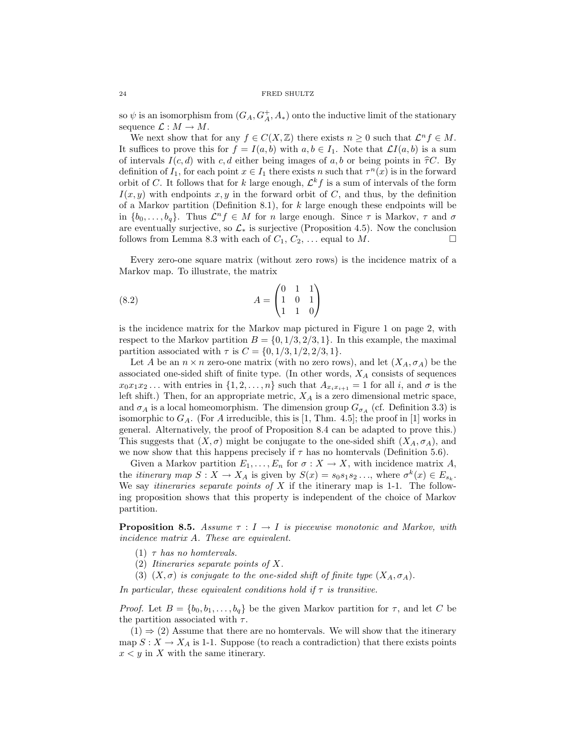so  $\psi$  is an isomorphism from  $(G_A, G_A^+, A_*)$  onto the inductive limit of the stationary sequence  $\mathcal{L}: M \to M$ .

We next show that for any  $f \in C(X, \mathbb{Z})$  there exists  $n \geq 0$  such that  $\mathcal{L}^n f \in M$ . It suffices to prove this for  $f = I(a, b)$  with  $a, b \in I_1$ . Note that  $\mathcal{L}I(a, b)$  is a sum of intervals  $I(c, d)$  with c, d either being images of a, b or being points in  $\hat{\tau}C$ . By definition of  $I_1$ , for each point  $x \in I_1$  there exists n such that  $\tau^n(x)$  is in the forward orbit of C. It follows that for k large enough,  $\mathcal{L}^k f$  is a sum of intervals of the form  $I(x, y)$  with endpoints x, y in the forward orbit of C, and thus, by the definition of a Markov partition (Definition 8.1), for  $k$  large enough these endpoints will be in  $\{b_0, \ldots, b_q\}$ . Thus  $\mathcal{L}^n f \in M$  for n large enough. Since  $\tau$  is Markov,  $\tau$  and  $\sigma$ are eventually surjective, so  $\mathcal{L}_{*}$  is surjective (Proposition 4.5). Now the conclusion follows from Lemma 8.3 with each of  $C_1, C_2, \ldots$  equal to  $M$ .

Every zero-one square matrix (without zero rows) is the incidence matrix of a Markov map. To illustrate, the matrix

(8.2) 
$$
A = \begin{pmatrix} 0 & 1 & 1 \\ 1 & 0 & 1 \\ 1 & 1 & 0 \end{pmatrix}
$$

is the incidence matrix for the Markov map pictured in Figure 1 on page 2, with respect to the Markov partition  $B = \{0, 1/3, 2/3, 1\}$ . In this example, the maximal partition associated with  $\tau$  is  $C = \{0, 1/3, 1/2, 2/3, 1\}.$ 

Let A be an  $n \times n$  zero-one matrix (with no zero rows), and let  $(X_A, \sigma_A)$  be the associated one-sided shift of finite type. (In other words,  $X_A$  consists of sequences  $x_0x_1x_2...$  with entries in  $\{1,2,\ldots,n\}$  such that  $A_{x_ix_{i+1}}=1$  for all i, and  $\sigma$  is the left shift.) Then, for an appropriate metric,  $X_A$  is a zero dimensional metric space, and  $\sigma_A$  is a local homeomorphism. The dimension group  $G_{\sigma_A}$  (cf. Definition 3.3) is isomorphic to  $G_A$ . (For A irreducible, this is [1, Thm. 4.5]; the proof in [1] works in general. Alternatively, the proof of Proposition 8.4 can be adapted to prove this.) This suggests that  $(X, \sigma)$  might be conjugate to the one-sided shift  $(X_A, \sigma_A)$ , and we now show that this happens precisely if  $\tau$  has no homervals (Definition 5.6).

Given a Markov partition  $E_1, \ldots, E_n$  for  $\sigma : X \to X$ , with incidence matrix A, the *itinerary* map  $S: X \to X_A$  is given by  $S(x) = s_0 s_1 s_2 \dots$ , where  $\sigma^k(x) \in E_{s_k}$ . We say *itineraries separate points of*  $X$  if the itinerary map is 1-1. The following proposition shows that this property is independent of the choice of Markov partition.

**Proposition 8.5.** Assume  $\tau : I \to I$  is piecewise monotonic and Markov, with incidence matrix A. These are equivalent.

- (1)  $\tau$  has no homtervals.
- (2) Itineraries separate points of  $X$ .
- (3)  $(X, \sigma)$  is conjugate to the one-sided shift of finite type  $(X_A, \sigma_A)$ .

In particular, these equivalent conditions hold if  $\tau$  is transitive.

*Proof.* Let  $B = \{b_0, b_1, \ldots, b_q\}$  be the given Markov partition for  $\tau$ , and let C be the partition associated with  $\tau$ .

 $(1) \Rightarrow (2)$  Assume that there are no hometry also We will show that the itinerary map  $S: X \to X_A$  is 1-1. Suppose (to reach a contradiction) that there exists points  $x < y$  in X with the same itinerary.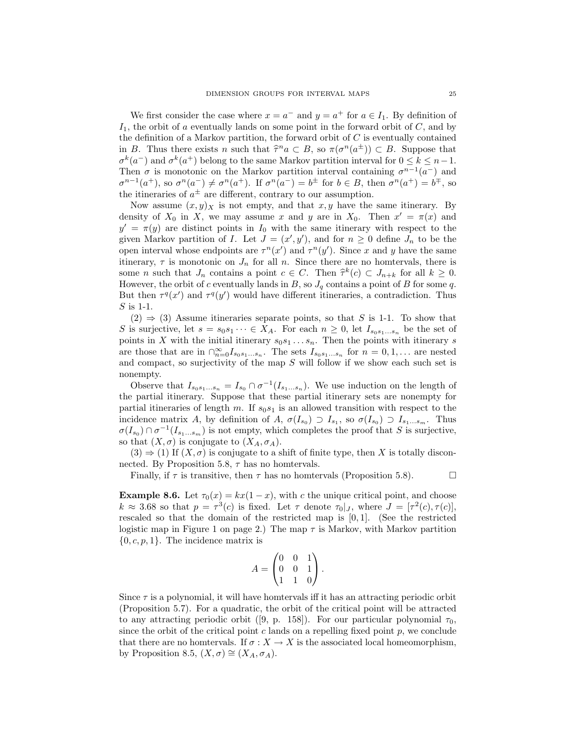We first consider the case where  $x = a^-$  and  $y = a^+$  for  $a \in I_1$ . By definition of  $I_1$ , the orbit of a eventually lands on some point in the forward orbit of C, and by the definition of a Markov partition, the forward orbit of  $C$  is eventually contained in B. Thus there exists n such that  $\hat{\tau}^n a \subset B$ , so  $\pi(\sigma^n(a^{\pm})) \subset B$ . Suppose that  $\sigma^k(a^-)$  and  $\sigma^k(a^{\pm})$  belong to the same Markov partition interval for  $0 \leq k \leq n-1$ .  $\sigma^k(a^-)$  and  $\sigma^k(a^+)$  belong to the same Markov partition interval for  $0 \leq k \leq n-1$ . Then  $\sigma$  is monotonic on the Markov partition interval containing  $\sigma^{n-1}(a^-)$  and  $\sigma^{n-1}(a^+),$  so  $\sigma^n(a^-) \neq \sigma^n(a^+).$  If  $\sigma^n(a^-) = b^{\pm}$  for  $b \in B$ , then  $\sigma^n(a^+) = b^{\mp}$ , so the itineraries of  $a^{\pm}$  are different, contrary to our assumption.

Now assume  $(x, y)_X$  is not empty, and that  $x, y$  have the same itinerary. By density of  $X_0$  in X, we may assume x and y are in  $X_0$ . Then  $x' = \pi(x)$  and  $y' = \pi(y)$  are distinct points in  $I_0$  with the same itinerary with respect to the given Markov partition of *I*. Let  $J = (x', y')$ , and for  $n \geq 0$  define  $J_n$  to be the open interval whose endpoints are  $\tau^{n}(x')$  and  $\tau^{n}(y')$ . Since x and y have the same itinerary,  $\tau$  is monotonic on  $J_n$  for all n. Since there are no hometryals, there is some *n* such that  $J_n$  contains a point  $c \in C$ . Then  $\hat{\tau}^k(c) \subset J_{n+k}$  for all  $k \geq 0$ .<br>However, the orbit of c eventually lands in B, so L contains a point of B for some g. However, the orbit of c eventually lands in B, so  $J_q$  contains a point of B for some q. But then  $\tau^q(x')$  and  $\tau^q(y')$  would have different itineraries, a contradiction. Thus S is 1-1.

 $(2) \Rightarrow (3)$  Assume itineraries separate points, so that S is 1-1. To show that S is surjective, let  $s = s_0 s_1 \cdots \in X_A$ . For each  $n \geq 0$ , let  $I_{s_0 s_1 \cdots s_n}$  be the set of points in X with the initial itinerary  $s_0s_1 \ldots s_n$ . Then the points with itinerary s are those that are in  $\bigcap_{n=0}^{\infty} I_{s_0s_1...s_n}$ . The sets  $I_{s_0s_1...s_n}$  for  $n=0,1,...$  are nested and compact, so surjectivity of the map  $S$  will follow if we show each such set is nonempty.

Observe that  $I_{s_0s_1...s_n} = I_{s_0} \cap \sigma^{-1}(I_{s_1...s_n})$ . We use induction on the length of the partial itinerary. Suppose that these partial itinerary sets are nonempty for partial itineraries of length m. If  $s_0s_1$  is an allowed transition with respect to the incidence matrix A, by definition of A,  $\sigma(I_{s_0}) \supset I_{s_1}$ , so  $\sigma(I_{s_0}) \supset I_{s_1...s_m}$ . Thus  $\sigma(I_{s_0}) \cap \sigma^{-1}(I_{s_1...s_m})$  is not empty, which completes the proof that S is surjective, so that  $(X, \sigma)$  is conjugate to  $(X_A, \sigma_A)$ .

 $(3) \Rightarrow (1)$  If  $(X, \sigma)$  is conjugate to a shift of finite type, then X is totally disconnected. By Proposition 5.8,  $\tau$  has no hometryals.

Finally, if  $\tau$  is transitive, then  $\tau$  has no homtervals (Proposition 5.8).

**Example 8.6.** Let  $\tau_0(x) = kx(1-x)$ , with c the unique critical point, and choose  $k \approx 3.68$  so that  $p = \tau^3(c)$  is fixed. Let  $\tau$  denote  $\tau_0|_J$ , where  $J = [\tau^2(c), \tau(c)],$ rescaled so that the domain of the restricted map is  $[0, 1]$ . (See the restricted logistic map in Figure 1 on page 2.) The map  $\tau$  is Markov, with Markov partition  $\{0, c, p, 1\}$ . The incidence matrix is

$$
A = \begin{pmatrix} 0 & 0 & 1 \\ 0 & 0 & 1 \\ 1 & 1 & 0 \end{pmatrix}.
$$

Since  $\tau$  is a polynomial, it will have homervals iff it has an attracting periodic orbit (Proposition 5.7). For a quadratic, the orbit of the critical point will be attracted to any attracting periodic orbit ([9, p. 158]). For our particular polynomial  $\tau_0$ , since the orbit of the critical point  $c$  lands on a repelling fixed point  $p$ , we conclude that there are no hometryals. If  $\sigma : X \to X$  is the associated local homeomorphism, by Proposition 8.5,  $(X, \sigma) \cong (X_A, \sigma_A)$ .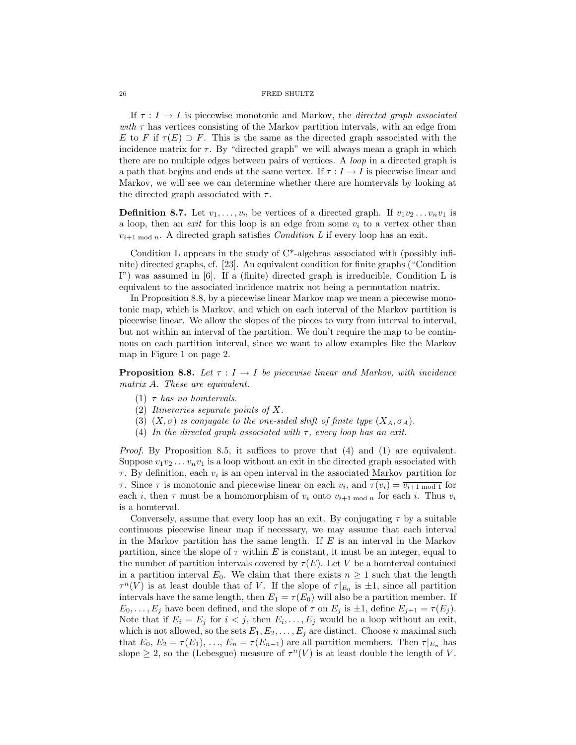If  $\tau : I \to I$  is piecewise monotonic and Markov, the *directed graph associated* with  $\tau$  has vertices consisting of the Markov partition intervals, with an edge from E to F if  $\tau(E) \supset F$ . This is the same as the directed graph associated with the incidence matrix for  $\tau$ . By "directed graph" we will always mean a graph in which there are no multiple edges between pairs of vertices. A loop in a directed graph is a path that begins and ends at the same vertex. If  $\tau : I \to I$  is piecewise linear and Markov, we will see we can determine whether there are homtervals by looking at the directed graph associated with  $\tau$ .

**Definition 8.7.** Let  $v_1, \ldots, v_n$  be vertices of a directed graph. If  $v_1v_2 \ldots v_nv_1$  is a loop, then an *exit* for this loop is an edge from some  $v_i$  to a vertex other than  $v_{i+1 \mod n}$ . A directed graph satisfies *Condition L* if every loop has an exit.

Condition L appears in the study of  $C^*$ -algebras associated with (possibly infinite) directed graphs, cf. [23]. An equivalent condition for finite graphs ("Condition I") was assumed in [6]. If a (finite) directed graph is irreducible, Condition L is equivalent to the associated incidence matrix not being a permutation matrix.

In Proposition 8.8, by a piecewise linear Markov map we mean a piecewise monotonic map, which is Markov, and which on each interval of the Markov partition is piecewise linear. We allow the slopes of the pieces to vary from interval to interval, but not within an interval of the partition. We don't require the map to be continuous on each partition interval, since we want to allow examples like the Markov map in Figure 1 on page 2.

**Proposition 8.8.** Let  $\tau : I \to I$  be piecewise linear and Markov, with incidence matrix A. These are equivalent.

- (1)  $\tau$  has no homtervals.
- (2) Itineraries separate points of X.
- (3)  $(X, \sigma)$  is conjugate to the one-sided shift of finite type  $(X_A, \sigma_A)$ .
- (4) In the directed graph associated with  $\tau$ , every loop has an exit.

Proof. By Proposition 8.5, it suffices to prove that (4) and (1) are equivalent. Suppose  $v_1v_2 \ldots v_nv_1$  is a loop without an exit in the directed graph associated with  $\tau$ . By definition, each  $v_i$  is an open interval in the associated Markov partition for  $\tau$ . Since  $\tau$  is monotonic and piecewise linear on each  $v_i$ , and  $\tau(v_i) = \overline{v_{i+1 \mod 1}}$  for each i, then  $\tau$  must be a homomorphism of  $v_i$  onto  $v_{i+1 \text{ mod } n}$  for each i. Thus  $v_i$ is a homterval.

Conversely, assume that every loop has an exit. By conjugating  $\tau$  by a suitable continuous piecewise linear map if necessary, we may assume that each interval in the Markov partition has the same length. If  $E$  is an interval in the Markov partition, since the slope of  $\tau$  within E is constant, it must be an integer, equal to the number of partition intervals covered by  $\tau(E)$ . Let V be a homterval contained in a partition interval  $E_0$ . We claim that there exists  $n \geq 1$  such that the length  $\tau^{n}(V)$  is at least double that of V. If the slope of  $\tau|_{E_0}$  is  $\pm 1$ , since all partition intervals have the same length, then  $E_1 = \tau(E_0)$  will also be a partition member. If  $E_0, \ldots, E_j$  have been defined, and the slope of  $\tau$  on  $E_j$  is  $\pm 1$ , define  $E_{j+1} = \tau(E_j)$ . Note that if  $E_i = E_j$  for  $i < j$ , then  $E_i, \ldots, E_j$  would be a loop without an exit, which is not allowed, so the sets  $E_1, E_2, \ldots, E_j$  are distinct. Choose n maximal such that  $E_0, E_2 = \tau(E_1), \ldots, E_n = \tau(E_{n-1})$  are all partition members. Then  $\tau|_{E_n}$  has slope  $\geq 2$ , so the (Lebesgue) measure of  $\tau^{n}(V)$  is at least double the length of V.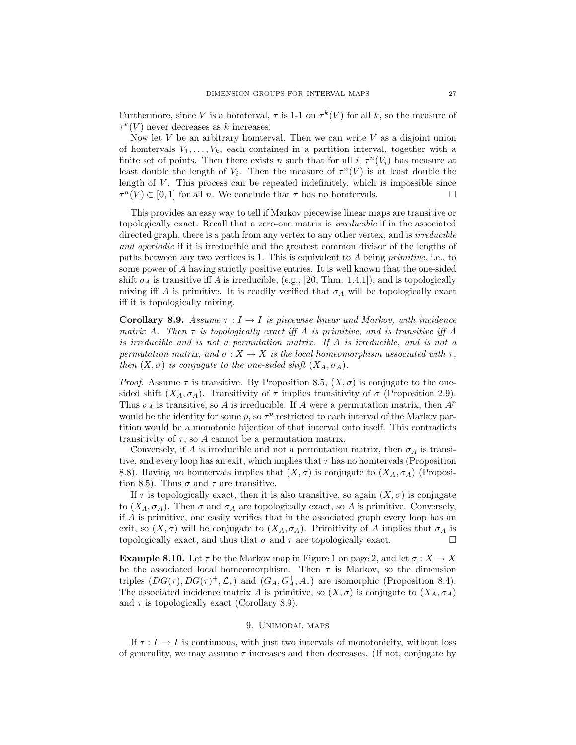Furthermore, since V is a homterval,  $\tau$  is 1-1 on  $\tau^k(V)$  for all k, so the measure of  $\tau^k(V)$  never decreases as k increases.

Now let  $V$  be an arbitrary homterval. Then we can write  $V$  as a disjoint union of homtervals  $V_1, \ldots, V_k$ , each contained in a partition interval, together with a finite set of points. Then there exists n such that for all i,  $\tau^n(V_i)$  has measure at least double the length of  $V_i$ . Then the measure of  $\tau^n(V)$  is at least double the length of  $V$ . This process can be repeated indefinitely, which is impossible since  $\tau^{n}(V) \subset [0,1]$  for all *n*. We conclude that  $\tau$  has no hometryals.

This provides an easy way to tell if Markov piecewise linear maps are transitive or topologically exact. Recall that a zero-one matrix is irreducible if in the associated directed graph, there is a path from any vertex to any other vertex, and is *irreducible* and aperiodic if it is irreducible and the greatest common divisor of the lengths of paths between any two vertices is 1. This is equivalent to A being primitive, i.e., to some power of A having strictly positive entries. It is well known that the one-sided shift  $\sigma_A$  is transitive iff A is irreducible, (e.g., [20, Thm. 1.4.1]), and is topologically mixing iff A is primitive. It is readily verified that  $\sigma_A$  will be topologically exact iff it is topologically mixing.

Corollary 8.9. Assume  $\tau : I \to I$  is piecewise linear and Markov, with incidence matrix A. Then  $\tau$  is topologically exact iff A is primitive, and is transitive iff A is irreducible and is not a permutation matrix. If A is irreducible, and is not a permutation matrix, and  $\sigma: X \to X$  is the local homeomorphism associated with  $\tau$ , then  $(X, \sigma)$  is conjugate to the one-sided shift  $(X_A, \sigma_A)$ .

*Proof.* Assume  $\tau$  is transitive. By Proposition 8.5,  $(X, \sigma)$  is conjugate to the onesided shift  $(X_A, \sigma_A)$ . Transitivity of  $\tau$  implies transitivity of  $\sigma$  (Proposition 2.9). Thus  $\sigma_A$  is transitive, so A is irreducible. If A were a permutation matrix, then  $A^p$ would be the identity for some  $p$ , so  $\tau^p$  restricted to each interval of the Markov partition would be a monotonic bijection of that interval onto itself. This contradicts transitivity of  $\tau$ , so A cannot be a permutation matrix.

Conversely, if A is irreducible and not a permutation matrix, then  $\sigma_A$  is transitive, and every loop has an exit, which implies that  $\tau$  has no hometryals (Proposition 8.8). Having no homtervals implies that  $(X, \sigma)$  is conjugate to  $(X_A, \sigma_A)$  (Proposition 8.5). Thus  $\sigma$  and  $\tau$  are transitive.

If  $\tau$  is topologically exact, then it is also transitive, so again  $(X, \sigma)$  is conjugate to  $(X_A, \sigma_A)$ . Then  $\sigma$  and  $\sigma_A$  are topologically exact, so A is primitive. Conversely, if A is primitive, one easily verifies that in the associated graph every loop has an exit, so  $(X, \sigma)$  will be conjugate to  $(X_A, \sigma_A)$ . Primitivity of A implies that  $\sigma_A$  is topologically exact, and thus that  $\sigma$  and  $\tau$  are topologically exact.

**Example 8.10.** Let  $\tau$  be the Markov map in Figure 1 on page 2, and let  $\sigma: X \to X$ be the associated local homeomorphism. Then  $\tau$  is Markov, so the dimension triples  $(DG(\tau), DG(\tau)^+, \mathcal{L}_*)$  and  $(G_A, G_A^+, A_*)$  are isomorphic (Proposition 8.4). The associated incidence matrix A is primitive, so  $(X, \sigma)$  is conjugate to  $(X_A, \sigma_A)$ and  $\tau$  is topologically exact (Corollary 8.9).

## 9. Unimodal maps

If  $\tau : I \to I$  is continuous, with just two intervals of monotonicity, without loss of generality, we may assume  $\tau$  increases and then decreases. (If not, conjugate by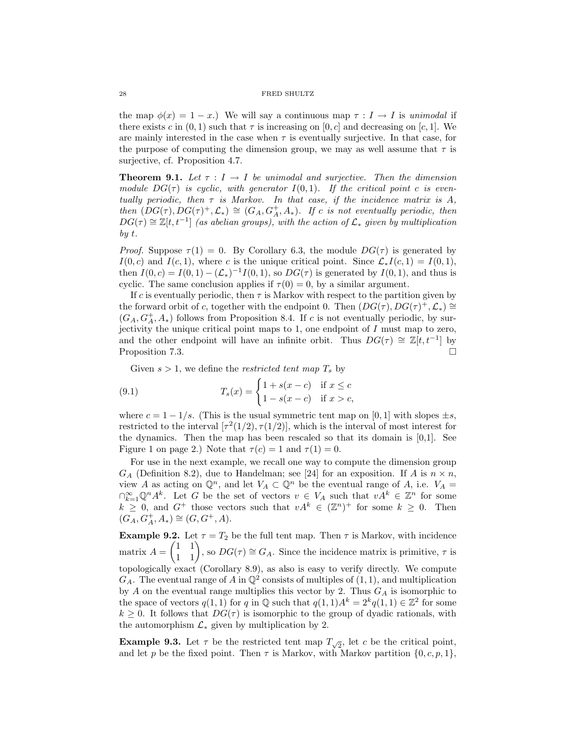the map  $\phi(x) = 1 - x$ .) We will say a continuous map  $\tau : I \to I$  is unimodal if there exists c in  $(0, 1)$  such that  $\tau$  is increasing on  $[0, c]$  and decreasing on  $[c, 1]$ . We are mainly interested in the case when  $\tau$  is eventually surjective. In that case, for the purpose of computing the dimension group, we may as well assume that  $\tau$  is surjective, cf. Proposition 4.7.

**Theorem 9.1.** Let  $\tau : I \to I$  be unimodal and surjective. Then the dimension module  $DG(\tau)$  is cyclic, with generator  $I(0,1)$ . If the critical point c is eventually periodic, then  $\tau$  is Markov. In that case, if the incidence matrix is A, then  $(DG(\tau), DG(\tau)^+, \mathcal{L}_*) \cong (G_A, G_A^+, A_*).$  If c is not eventually periodic, then  $DG(\tau) \cong \mathbb{Z}[t, t^{-1}]$  (as abelian groups), with the action of  $\mathcal{L}_*$  given by multiplication by t.

*Proof.* Suppose  $\tau(1) = 0$ . By Corollary 6.3, the module  $DG(\tau)$  is generated by  $I(0, c)$  and  $I(c, 1)$ , where c is the unique critical point. Since  $\mathcal{L}_{*}I(c, 1) = I(0, 1)$ , then  $I(0, c) = I(0, 1) - (\mathcal{L}_*)^{-1} I(0, 1)$ , so  $DG(\tau)$  is generated by  $I(0, 1)$ , and thus is cyclic. The same conclusion applies if  $\tau(0) = 0$ , by a similar argument.

If c is eventually periodic, then  $\tau$  is Markov with respect to the partition given by the forward orbit of c, together with the endpoint 0. Then  $(DG(\tau), DG(\tau)^+, \mathcal{L}_*) \cong$  $(G_A, G_A^+, A_*)$  follows from Proposition 8.4. If c is not eventually periodic, by surjectivity the unique critical point maps to 1, one endpoint of I must map to zero, and the other endpoint will have an infinite orbit. Thus  $DG(\tau) \cong \mathbb{Z}[t, t^{-1}]$  by Proposition 7.3.

Given  $s > 1$ , we define the *restricted tent map*  $T_s$  by

(9.1) 
$$
T_s(x) = \begin{cases} 1 + s(x - c) & \text{if } x \le c \\ 1 - s(x - c) & \text{if } x > c, \end{cases}
$$

where  $c = 1 - 1/s$ . (This is the usual symmetric tent map on [0, 1] with slopes  $\pm s$ , restricted to the interval  $[\tau^2(1/2), \tau(1/2)]$ , which is the interval of most interest for the dynamics. Then the map has been rescaled so that its domain is  $[0,1]$ . See Figure 1 on page 2.) Note that  $\tau(c) = 1$  and  $\tau(1) = 0$ .

For use in the next example, we recall one way to compute the dimension group  $G_A$  (Definition 8.2), due to Handelman; see [24] for an exposition. If A is  $n \times n$ , view A as acting on  $\mathbb{Q}^n$ , and let  $V_A \subset \mathbb{Q}^n$  be the eventual range of A, i.e.  $V_A =$  $\bigcap_{k=1}^{\infty} \mathbb{Q}^n A^k$ . Let G be the set of vectors  $v \in V_A$  such that  $vA^k \in \mathbb{Z}^n$  for some  $k \geq 0$ , and  $G^+$  those vectors such that  $vA^k \in (\mathbb{Z}^n)^+$  for some  $k \geq 0$ . Then  $(G_A, G_A^+, A_*) \cong (G, G^+, A).$ 

**Example 9.2.** Let  $\tau = T_2$  be the full tent map. Then  $\tau$  is Markov, with incidence matrix  $A = \begin{pmatrix} 1 & 1 \\ 1 & 1 \end{pmatrix}$ , so  $DG(\tau) \cong G_A$ . Since the incidence matrix is primitive,  $\tau$  is topologically exact (Corollary 8.9), as also is easy to verify directly. We compute  $G_A$ . The eventual range of A in  $\mathbb{Q}^2$  consists of multiples of  $(1, 1)$ , and multiplication by A on the eventual range multiplies this vector by 2. Thus  $G_A$  is isomorphic to the space of vectors  $q(1,1)$  for q in  $\mathbb Q$  such that  $q(1,1)A^k = 2^k q(1,1) \in \mathbb Z^2$  for some  $k \geq 0$ . It follows that  $DG(\tau)$  is isomorphic to the group of dyadic rationals, with the automorphism  $\mathcal{L}_*$  given by multiplication by 2.

**Example 9.3.** Let  $\tau$  be the restricted tent map  $T_{\sqrt{2}}$ , let c be the critical point, and let p be the fixed point. Then  $\tau$  is Markov, with Markov partition  $\{0, c, p, 1\}$ ,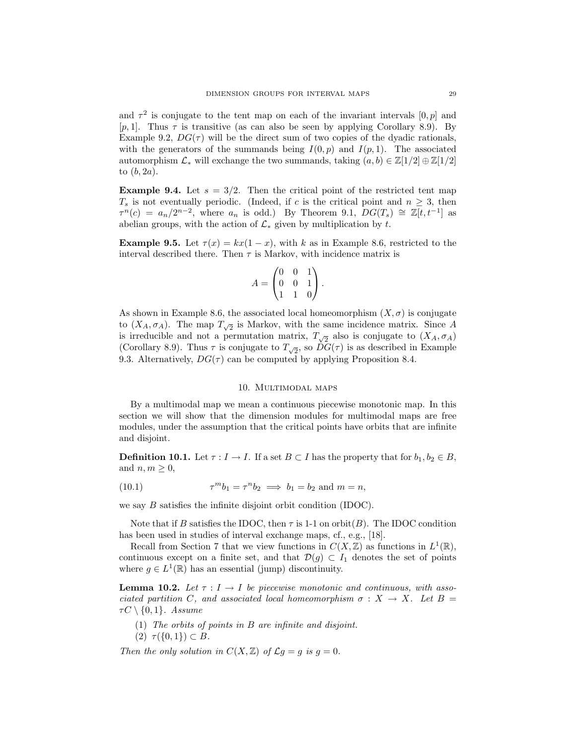and  $\tau^2$  is conjugate to the tent map on each of the invariant intervals  $[0, p]$  and [p, 1]. Thus  $\tau$  is transitive (as can also be seen by applying Corollary 8.9). By Example 9.2,  $DG(\tau)$  will be the direct sum of two copies of the dyadic rationals, with the generators of the summands being  $I(0, p)$  and  $I(p, 1)$ . The associated automorphism  $\mathcal{L}_*$  will exchange the two summands, taking  $(a, b) \in \mathbb{Z}[1/2] \oplus \mathbb{Z}[1/2]$ to  $(b, 2a)$ .

**Example 9.4.** Let  $s = 3/2$ . Then the critical point of the restricted tent map  $T_s$  is not eventually periodic. (Indeed, if c is the critical point and  $n \geq 3$ , then  $\tau^{n}(c) = a_{n}/2^{n-2}$ , where  $a_{n}$  is odd.) By Theorem 9.1,  $DG(T_{s}) \cong \mathbb{Z}[t, t^{-1}]$  as abelian groups, with the action of  $\mathcal{L}_*$  given by multiplication by t.

**Example 9.5.** Let  $\tau(x) = kx(1-x)$ , with k as in Example 8.6, restricted to the interval described there. Then  $\tau$  is Markov, with incidence matrix is

$$
A = \begin{pmatrix} 0 & 0 & 1 \\ 0 & 0 & 1 \\ 1 & 1 & 0 \end{pmatrix}.
$$

As shown in Example 8.6, the associated local homeomorphism  $(X, \sigma)$  is conjugate to  $(X_A, \sigma_A)$ . The map  $T_{\sqrt{2}}$  is Markov, with the same incidence matrix. Since A is irreducible and not a permutation matrix,  $T_{\sqrt{2}}$  also is conjugate to  $(X_A, \sigma_A)$ (Corollary 8.9). Thus  $\tau$  is conjugate to  $T_{\sqrt{2}}$ , so  $DG(\tau)$  is as described in Example 9.3. Alternatively,  $DG(\tau)$  can be computed by applying Proposition 8.4.

## 10. Multimodal maps

By a multimodal map we mean a continuous piecewise monotonic map. In this section we will show that the dimension modules for multimodal maps are free modules, under the assumption that the critical points have orbits that are infinite and disjoint.

**Definition 10.1.** Let  $\tau : I \to I$ . If a set  $B \subset I$  has the property that for  $b_1, b_2 \in B$ , and  $n, m \geq 0$ ,

(10.1) 
$$
\tau^m b_1 = \tau^n b_2 \implies b_1 = b_2 \text{ and } m = n,
$$

we say B satisfies the infinite disjoint orbit condition (IDOC).

Note that if B satisfies the IDOC, then  $\tau$  is 1-1 on orbit(B). The IDOC condition has been used in studies of interval exchange maps, cf., e.g., [18].

Recall from Section 7 that we view functions in  $C(X,\mathbb{Z})$  as functions in  $L^1(\mathbb{R})$ , continuous except on a finite set, and that  $\mathcal{D}(g) \subset I_1$  denotes the set of points where  $g \in L^1(\mathbb{R})$  has an essential (jump) discontinuity.

**Lemma 10.2.** Let  $\tau : I \to I$  be piecewise monotonic and continuous, with associated partition C, and associated local homeomorphism  $\sigma : X \to X$ . Let  $B =$  $\tau C \setminus \{0,1\}$ . Assume

- (1) The orbits of points in B are infinite and disjoint.
- (2)  $\tau({0,1}) \subset B$ .

Then the only solution in  $C(X, \mathbb{Z})$  of  $\mathcal{L}g = g$  is  $g = 0$ .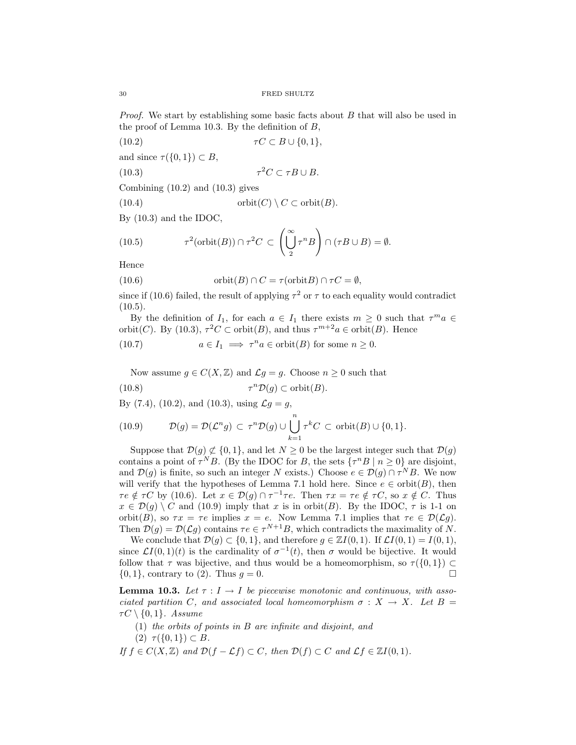*Proof.* We start by establishing some basic facts about  $B$  that will also be used in the proof of Lemma 10.3. By the definition of  $B$ ,

$$
(10.2) \t\t \tau C \subset B \cup \{0,1\},\
$$

and since  $\tau(\{0,1\}) \subset B$ ,

$$
(10.3) \t\t\t\t\t\tau^2 C \subset \tau B \cup B.
$$

Combining  $(10.2)$  and  $(10.3)$  gives

(10.4) 
$$
\operatorname{orbit}(C) \setminus C \subset \operatorname{orbit}(B).
$$

By (10.3) and the IDOC,

(10.5) 
$$
\tau^2(\text{orbit}(B)) \cap \tau^2 C \subset \left(\bigcup_{2}^{\infty} \tau^n B\right) \cap (\tau B \cup B) = \emptyset.
$$

Hence

(10.6) 
$$
\text{orbit}(B) \cap C = \tau(\text{orbit}B) \cap \tau C = \emptyset,
$$

since if (10.6) failed, the result of applying  $\tau^2$  or  $\tau$  to each equality would contradict  $(10.5).$ 

By the definition of  $I_1$ , for each  $a \in I_1$  there exists  $m \geq 0$  such that  $\tau^m a \in I_1$ orbit(*C*). By (10.3),  $\tau^2 C \subset \text{orbit}(B)$ , and thus  $\tau^{m+2} a \in \text{orbit}(B)$ . Hence

(10.7) 
$$
a \in I_1 \implies \tau^n a \in \text{orbit}(B) \text{ for some } n \ge 0.
$$

Now assume 
$$
g \in C(X, \mathbb{Z})
$$
 and  $\mathcal{L}g = g$ . Choose  $n \ge 0$  such that

(10.8) 
$$
\tau^n \mathcal{D}(g) \subset \text{orbit}(B).
$$

By (7.4), (10.2), and (10.3), using  $\mathcal{L}g = g$ ,

(10.9) 
$$
\mathcal{D}(g) = \mathcal{D}(\mathcal{L}^n g) \subset \tau^n \mathcal{D}(g) \cup \bigcup_{k=1}^n \tau^k C \subset \text{orbit}(B) \cup \{0, 1\}.
$$

Suppose that  $\mathcal{D}(g) \not\subset \{0, 1\}$ , and let  $N \geq 0$  be the largest integer such that  $\mathcal{D}(g)$ contains a point of  $\tau^N B$ . (By the IDOC for B, the sets  $\{\tau^n B \mid n \geq 0\}$  are disjoint, and  $\mathcal{D}(g)$  is finite, so such an integer N exists.) Choose  $e \in \mathcal{D}(g) \cap \tau^N B$ . We now will verify that the hypotheses of Lemma 7.1 hold here. Since  $e \in \text{orbit}(B)$ , then  $\tau e \notin \tau C$  by (10.6). Let  $x \in \mathcal{D}(g) \cap \tau^{-1} \tau e$ . Then  $\tau x = \tau e \notin \tau C$ , so  $x \notin C$ . Thus  $x \in \mathcal{D}(g) \setminus C$  and (10.9) imply that x is in orbit(B). By the IDOC,  $\tau$  is 1-1 on orbit(B), so  $\tau x = \tau e$  implies  $x = e$ . Now Lemma 7.1 implies that  $\tau e \in \mathcal{D}(\mathcal{L}g)$ . Then  $\mathcal{D}(g) = \mathcal{D}(\mathcal{L}g)$  contains  $\tau e \in \tau^{N+1}B$ , which contradicts the maximality of N.

We conclude that  $\mathcal{D}(g) \subset \{0,1\}$ , and therefore  $g \in \mathbb{Z}I(0,1)$ . If  $\mathcal{L}I(0,1) = I(0,1)$ , since  $\mathcal{L}I(0,1)(t)$  is the cardinality of  $\sigma^{-1}(t)$ , then  $\sigma$  would be bijective. It would follow that  $\tau$  was bijective, and thus would be a homeomorphism, so  $\tau({0, 1}) \subset$  $\{0, 1\}$ , contrary to (2). Thus  $g = 0$ .

**Lemma 10.3.** Let  $\tau : I \to I$  be piecewise monotonic and continuous, with associated partition C, and associated local homeomorphism  $\sigma : X \to X$ . Let  $B =$  $\tau C \setminus \{0,1\}$ . Assume

(1) the orbits of points in B are infinite and disjoint, and

- (2)  $\tau({0,1}) \subset B$ .
- If  $f \in C(X, \mathbb{Z})$  and  $\mathcal{D}(f \mathcal{L}f) \subset C$ , then  $\mathcal{D}(f) \subset C$  and  $\mathcal{L}f \in \mathbb{Z}I(0, 1)$ .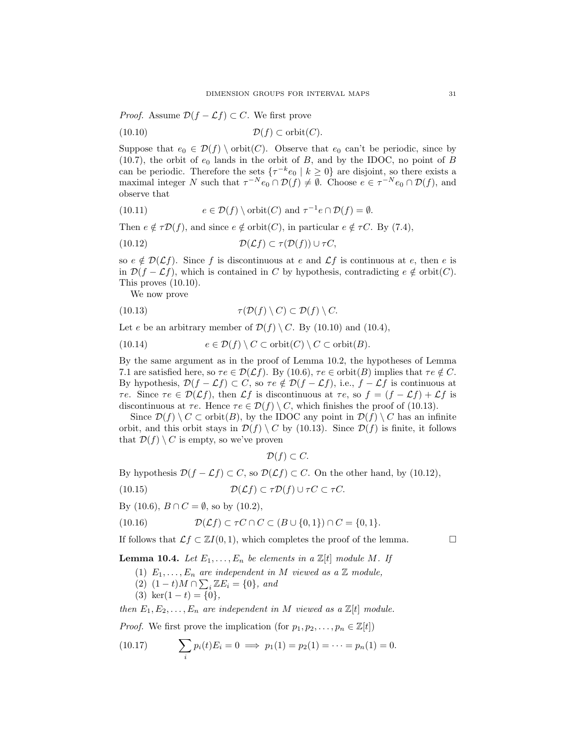*Proof.* Assume  $\mathcal{D}(f - \mathcal{L}f) \subset C$ . We first prove

$$
(10.10) \t\t \mathcal{D}(f) \subset \text{orbit}(C).
$$

Suppose that  $e_0 \in \mathcal{D}(f) \setminus \text{orbit}(C)$ . Observe that  $e_0$  can't be periodic, since by (10.7), the orbit of  $e_0$  lands in the orbit of B, and by the IDOC, no point of B can be periodic. Therefore the sets  $\{\tau^{-k}e_0 \mid k \geq 0\}$  are disjoint, so there exists a maximal integer N such that  $\tau^{-N}e_0 \cap \mathcal{D}(f) \neq \emptyset$ . Choose  $e \in \tau^{-N}e_0 \cap \mathcal{D}(f)$ , and observe that

(10.11) 
$$
e \in \mathcal{D}(f) \setminus \text{orbit}(C) \text{ and } \tau^{-1}e \cap \mathcal{D}(f) = \emptyset.
$$

Then  $e \notin \tau \mathcal{D}(f)$ , and since  $e \notin \text{orbit}(C)$ , in particular  $e \notin \tau C$ . By (7.4),

$$
(10.12)\quad \mathcal{D}(\mathcal{L}f)\subset \tau(\mathcal{D}(f))\cup \tau C,
$$

so  $e \notin \mathcal{D}(\mathcal{L}f)$ . Since f is discontinuous at e and  $\mathcal{L}f$  is continuous at e, then e is in  $\mathcal{D}(f - \mathcal{L}f)$ , which is contained in C by hypothesis, contradicting  $e \notin \text{orbit}(C)$ . This proves (10.10).

We now prove

(10.13) 
$$
\tau(\mathcal{D}(f) \setminus C) \subset \mathcal{D}(f) \setminus C.
$$

Let e be an arbitrary member of  $\mathcal{D}(f) \setminus C$ . By (10.10) and (10.4),

(10.14) 
$$
e \in \mathcal{D}(f) \setminus C \subset \text{orbit}(C) \setminus C \subset \text{orbit}(B).
$$

By the same argument as in the proof of Lemma 10.2, the hypotheses of Lemma 7.1 are satisfied here, so  $\tau e \in \mathcal{D}(\mathcal{L}f)$ . By (10.6),  $\tau e \in \text{orbit}(B)$  implies that  $\tau e \notin C$ . By hypothesis,  $\mathcal{D}(f - \mathcal{L}f) \subset C$ , so  $\tau e \notin \mathcal{D}(f - \mathcal{L}f)$ , i.e.,  $f - \mathcal{L}f$  is continuous at τe. Since τe ∈ D(Lf), then Lf is discontinuous at τe, so f = (f − Lf) + Lf is discontinuous at  $\tau e$ . Hence  $\tau e \in \mathcal{D}(f) \setminus C$ , which finishes the proof of (10.13).

Since  $\mathcal{D}(f) \setminus C \subset \text{orbit}(B)$ , by the IDOC any point in  $\mathcal{D}(f) \setminus C$  has an infinite orbit, and this orbit stays in  $\mathcal{D}(f) \setminus C$  by (10.13). Since  $\mathcal{D}(f)$  is finite, it follows that  $\mathcal{D}(f) \setminus C$  is empty, so we've proven

 $\mathcal{D}(f) \subset C$ .

By hypothesis  $\mathcal{D}(f - \mathcal{L}f) \subset C$ , so  $\mathcal{D}(\mathcal{L}f) \subset C$ . On the other hand, by (10.12),

(10.15) 
$$
\mathcal{D}(\mathcal{L}f) \subset \tau \mathcal{D}(f) \cup \tau C \subset \tau C.
$$

By (10.6),  $B \cap C = \emptyset$ , so by (10.2),

(10.16) 
$$
\mathcal{D}(\mathcal{L}f) \subset \tau C \cap C \subset (B \cup \{0,1\}) \cap C = \{0,1\}.
$$

If follows that  $\mathcal{L}f \subset \mathbb{Z}I(0,1)$ , which completes the proof of the lemma.

**Lemma 10.4.** Let  $E_1, \ldots, E_n$  be elements in a  $\mathbb{Z}[t]$  module M. If

(1)  $E_1, \ldots, E_n$  are independent in M viewed as a Z module,

- (2)  $(1-t)M ∩ \sum_i \mathbb{Z}E_i = \{0\}$ , and
- (3) ker $(1-t) = \{0\},\$

then  $E_1, E_2, \ldots, E_n$  are independent in M viewed as a  $\mathbb{Z}[t]$  module.

*Proof.* We first prove the implication (for  $p_1, p_2, \ldots, p_n \in \mathbb{Z}[t]$ )

(10.17) 
$$
\sum_{i} p_i(t) E_i = 0 \implies p_1(1) = p_2(1) = \dots = p_n(1) = 0.
$$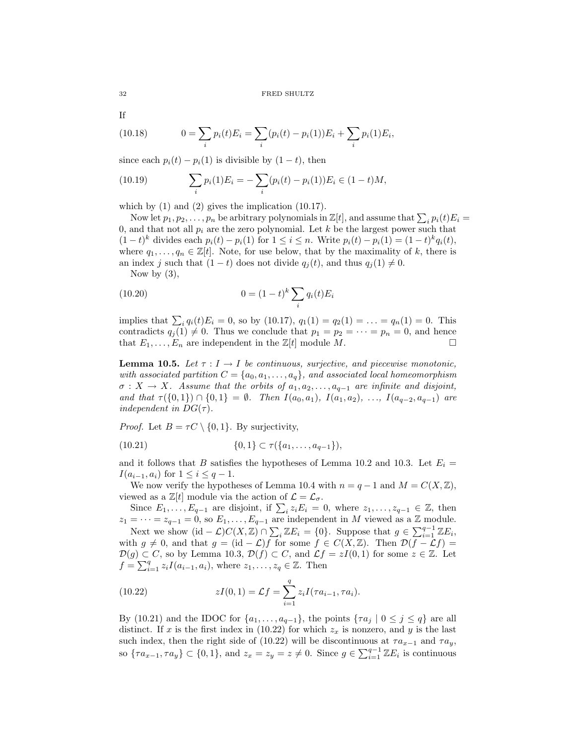If

(10.18) 
$$
0 = \sum_{i} p_i(t) E_i = \sum_{i} (p_i(t) - p_i(1)) E_i + \sum_{i} p_i(1) E_i,
$$

since each  $p_i(t) - p_i(1)$  is divisible by  $(1-t)$ , then

(10.19) 
$$
\sum_{i} p_i(1) E_i = -\sum_{i} (p_i(t) - p_i(1)) E_i \in (1-t)M,
$$

which by  $(1)$  and  $(2)$  gives the implication  $(10.17)$ .

Now let  $p_1, p_2, \ldots, p_n$  be arbitrary polynomials in  $\mathbb{Z}[t]$ , and assume that  $\sum_i p_i(t) E_i =$ 0, and that not all  $p_i$  are the zero polynomial. Let k be the largest power such that  $(1-t)^k$  divides each  $p_i(t) - p_i(1)$  for  $1 \le i \le n$ . Write  $p_i(t) - p_i(1) = (1-t)^k q_i(t)$ , where  $q_1, \ldots, q_n \in \mathbb{Z}[t]$ . Note, for use below, that by the maximality of k, there is an index j such that  $(1 - t)$  does not divide  $q_j(t)$ , and thus  $q_j(1) \neq 0$ .

Now by  $(3)$ ,

(10.20) 
$$
0 = (1 - t)^k \sum_{i} q_i(t) E_i
$$

implies that  $\sum_i q_i(t)E_i = 0$ , so by  $(10.17), q_1(1) = q_2(1) = \ldots = q_n(1) = 0$ . This contradicts  $q_i(1) \neq 0$ . Thus we conclude that  $p_1 = p_2 = \cdots = p_n = 0$ , and hence that  $E_1, \ldots, E_n$  are independent in the  $\mathbb{Z}[t]$  module M.

**Lemma 10.5.** Let  $\tau : I \to I$  be continuous, surjective, and piecewise monotonic, with associated partition  $C = \{a_0, a_1, \ldots, a_q\}$ , and associated local homeomorphism  $\sigma: X \to X$ . Assume that the orbits of  $a_1, a_2, \ldots, a_{q-1}$  are infinite and disjoint, and that  $\tau(\{0,1\}) \cap \{0,1\} = \emptyset$ . Then  $I(a_0,a_1), I(a_1,a_2), \ldots, I(a_{q-2},a_{q-1})$  are independent in  $DG(\tau)$ .

*Proof.* Let  $B = \tau C \setminus \{0, 1\}$ . By surjectivity,

$$
(10.21) \t{0,1} \subset \tau(\{a_1,\ldots,a_{q-1}\}),
$$

and it follows that B satisfies the hypotheses of Lemma 10.2 and 10.3. Let  $E_i =$  $I(a_{i-1}, a_i)$  for  $1 \leq i \leq q-1$ .

We now verify the hypotheses of Lemma 10.4 with  $n = q - 1$  and  $M = C(X, \mathbb{Z}),$ viewed as a  $\mathbb{Z}[t]$  module via the action of  $\mathcal{L} = \mathcal{L}_{\sigma}$ .

Since  $E_1, \ldots, E_{q-1}$  are disjoint, if  $\sum_i z_i E_i = 0$ , where  $z_1, \ldots, z_{q-1} \in \mathbb{Z}$ , then  $z_1 = \cdots = z_{q-1} = 0$ , so  $E_1, \ldots, E_{q-1}$  are independent in M viewed as a Z module.

Next we show  $(id - \mathcal{L})C(X, \mathbb{Z}) \cap \sum_i \mathbb{Z}E_i = \{0\}$ . Suppose that  $g \in \sum_{i=1}^{q-1} \mathbb{Z}E_i$ , with  $g \neq 0$ , and that  $g = (\mathrm{id} - \mathcal{L})f$  for some  $f \in C(X, \mathbb{Z})$ . Then  $\mathcal{D}(f - \mathcal{L}f) =$  $\mathcal{D}(g) \subset C$ , so by Lemma 10.3,  $\mathcal{D}(f) \subset C$ , and  $\mathcal{L}f = zI(0,1)$  for some  $z \in \mathbb{Z}$ . Let  $f = \sum_{i=1}^{q} z_i I(a_{i-1}, a_i)$ , where  $z_1, \ldots, z_q \in \mathbb{Z}$ . Then

(10.22) 
$$
zI(0,1) = \mathcal{L}f = \sum_{i=1}^{q} z_i I(\tau a_{i-1}, \tau a_i).
$$

By (10.21) and the IDOC for  $\{a_1, \ldots, a_{q-1}\}\$ , the points  $\{\tau a_j \mid 0 \leq j \leq q\}$  are all distinct. If x is the first index in (10.22) for which  $z_x$  is nonzero, and y is the last such index, then the right side of (10.22) will be discontinuous at  $\tau a_{x-1}$  and  $\tau a_y$ , so  $\{\tau a_{x-1}, \tau a_y\} \subset \{0, 1\}$ , and  $z_x = z_y = z \neq 0$ . Since  $g \in \sum_{i=1}^{q-1} \mathbb{Z} E_i$  is continuous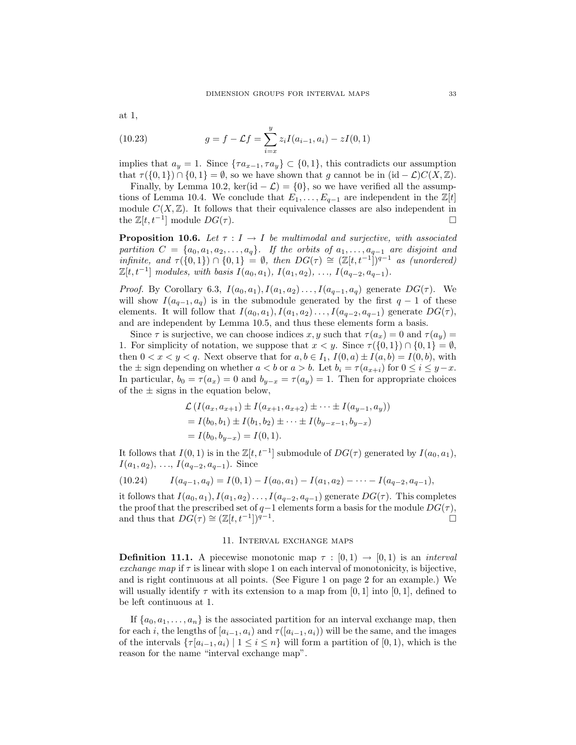at 1,

(10.23) 
$$
g = f - \mathcal{L}f = \sum_{i=x}^{y} z_i I(a_{i-1}, a_i) - zI(0, 1)
$$

implies that  $a_y = 1$ . Since  $\{\tau a_{x-1}, \tau a_y\} \subset \{0, 1\}$ , this contradicts our assumption that  $\tau({0, 1}) \cap {0, 1} = \emptyset$ , so we have shown that g cannot be in  $(id - \mathcal{L})C(X, \mathbb{Z})$ .

Finally, by Lemma 10.2, ker(id  $-\mathcal{L}$ ) = {0}, so we have verified all the assumptions of Lemma 10.4. We conclude that  $E_1, \ldots, E_{q-1}$  are independent in the  $\mathbb{Z}[t]$ module  $C(X, \mathbb{Z})$ . It follows that their equivalence classes are also independent in the  $\mathbb{Z}[t, t^{-1}]$  module  $DG(\tau)$ .

**Proposition 10.6.** Let  $\tau : I \to I$  be multimodal and surjective, with associated partition  $C = \{a_0, a_1, a_2, \ldots, a_q\}$ . If the orbits of  $a_1, \ldots, a_{q-1}$  are disjoint and infinite, and  $\tau(\{0,1\}) \cap \{0,1\} = \emptyset$ , then  $DG(\tau) \cong (\mathbb{Z}[t,t^{-1}])^{q-1}$  as (unordered)  $\mathbb{Z}[t, t^{-1}]$  modules, with basis  $I(a_0, a_1)$ ,  $I(a_1, a_2)$ , ...,  $I(a_{q-2}, a_{q-1})$ .

*Proof.* By Corollary 6.3,  $I(a_0, a_1), I(a_1, a_2), \ldots, I(a_{q-1}, a_q)$  generate  $DG(\tau)$ . We will show  $I(a_{q-1}, a_q)$  is in the submodule generated by the first  $q-1$  of these elements. It will follow that  $I(a_0, a_1), I(a_1, a_2), \ldots, I(a_{q-2}, a_{q-1})$  generate  $DG(\tau)$ , and are independent by Lemma 10.5, and thus these elements form a basis.

Since  $\tau$  is surjective, we can choose indices x, y such that  $\tau(a_x) = 0$  and  $\tau(a_y) =$ 1. For simplicity of notation, we suppose that  $x < y$ . Since  $\tau(\{0,1\}) \cap \{0,1\} = \emptyset$ , then  $0 < x < y < q$ . Next observe that for  $a, b \in I_1$ ,  $I(0, a) \pm I(a, b) = I(0, b)$ , with the  $\pm$  sign depending on whether  $a < b$  or  $a > b$ . Let  $b_i = \tau(a_{x+i})$  for  $0 \le i \le y-x$ . In particular,  $b_0 = \tau(a_x) = 0$  and  $b_{y-x} = \tau(a_y) = 1$ . Then for appropriate choices of the  $\pm$  signs in the equation below,

$$
\mathcal{L}(I(a_x, a_{x+1}) \pm I(a_{x+1}, a_{x+2}) \pm \cdots \pm I(a_{y-1}, a_y))
$$
  
=  $I(b_0, b_1) \pm I(b_1, b_2) \pm \cdots \pm I(b_{y-x-1}, b_{y-x})$   
=  $I(b_0, b_{y-x}) = I(0, 1).$ 

It follows that  $I(0,1)$  is in the  $\mathbb{Z}[t,t^{-1}]$  submodule of  $DG(\tau)$  generated by  $I(a_0,a_1)$ ,  $I(a_1, a_2), \ldots, I(a_{q-2}, a_{q-1})$ . Since

$$
(10.24) \tI(a_{q-1}, a_q) = I(0, 1) - I(a_0, a_1) - I(a_1, a_2) - \cdots - I(a_{q-2}, a_{q-1}),
$$

it follows that  $I(a_0, a_1), I(a_1, a_2), \ldots, I(a_{q-2}, a_{q-1})$  generate  $DG(\tau)$ . This completes the proof that the prescribed set of  $q-1$  elements form a basis for the module  $DG(\tau)$ , and thus that  $DG(\tau) \cong (\mathbb{Z}[t, t^{-1}])^{q-1}$ .

### 11. Interval exchange maps

**Definition 11.1.** A piecewise monotonic map  $\tau : [0,1) \rightarrow [0,1)$  is an *interval* exchange map if  $\tau$  is linear with slope 1 on each interval of monotonicity, is bijective, and is right continuous at all points. (See Figure 1 on page 2 for an example.) We will usually identify  $\tau$  with its extension to a map from [0, 1] into [0, 1], defined to be left continuous at 1.

If  $\{a_0, a_1, \ldots, a_n\}$  is the associated partition for an interval exchange map, then for each i, the lengths of  $[a_{i-1}, a_i)$  and  $\tau([a_{i-1}, a_i))$  will be the same, and the images of the intervals  $\{\tau | a_{i-1}, a_i\} \mid 1 \leq i \leq n\}$  will form a partition of  $[0, 1)$ , which is the reason for the name "interval exchange map".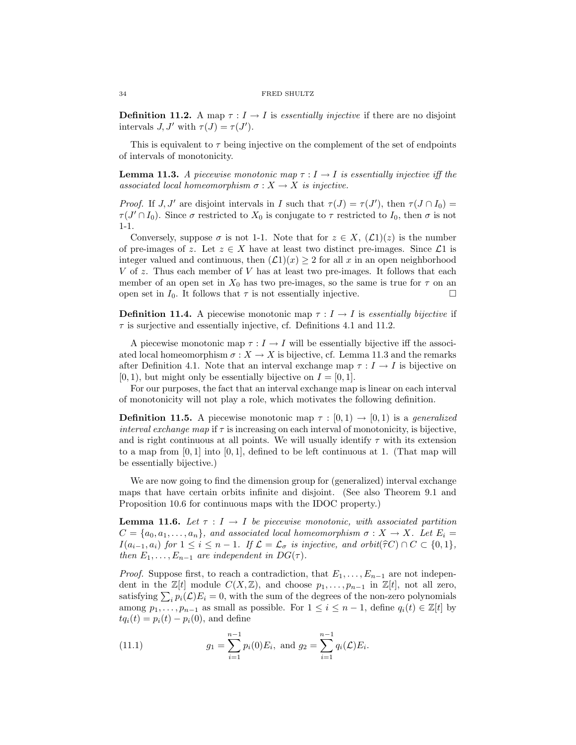**Definition 11.2.** A map  $\tau: I \to I$  is essentially injective if there are no disjoint intervals  $J, J'$  with  $\tau(J) = \tau(J')$ .

This is equivalent to  $\tau$  being injective on the complement of the set of endpoints of intervals of monotonicity.

**Lemma 11.3.** A piecewise monotonic map  $\tau : I \to I$  is essentially injective iff the associated local homeomorphism  $\sigma : X \to X$  is injective.

*Proof.* If  $J, J'$  are disjoint intervals in I such that  $\tau(J) = \tau(J')$ , then  $\tau(J \cap I_0) =$  $\tau(J' \cap I_0)$ . Since  $\sigma$  restricted to  $X_0$  is conjugate to  $\tau$  restricted to  $I_0$ , then  $\sigma$  is not 1-1.

Conversely, suppose  $\sigma$  is not 1-1. Note that for  $z \in X$ ,  $(\mathcal{L}1)(z)$  is the number of pre-images of z. Let  $z \in X$  have at least two distinct pre-images. Since  $\mathcal{L}1$  is integer valued and continuous, then  $(\mathcal{L}1)(x) > 2$  for all x in an open neighborhood  $V$  of z. Thus each member of  $V$  has at least two pre-images. It follows that each member of an open set in  $X_0$  has two pre-images, so the same is true for  $\tau$  on an open set in  $I_0$ . It follows that  $\tau$  is not essentially injective.

**Definition 11.4.** A piecewise monotonic map  $\tau : I \to I$  is essentially bijective if  $\tau$  is surjective and essentially injective, cf. Definitions 4.1 and 11.2.

A piecewise monotonic map  $\tau : I \to I$  will be essentially bijective iff the associated local homeomorphism  $\sigma: X \to X$  is bijective, cf. Lemma 11.3 and the remarks after Definition 4.1. Note that an interval exchange map  $\tau : I \to I$  is bijective on  $[0, 1)$ , but might only be essentially bijective on  $I = [0, 1]$ .

For our purposes, the fact that an interval exchange map is linear on each interval of monotonicity will not play a role, which motivates the following definition.

**Definition 11.5.** A piecewise monotonic map  $\tau : [0,1) \rightarrow [0,1)$  is a *generalized* interval exchange map if  $\tau$  is increasing on each interval of monotonicity, is bijective, and is right continuous at all points. We will usually identify  $\tau$  with its extension to a map from  $[0, 1]$  into  $[0, 1]$ , defined to be left continuous at 1. (That map will be essentially bijective.)

We are now going to find the dimension group for (generalized) interval exchange maps that have certain orbits infinite and disjoint. (See also Theorem 9.1 and Proposition 10.6 for continuous maps with the IDOC property.)

**Lemma 11.6.** Let  $\tau : I \to I$  be piecewise monotonic, with associated partition  $C = \{a_0, a_1, \ldots, a_n\}$ , and associated local homeomorphism  $\sigma : X \to X$ . Let  $E_i =$  $I(a_{i-1}, a_i)$  for  $1 \leq i \leq n-1$ . If  $\mathcal{L} = \mathcal{L}_{\sigma}$  is injective, and orbit( $\hat{\tau} C \cap C \subset \{0, 1\}$ , then  $E_1, \ldots, E_{n-1}$  are independent in  $DG(\tau)$ .

*Proof.* Suppose first, to reach a contradiction, that  $E_1, \ldots, E_{n-1}$  are not independent in the  $\mathbb{Z}[t]$  module  $C(X,\mathbb{Z})$ , and choose  $p_1,\ldots,p_{n-1}$  in  $\mathbb{Z}[t]$ , not all zero, satisfying  $\sum_i p_i(\mathcal{L})E_i = 0$ , with the sum of the degrees of the non-zero polynomials among  $p_1, \ldots, p_{n-1}$  as small as possible. For  $1 \leq i \leq n-1$ , define  $q_i(t) \in \mathbb{Z}[t]$  by  $tq_i(t) = p_i(t) - p_i(0)$ , and define

(11.1) 
$$
g_1 = \sum_{i=1}^{n-1} p_i(0) E_i, \text{ and } g_2 = \sum_{i=1}^{n-1} q_i(\mathcal{L}) E_i.
$$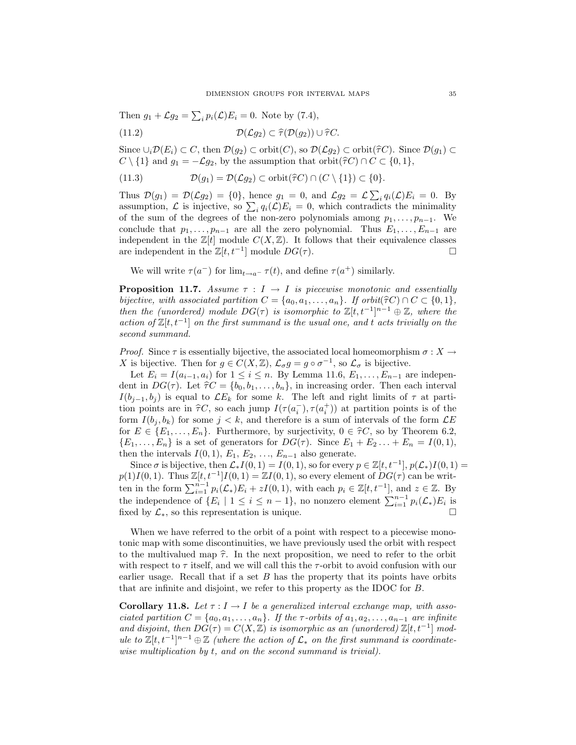Then  $g_1 + \mathcal{L}g_2 = \sum_i p_i(\mathcal{L})E_i = 0$ . Note by (7.4),

(11.2) 
$$
\mathcal{D}(\mathcal{L}g_2) \subset \widehat{\tau}(\mathcal{D}(g_2)) \cup \widehat{\tau}C.
$$

Since  $\cup_i \mathcal{D}(E_i) \subset C$ , then  $\mathcal{D}(g_2) \subset \text{orbit}(C)$ , so  $\mathcal{D}(\mathcal{L}g_2) \subset \text{orbit}(\hat{\tau}C)$ . Since  $\mathcal{D}(g_1) \subset$  $C \setminus \{1\}$  and  $g_1 = -\mathcal{L}g_2$ , by the assumption that orbit( $\hat{\tau}C \cap C \subset \{0, 1\}$ ,

(11.3) 
$$
\mathcal{D}(g_1) = \mathcal{D}(\mathcal{L}g_2) \subset \text{orbit}(\hat{\tau}C) \cap (C \setminus \{1\}) \subset \{0\}.
$$

Thus  $\mathcal{D}(g_1) = \mathcal{D}(\mathcal{L}g_2) = \{0\}$ , hence  $g_1 = 0$ , and  $\mathcal{L}g_2 = \mathcal{L}\sum_i q_i(\mathcal{L})E_i = 0$ . By assumption,  $\mathcal L$  is injective, so  $\sum_i q_i(\mathcal L)E_i = 0$ , which contradicts the minimality of the sum of the degrees of the non-zero polynomials among  $p_1, \ldots, p_{n-1}$ . We conclude that  $p_1, \ldots, p_{n-1}$  are all the zero polynomial. Thus  $E_1, \ldots, E_{n-1}$  are independent in the  $\mathbb{Z}[t]$  module  $C(X,\mathbb{Z})$ . It follows that their equivalence classes are independent in the  $\mathbb{Z}[t, t^{-1}]$  module  $DG(\tau)$ . □

We will write  $\tau(a^-)$  for  $\lim_{t\to a^-} \tau(t)$ , and define  $\tau(a^+)$  similarly.

**Proposition 11.7.** Assume  $\tau : I \rightarrow I$  is piecewise monotonic and essentially bijective, with associated partition  $C = \{a_0, a_1, \ldots, a_n\}$ . If orbit( $\hat{\tau}C \cap C \subset \{0, 1\}$ , then the (unordered) module  $DG(\tau)$  is isomorphic to  $\mathbb{Z}[t, t^{-1}]^{n-1} \oplus \mathbb{Z}$ , where the action of  $\mathbb{Z}[t, t^{-1}]$  on the first summand is the usual one, and t acts trivially on the second summand.

*Proof.* Since  $\tau$  is essentially bijective, the associated local homeomorphism  $\sigma : X \to Y$ X is bijective. Then for  $g \in C(X, \mathbb{Z})$ ,  $\mathcal{L}_{\sigma}g = g \circ \sigma^{-1}$ , so  $\mathcal{L}_{\sigma}$  is bijective.

Let  $E_i = I(a_{i-1}, a_i)$  for  $1 \leq i \leq n$ . By Lemma 11.6,  $E_1, \ldots, E_{n-1}$  are independent in  $DG(\tau)$ . Let  $\hat{\tau}C = \{b_0, b_1, \ldots, b_n\}$ , in increasing order. Then each interval  $I(b_{j-1}, b_j)$  is equal to  $\mathcal{L}E_k$  for some k. The left and right limits of  $\tau$  at partition points are in  $\hat{\tau}C$ , so each jump  $I(\tau(a_i^-), \tau(a_i^+))$  at partition points is of the form  $\hat{\tau}C$ . form  $I(b_i, b_k)$  for some  $j < k$ , and therefore is a sum of intervals of the form  $\mathcal{L}E$ for  $E \in \{E_1, \ldots, E_n\}$ . Furthermore, by surjectivity,  $0 \in \hat{\tau}C$ , so by Theorem 6.2,  $\{E_1, \ldots, E_n\}$  is a set of generators for  $DG(\tau)$ . Since  $E_1 + E_2 \ldots + E_n = I(0,1)$ , then the intervals  $I(0, 1), E_1, E_2, \ldots, E_{n-1}$  also generate.

Since  $\sigma$  is bijective, then  $\mathcal{L}_* I(0,1) = I(0,1)$ , so for every  $p \in \mathbb{Z}[t, t^{-1}], p(\mathcal{L}_*) I(0,1) =$  $p(1)I(0,1)$ . Thus  $\mathbb{Z}[t,t^{-1}]I(0,1) = \mathbb{Z}[t(0,1)]$ , so every element of  $DG(\tau)$  can be written in the form  $\sum_{i=1}^{n-1} p_i(\mathcal{L}_*) E_i + zI(0,1)$ , with each  $p_i \in \mathbb{Z}[t, t^{-1}]$ , and  $z \in \mathbb{Z}$ . By the independence of  $\{E_i \mid 1 \leq i \leq n-1\}$ , no nonzero element  $\sum_{i=1}^{n-1} p_i(\mathcal{L}_*) E_i$  is fixed by  $\mathcal{L}_*$ , so this representation is unique.

When we have referred to the orbit of a point with respect to a piecewise monotonic map with some discontinuities, we have previously used the orbit with respect to the multivalued map  $\hat{\tau}$ . In the next proposition, we need to refer to the orbit with respect to  $\tau$  itself, and we will call this the  $\tau$ -orbit to avoid confusion with our earlier usage. Recall that if a set  $B$  has the property that its points have orbits that are infinite and disjoint, we refer to this property as the IDOC for B.

Corollary 11.8. Let  $\tau : I \to I$  be a generalized interval exchange map, with associated partition  $C = \{a_0, a_1, \ldots, a_n\}$ . If the  $\tau$ -orbits of  $a_1, a_2, \ldots, a_{n-1}$  are infinite and disjoint, then  $DG(\tau) = C(X, \mathbb{Z})$  is isomorphic as an (unordered)  $\mathbb{Z}[t, t^{-1}]$  module to  $\mathbb{Z}[t, t^{-1}]^{n-1} \oplus \mathbb{Z}$  (where the action of  $\mathcal{L}_*$  on the first summand is coordinatewise multiplication by t, and on the second summand is trivial).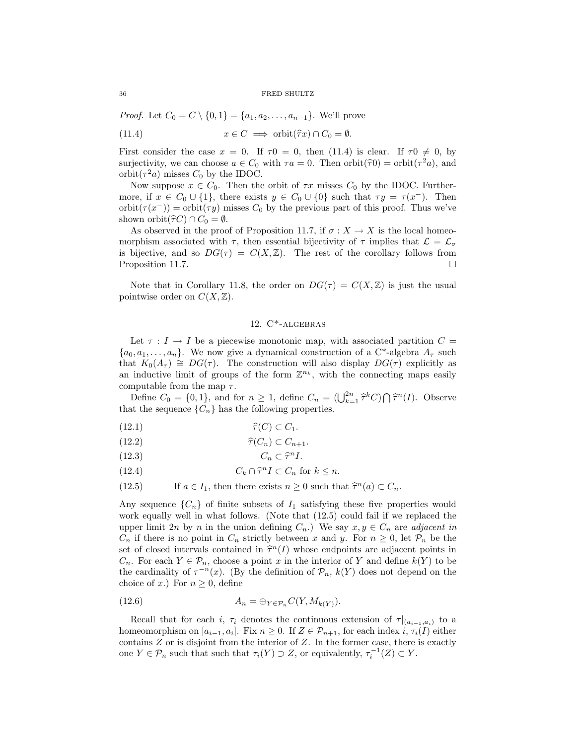*Proof.* Let  $C_0 = C \setminus \{0, 1\} = \{a_1, a_2, \ldots, a_{n-1}\}.$  We'll prove

(11.4) 
$$
x \in C \implies \text{orbit}(\hat{\tau}x) \cap C_0 = \emptyset.
$$

First consider the case  $x = 0$ . If  $\tau 0 = 0$ , then (11.4) is clear. If  $\tau 0 \neq 0$ , by surjectivity, we can choose  $a \in C_0$  with  $\tau a = 0$ . Then orbit( $\hat{\tau}^0$ ) = orbit( $\tau^2 a$ ), and orbit( $\hat{\tau}^2 a$ ), misses  $C_1$  by the IDOC orbit( $\tau^2 a$ ) misses  $C_0$  by the IDOC.

Now suppose  $x \in C_0$ . Then the orbit of  $\tau x$  misses  $C_0$  by the IDOC. Furthermore, if  $x \in C_0 \cup \{1\}$ , there exists  $y \in C_0 \cup \{0\}$  such that  $\tau y = \tau(x^-)$ . Then orbit $(\tau(x^{-}))$  = orbit $(\tau y)$  misses  $C_0$  by the previous part of this proof. Thus we've shown orbit( $\hat{\tau}C$ )  $\cap C_0 = \emptyset$ .

As observed in the proof of Proposition 11.7, if  $\sigma : X \to X$  is the local homeomorphism associated with  $\tau$ , then essential bijectivity of  $\tau$  implies that  $\mathcal{L} = \mathcal{L}_{\sigma}$ is bijective, and so  $DG(\tau) = C(X,\mathbb{Z})$ . The rest of the corollary follows from Proposition 11.7.

Note that in Corollary 11.8, the order on  $DG(\tau) = C(X,\mathbb{Z})$  is just the usual pointwise order on  $C(X, \mathbb{Z})$ .

# 12. C\*-algebras

Let  $\tau : I \to I$  be a piecewise monotonic map, with associated partition  $C =$  ${a_0, a_1, \ldots, a_n}$ . We now give a dynamical construction of a C<sup>\*</sup>-algebra  $A_\tau$  such that  $K_0(A_\tau) \cong DG(\tau)$ . The construction will also display  $DG(\tau)$  explicitly as an inductive limit of groups of the form  $\mathbb{Z}^{n_k}$ , with the connecting maps easily computable from the map  $\tau$ .

Define  $C_0 = \{0, 1\}$ , and for  $n \geq 1$ , define  $C_n = (\bigcup_{k=1}^{2n} \hat{\tau}^k C) \bigcap \hat{\tau}^n(I)$ . Observe that the sequence  $\{C_n\}$  has the following properties.

$$
\widehat{\tau}(C) \subset C_1.
$$

$$
\widehat{\tau}(C_n) \subset C_{n+1}.
$$

$$
(12.3) \t C_n \subset \hat{\tau}^n I.
$$

(12.4) 
$$
C_k \cap \hat{\tau}^n I \subset C_n \text{ for } k \leq n.
$$

(12.5) If 
$$
a \in I_1
$$
, then there exists  $n \ge 0$  such that  $\hat{\tau}^n(a) \subset C_n$ .

Any sequence  $\{C_n\}$  of finite subsets of  $I_1$  satisfying these five properties would work equally well in what follows. (Note that (12.5) could fail if we replaced the upper limit 2n by n in the union defining  $C_n$ .) We say  $x, y \in C_n$  are adjacent in  $C_n$  if there is no point in  $C_n$  strictly between x and y. For  $n \geq 0$ , let  $\mathcal{P}_n$  be the set of closed intervals contained in  $\hat{\tau}^n(I)$  whose endpoints are adjacent points in<br> $C$  For each  $Y \in \mathcal{P}$  choose a point x in the interior of Y and define  $k(Y)$  to be  $C_n$ . For each  $Y \in \mathcal{P}_n$ , choose a point x in the interior of Y and define  $k(Y)$  to be the cardinality of  $\tau^{-n}(x)$ . (By the definition of  $\mathcal{P}_n$ ,  $k(Y)$  does not depend on the choice of x.) For  $n \geq 0$ , define

(12.6) 
$$
A_n = \bigoplus_{Y \in \mathcal{P}_n} C(Y, M_{k(Y)}).
$$

Recall that for each i,  $\tau_i$  denotes the continuous extension of  $\tau |_{(a_{i-1},a_i)}$  to a homeomorphism on  $[a_{i-1}, a_i]$ . Fix  $n \geq 0$ . If  $Z \in \mathcal{P}_{n+1}$ , for each index  $i, \tau_i(I)$  either contains  $Z$  or is disjoint from the interior of  $Z$ . In the former case, there is exactly one  $Y \in \mathcal{P}_n$  such that such that  $\tau_i(Y) \supset Z$ , or equivalently,  $\tau_i^{-1}(Z) \subset Y$ .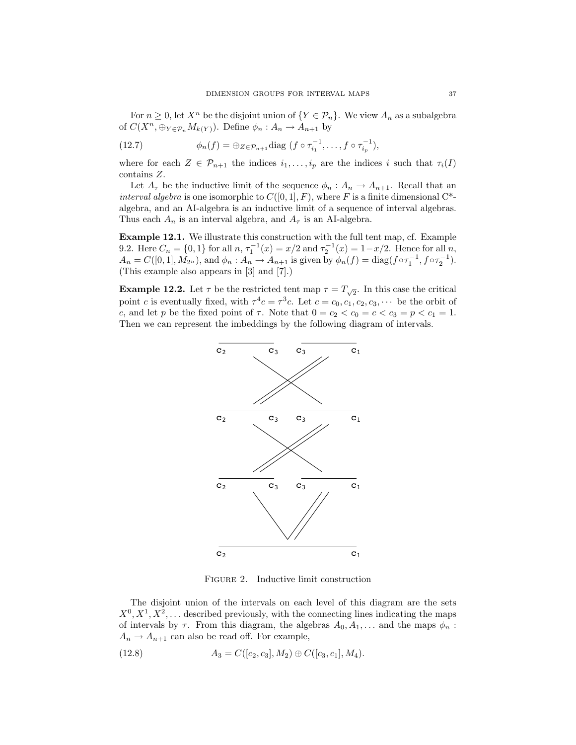For  $n \geq 0$ , let  $X^n$  be the disjoint union of  $\{Y \in \mathcal{P}_n\}$ . We view  $A_n$  as a subalgebra of  $C(X^n, \bigoplus_{Y \in \mathcal{P}_n} M_{k(Y)}).$  Define  $\phi_n : A_n \to A_{n+1}$  by

(12.7) 
$$
\phi_n(f) = \oplus_{Z \in \mathcal{P}_{n+1}} \text{diag}(f \circ \tau_{i_1}^{-1}, \dots, f \circ \tau_{i_p}^{-1}),
$$

where for each  $Z \in \mathcal{P}_{n+1}$  the indices  $i_1, \ldots, i_p$  are the indices i such that  $\tau_i(I)$ contains Z.

Let  $A_{\tau}$  be the inductive limit of the sequence  $\phi_n : A_n \to A_{n+1}$ . Recall that an *interval algebra* is one isomorphic to  $C([0, 1], F)$ , where F is a finite dimensional C<sup>\*</sup>algebra, and an AI-algebra is an inductive limit of a sequence of interval algebras. Thus each  $A_n$  is an interval algebra, and  $A_\tau$  is an AI-algebra.

Example 12.1. We illustrate this construction with the full tent map, cf. Example 9.2. Here  $C_n = \{0, 1\}$  for all  $n, \tau_1^{-1}(x) = x/2$  and  $\tau_2^{-1}(x) = 1 - x/2$ . Hence for all  $n$ ,  $A_n = C([0,1], M_{2^n})$ , and  $\phi_n : A_n \to A_{n+1}$  is given by  $\phi_n(f) = \text{diag}(f \circ \tau_1^{-1}, f \circ \tau_2^{-1})$ . (This example also appears in [3] and [7].)

**Example 12.2.** Let  $\tau$  be the restricted tent map  $\tau = T_{\sqrt{2}}$ . In this case the critical point c is eventually fixed, with  $\tau^4 c = \tau^3 c$ . Let  $c = c_0, c_1, c_2, c_3, \cdots$  be the orbit of c, and let p be the fixed point of  $\tau$ . Note that  $0 = c_2 < c_0 = c < c_3 = p < c_1 = 1$ . Then we can represent the imbeddings by the following diagram of intervals.



Figure 2. Inductive limit construction

The disjoint union of the intervals on each level of this diagram are the sets  $X^0, X^1, X^2, \ldots$  described previously, with the connecting lines indicating the maps of intervals by  $\tau$ . From this diagram, the algebras  $A_0, A_1, \ldots$  and the maps  $\phi_n$ :  $A_n \to A_{n+1}$  can also be read off. For example,

(12.8) 
$$
A_3 = C([c_2, c_3], M_2) \oplus C([c_3, c_1], M_4).
$$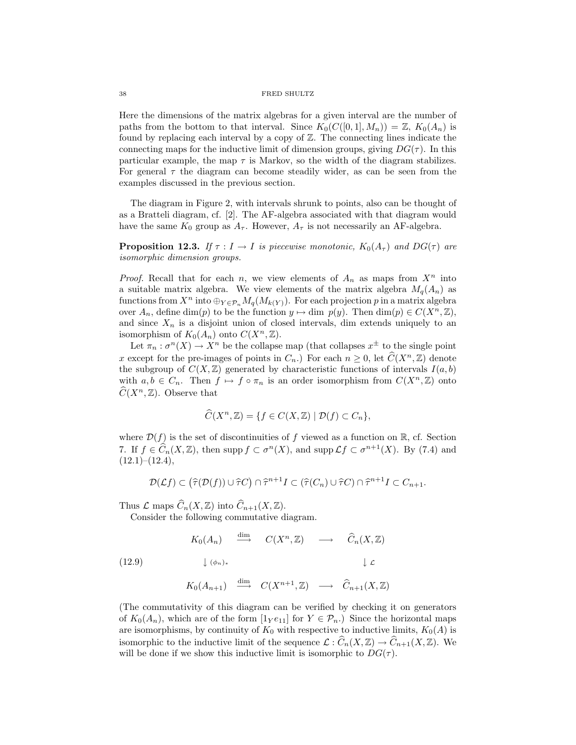Here the dimensions of the matrix algebras for a given interval are the number of paths from the bottom to that interval. Since  $K_0(C([0,1], M_n)) = \mathbb{Z}$ ,  $K_0(A_n)$  is found by replacing each interval by a copy of  $\mathbb{Z}$ . The connecting lines indicate the connecting maps for the inductive limit of dimension groups, giving  $DG(\tau)$ . In this particular example, the map  $\tau$  is Markov, so the width of the diagram stabilizes. For general  $\tau$  the diagram can become steadily wider, as can be seen from the examples discussed in the previous section.

The diagram in Figure 2, with intervals shrunk to points, also can be thought of as a Bratteli diagram, cf. [2]. The AF-algebra associated with that diagram would have the same  $K_0$  group as  $A_{\tau}$ . However,  $A_{\tau}$  is not necessarily an AF-algebra.

**Proposition 12.3.** If  $\tau : I \to I$  is piecewise monotonic,  $K_0(A_\tau)$  and  $DG(\tau)$  are isomorphic dimension groups.

*Proof.* Recall that for each n, we view elements of  $A_n$  as maps from  $X^n$  into a suitable matrix algebra. We view elements of the matrix algebra  $M_q(A_n)$  as functions from  $X^n$  into  $\bigoplus_{Y \in \mathcal{P}_n} M_q(M_{k(Y)})$ . For each projection p in a matrix algebra over  $A_n$ , define dim(p) to be the function  $y \mapsto \dim p(y)$ . Then  $\dim(p) \in C(X^n, \mathbb{Z}),$ and since  $X_n$  is a disjoint union of closed intervals, dim extends uniquely to an isomorphism of  $K_0(A_n)$  onto  $C(X^n, \mathbb{Z})$ .

Let  $\pi_n : \sigma^n(X) \to X^n$  be the collapse map (that collapses  $x^{\pm}$  to the single point x except for the pre-images of points in  $C_n$ .) For each  $n \geq 0$ , let  $\widehat{C}(X^n,\mathbb{Z})$  denote the subgroup of  $C(X, \mathbb{Z})$  generated by characteristic functions of intervals  $I(a, b)$ with  $a, b \in C_n$ . Then  $f \mapsto f \circ \pi_n$  is an order isomorphism from  $C(X^n, \mathbb{Z})$  onto  $\widehat{C}(X^n,\mathbb{Z})$ . Observe that

$$
\widehat{C}(X^n, \mathbb{Z}) = \{ f \in C(X, \mathbb{Z}) \mid \mathcal{D}(f) \subset C_n \},
$$

where  $\mathcal{D}(f)$  is the set of discontinuities of f viewed as a function on R, cf. Section 7. If  $f \in \widehat{C}_n(X,\mathbb{Z})$ , then supp  $f \subset \sigma^n(X)$ , and supp  $\mathcal{L}f \subset \sigma^{n+1}(X)$ . By (7.4) and  $(12.1)$ – $(12.4)$ ,

$$
\mathcal{D}(\mathcal{L}f) \subset (\widehat{\tau}(\mathcal{D}(f)) \cup \widehat{\tau}C) \cap \widehat{\tau}^{n+1}I \subset (\widehat{\tau}(C_n) \cup \widehat{\tau}C) \cap \widehat{\tau}^{n+1}I \subset C_{n+1}.
$$

Thus  $\mathcal L$  maps  $\widehat{C}_n(X,\mathbb Z)$  into  $\widehat{C}_{n+1}(X,\mathbb Z)$ .

Consider the following commutative diagram.

 $K_0(A_n) \quad \stackrel{\text{dim}}{\longrightarrow} \quad C(X^n, \mathbb{Z}) \quad \longrightarrow \quad \widehat{C}_n(X, \mathbb{Z})$ 

↓ (φn)<sup>∗</sup> ↓ <sup>L</sup>

$$
(12.9)
$$

$$
K_0(A_{n+1}) \stackrel{\text{dim}}{\longrightarrow} C(X^{n+1}, \mathbb{Z}) \longrightarrow \widehat{C}_{n+1}(X, \mathbb{Z})
$$

(The commutativity of this diagram can be verified by checking it on generators of  $K_0(A_n)$ , which are of the form  $[1_Y e_{11}]$  for  $Y \in \mathcal{P}_n$ .) Since the horizontal maps are isomorphisms, by continuity of  $K_0$  with respective to inductive limits,  $K_0(A)$  is isomorphic to the inductive limit of the sequence  $\mathcal{L} : \widehat{C}_n(X, \mathbb{Z}) \to \widehat{C}_{n+1}(X, \mathbb{Z})$ . We will be done if we show this inductive limit is isomorphic to  $DG(\tau)$ .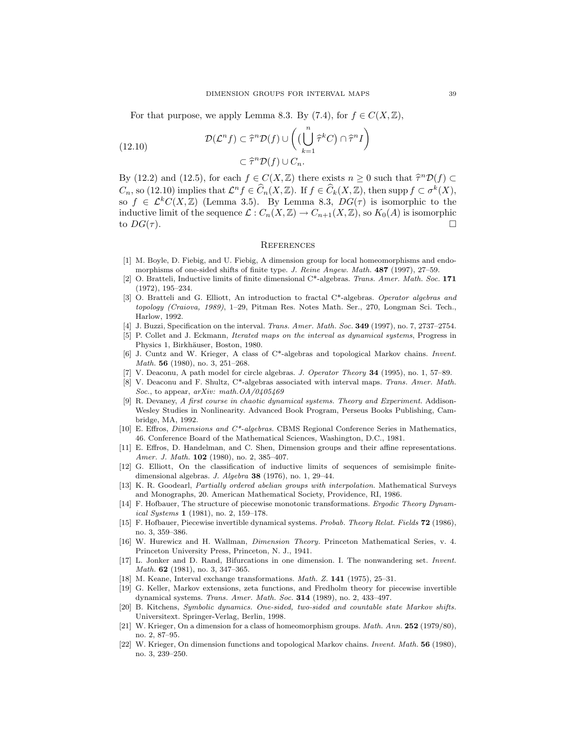For that purpose, we apply Lemma 8.3. By (7.4), for  $f \in C(X,\mathbb{Z})$ ,

(12.10) 
$$
\mathcal{D}(\mathcal{L}^n f) \subset \hat{\tau}^n \mathcal{D}(f) \cup \left( \left( \bigcup_{k=1}^n \hat{\tau}^k C \right) \cap \hat{\tau}^n I \right) \subset \hat{\tau}^n \mathcal{D}(f) \cup C_n.
$$

By (12.2) and (12.5), for each  $f \in C(X, \mathbb{Z})$  there exists  $n \geq 0$  such that  $\hat{\tau}^n \mathcal{D}(f) \subset C$  as (12.10) implies that  $\hat{C}^n f \in \hat{C}$   $(Y, \mathbb{Z})$  if  $f \in \hat{C}$   $(Y, \mathbb{Z})$  then guns  $f \subset \hat{F}(Y)$  $C_n$ , so (12.10) implies that  $\mathcal{L}^nf \in \widehat{C}_n(X,\mathbb{Z})$ . If  $f \in \widehat{C}_k(X,\mathbb{Z})$ , then supp  $f \subset \sigma^k(X)$ , so  $f \in \mathcal{L}^k C(X,\mathbb{Z})$  (Lemma 3.5). By Lemma 8.3,  $DG(\tau)$  is isomorphic to the inductive limit of the sequence  $\mathcal{L}: C_n(X,\mathbb{Z}) \to C_{n+1}(X,\mathbb{Z})$ , so  $K_0(A)$  is isomorphic to  $DG(\tau)$ .

### **REFERENCES**

- [1] M. Boyle, D. Fiebig, and U. Fiebig, A dimension group for local homeomorphisms and endomorphisms of one-sided shifts of finite type. J. Reine Angew. Math. **487** (1997), 27–59.
- [2] O. Bratteli, Inductive limits of finite dimensional C\*-algebras. Trans. Amer. Math. Soc. 171 (1972), 195–234.
- [3] O. Bratteli and G. Elliott, An introduction to fractal C\*-algebras. Operator algebras and topology (Craiova, 1989), 1–29, Pitman Res. Notes Math. Ser., 270, Longman Sci. Tech., Harlow, 1992.
- [4] J. Buzzi, Specification on the interval. Trans. Amer. Math. Soc. 349 (1997), no. 7, 2737-2754.
- [5] P. Collet and J. Eckmann, *Iterated maps on the interval as dynamical systems*, Progress in Physics 1, Birkhäuser, Boston, 1980.
- [6] J. Cuntz and W. Krieger, A class of C\*-algebras and topological Markov chains. Invent. Math. 56 (1980), no. 3, 251–268.
- [7] V. Deaconu, A path model for circle algebras. J. Operator Theory 34 (1995), no. 1, 57–89.
- [8] V. Deaconu and F. Shultz, C\*-algebras associated with interval maps. Trans. Amer. Math. Soc., to appear,  $arXiv:$  math. $OA/0405469$
- [9] R. Devaney, A first course in chaotic dynamical systems. Theory and Experiment. Addison-Wesley Studies in Nonlinearity. Advanced Book Program, Perseus Books Publishing, Cambridge, MA, 1992.
- [10] E. Effros, Dimensions and C\*-algebras. CBMS Regional Conference Series in Mathematics, 46. Conference Board of the Mathematical Sciences, Washington, D.C., 1981.
- [11] E. Effros, D. Handelman, and C. Shen, Dimension groups and their affine representations. Amer. J. Math. **102** (1980), no. 2, 385-407.
- [12] G. Elliott, On the classification of inductive limits of sequences of semisimple finitedimensional algebras. J. Algebra 38 (1976), no. 1, 29–44.
- [13] K. R. Goodearl, Partially ordered abelian groups with interpolation. Mathematical Surveys and Monographs, 20. American Mathematical Society, Providence, RI, 1986.
- [14] F. Hofbauer, The structure of piecewise monotonic transformations. Ergodic Theory Dynamical Systems 1 (1981), no. 2, 159–178.
- [15] F. Hofbauer, Piecewise invertible dynamical systems. Probab. Theory Relat. Fields 72 (1986), no. 3, 359–386.
- [16] W. Hurewicz and H. Wallman, Dimension Theory. Princeton Mathematical Series, v. 4. Princeton University Press, Princeton, N. J., 1941.
- [17] L. Jonker and D. Rand, Bifurcations in one dimension. I. The nonwandering set. Invent. Math. 62 (1981), no. 3, 347-365.
- [18] M. Keane, Interval exchange transformations. Math. Z. 141 (1975), 25–31.
- [19] G. Keller, Markov extensions, zeta functions, and Fredholm theory for piecewise invertible dynamical systems. Trans. Amer. Math. Soc. 314 (1989), no. 2, 433–497.
- [20] B. Kitchens, Symbolic dynamics. One-sided, two-sided and countable state Markov shifts. Universitext. Springer-Verlag, Berlin, 1998.
- [21] W. Krieger, On a dimension for a class of homeomorphism groups. *Math. Ann.* 252 (1979/80), no. 2, 87–95.
- [22] W. Krieger, On dimension functions and topological Markov chains. Invent. Math. 56 (1980), no. 3, 239–250.